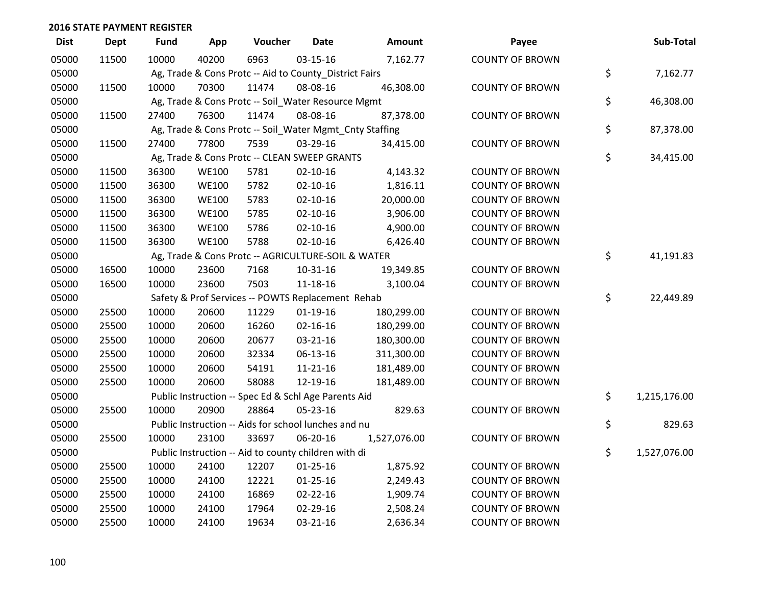| <b>Dist</b> | <b>Dept</b> | <b>Fund</b> | App          | Voucher                                                 | <b>Date</b>    | Amount       | Payee                  | Sub-Total          |
|-------------|-------------|-------------|--------------|---------------------------------------------------------|----------------|--------------|------------------------|--------------------|
| 05000       | 11500       | 10000       | 40200        | 6963                                                    | $03 - 15 - 16$ | 7,162.77     | <b>COUNTY OF BROWN</b> |                    |
| 05000       |             |             |              | Ag, Trade & Cons Protc -- Aid to County_District Fairs  |                |              |                        | \$<br>7,162.77     |
| 05000       | 11500       | 10000       | 70300        | 11474                                                   | 08-08-16       | 46,308.00    | <b>COUNTY OF BROWN</b> |                    |
| 05000       |             |             |              | Ag, Trade & Cons Protc -- Soil_Water Resource Mgmt      |                |              |                        | \$<br>46,308.00    |
| 05000       | 11500       | 27400       | 76300        | 11474                                                   | 08-08-16       | 87,378.00    | <b>COUNTY OF BROWN</b> |                    |
| 05000       |             |             |              | Ag, Trade & Cons Protc -- Soil_Water Mgmt_Cnty Staffing |                |              |                        | \$<br>87,378.00    |
| 05000       | 11500       | 27400       | 77800        | 7539                                                    | 03-29-16       | 34,415.00    | <b>COUNTY OF BROWN</b> |                    |
| 05000       |             |             |              | Ag, Trade & Cons Protc -- CLEAN SWEEP GRANTS            |                |              |                        | \$<br>34,415.00    |
| 05000       | 11500       | 36300       | <b>WE100</b> | 5781                                                    | $02 - 10 - 16$ | 4,143.32     | <b>COUNTY OF BROWN</b> |                    |
| 05000       | 11500       | 36300       | <b>WE100</b> | 5782                                                    | $02 - 10 - 16$ | 1,816.11     | <b>COUNTY OF BROWN</b> |                    |
| 05000       | 11500       | 36300       | <b>WE100</b> | 5783                                                    | $02 - 10 - 16$ | 20,000.00    | <b>COUNTY OF BROWN</b> |                    |
| 05000       | 11500       | 36300       | <b>WE100</b> | 5785                                                    | $02 - 10 - 16$ | 3,906.00     | <b>COUNTY OF BROWN</b> |                    |
| 05000       | 11500       | 36300       | <b>WE100</b> | 5786                                                    | $02 - 10 - 16$ | 4,900.00     | <b>COUNTY OF BROWN</b> |                    |
| 05000       | 11500       | 36300       | <b>WE100</b> | 5788                                                    | $02 - 10 - 16$ | 6,426.40     | <b>COUNTY OF BROWN</b> |                    |
| 05000       |             |             |              | Ag, Trade & Cons Protc -- AGRICULTURE-SOIL & WATER      |                |              |                        | \$<br>41,191.83    |
| 05000       | 16500       | 10000       | 23600        | 7168                                                    | $10-31-16$     | 19,349.85    | <b>COUNTY OF BROWN</b> |                    |
| 05000       | 16500       | 10000       | 23600        | 7503                                                    | 11-18-16       | 3,100.04     | <b>COUNTY OF BROWN</b> |                    |
| 05000       |             |             |              | Safety & Prof Services -- POWTS Replacement Rehab       |                |              |                        | \$<br>22,449.89    |
| 05000       | 25500       | 10000       | 20600        | 11229                                                   | $01-19-16$     | 180,299.00   | <b>COUNTY OF BROWN</b> |                    |
| 05000       | 25500       | 10000       | 20600        | 16260                                                   | $02 - 16 - 16$ | 180,299.00   | <b>COUNTY OF BROWN</b> |                    |
| 05000       | 25500       | 10000       | 20600        | 20677                                                   | 03-21-16       | 180,300.00   | <b>COUNTY OF BROWN</b> |                    |
| 05000       | 25500       | 10000       | 20600        | 32334                                                   | $06-13-16$     | 311,300.00   | <b>COUNTY OF BROWN</b> |                    |
| 05000       | 25500       | 10000       | 20600        | 54191                                                   | $11 - 21 - 16$ | 181,489.00   | <b>COUNTY OF BROWN</b> |                    |
| 05000       | 25500       | 10000       | 20600        | 58088                                                   | 12-19-16       | 181,489.00   | <b>COUNTY OF BROWN</b> |                    |
| 05000       |             |             |              | Public Instruction -- Spec Ed & Schl Age Parents Aid    |                |              |                        | \$<br>1,215,176.00 |
| 05000       | 25500       | 10000       | 20900        | 28864                                                   | 05-23-16       | 829.63       | <b>COUNTY OF BROWN</b> |                    |
| 05000       |             |             |              | Public Instruction -- Aids for school lunches and nu    |                |              |                        | \$<br>829.63       |
| 05000       | 25500       | 10000       | 23100        | 33697                                                   | 06-20-16       | 1,527,076.00 | <b>COUNTY OF BROWN</b> |                    |
| 05000       |             |             |              | Public Instruction -- Aid to county children with di    |                |              |                        | \$<br>1,527,076.00 |
| 05000       | 25500       | 10000       | 24100        | 12207                                                   | $01 - 25 - 16$ | 1,875.92     | <b>COUNTY OF BROWN</b> |                    |
| 05000       | 25500       | 10000       | 24100        | 12221                                                   | $01 - 25 - 16$ | 2,249.43     | <b>COUNTY OF BROWN</b> |                    |
| 05000       | 25500       | 10000       | 24100        | 16869                                                   | 02-22-16       | 1,909.74     | <b>COUNTY OF BROWN</b> |                    |
| 05000       | 25500       | 10000       | 24100        | 17964                                                   | 02-29-16       | 2,508.24     | <b>COUNTY OF BROWN</b> |                    |
| 05000       | 25500       | 10000       | 24100        | 19634                                                   | 03-21-16       | 2,636.34     | <b>COUNTY OF BROWN</b> |                    |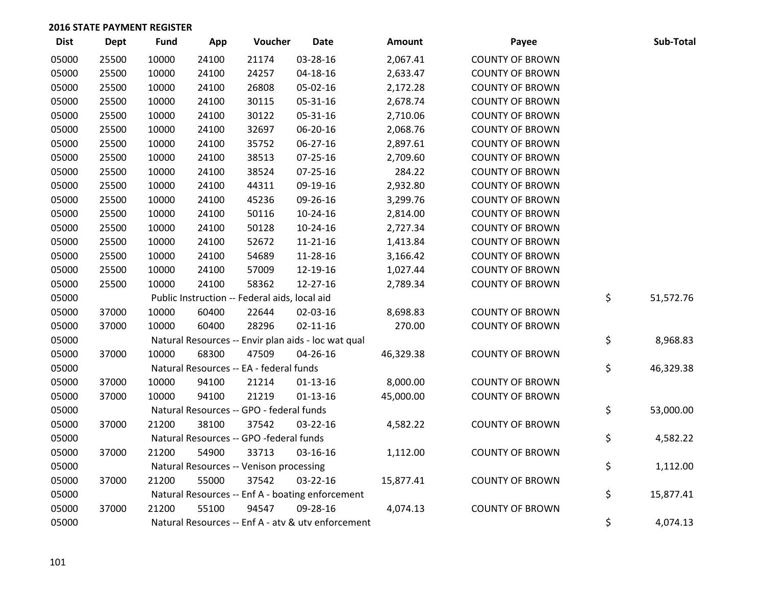| <b>Dist</b> | <b>Dept</b> | <b>Fund</b> | App   | Voucher                                             | <b>Date</b>    | Amount    | Payee                  | Sub-Total       |
|-------------|-------------|-------------|-------|-----------------------------------------------------|----------------|-----------|------------------------|-----------------|
| 05000       | 25500       | 10000       | 24100 | 21174                                               | 03-28-16       | 2,067.41  | <b>COUNTY OF BROWN</b> |                 |
| 05000       | 25500       | 10000       | 24100 | 24257                                               | 04-18-16       | 2,633.47  | <b>COUNTY OF BROWN</b> |                 |
| 05000       | 25500       | 10000       | 24100 | 26808                                               | 05-02-16       | 2,172.28  | <b>COUNTY OF BROWN</b> |                 |
| 05000       | 25500       | 10000       | 24100 | 30115                                               | 05-31-16       | 2,678.74  | <b>COUNTY OF BROWN</b> |                 |
| 05000       | 25500       | 10000       | 24100 | 30122                                               | 05-31-16       | 2,710.06  | <b>COUNTY OF BROWN</b> |                 |
| 05000       | 25500       | 10000       | 24100 | 32697                                               | 06-20-16       | 2,068.76  | <b>COUNTY OF BROWN</b> |                 |
| 05000       | 25500       | 10000       | 24100 | 35752                                               | 06-27-16       | 2,897.61  | <b>COUNTY OF BROWN</b> |                 |
| 05000       | 25500       | 10000       | 24100 | 38513                                               | $07 - 25 - 16$ | 2,709.60  | <b>COUNTY OF BROWN</b> |                 |
| 05000       | 25500       | 10000       | 24100 | 38524                                               | $07 - 25 - 16$ | 284.22    | <b>COUNTY OF BROWN</b> |                 |
| 05000       | 25500       | 10000       | 24100 | 44311                                               | 09-19-16       | 2,932.80  | <b>COUNTY OF BROWN</b> |                 |
| 05000       | 25500       | 10000       | 24100 | 45236                                               | 09-26-16       | 3,299.76  | <b>COUNTY OF BROWN</b> |                 |
| 05000       | 25500       | 10000       | 24100 | 50116                                               | 10-24-16       | 2,814.00  | <b>COUNTY OF BROWN</b> |                 |
| 05000       | 25500       | 10000       | 24100 | 50128                                               | $10-24-16$     | 2,727.34  | <b>COUNTY OF BROWN</b> |                 |
| 05000       | 25500       | 10000       | 24100 | 52672                                               | $11 - 21 - 16$ | 1,413.84  | <b>COUNTY OF BROWN</b> |                 |
| 05000       | 25500       | 10000       | 24100 | 54689                                               | 11-28-16       | 3,166.42  | <b>COUNTY OF BROWN</b> |                 |
| 05000       | 25500       | 10000       | 24100 | 57009                                               | 12-19-16       | 1,027.44  | <b>COUNTY OF BROWN</b> |                 |
| 05000       | 25500       | 10000       | 24100 | 58362                                               | 12-27-16       | 2,789.34  | <b>COUNTY OF BROWN</b> |                 |
| 05000       |             |             |       | Public Instruction -- Federal aids, local aid       |                |           |                        | \$<br>51,572.76 |
| 05000       | 37000       | 10000       | 60400 | 22644                                               | 02-03-16       | 8,698.83  | <b>COUNTY OF BROWN</b> |                 |
| 05000       | 37000       | 10000       | 60400 | 28296                                               | $02 - 11 - 16$ | 270.00    | <b>COUNTY OF BROWN</b> |                 |
| 05000       |             |             |       | Natural Resources -- Envir plan aids - loc wat qual |                |           |                        | \$<br>8,968.83  |
| 05000       | 37000       | 10000       | 68300 | 47509                                               | 04-26-16       | 46,329.38 | <b>COUNTY OF BROWN</b> |                 |
| 05000       |             |             |       | Natural Resources -- EA - federal funds             |                |           |                        | \$<br>46,329.38 |
| 05000       | 37000       | 10000       | 94100 | 21214                                               | $01-13-16$     | 8,000.00  | <b>COUNTY OF BROWN</b> |                 |
| 05000       | 37000       | 10000       | 94100 | 21219                                               | $01 - 13 - 16$ | 45,000.00 | <b>COUNTY OF BROWN</b> |                 |
| 05000       |             |             |       | Natural Resources -- GPO - federal funds            |                |           |                        | \$<br>53,000.00 |
| 05000       | 37000       | 21200       | 38100 | 37542                                               | 03-22-16       | 4,582.22  | <b>COUNTY OF BROWN</b> |                 |
| 05000       |             |             |       | Natural Resources -- GPO -federal funds             |                |           |                        | \$<br>4,582.22  |
| 05000       | 37000       | 21200       | 54900 | 33713                                               | 03-16-16       | 1,112.00  | <b>COUNTY OF BROWN</b> |                 |
| 05000       |             |             |       | Natural Resources -- Venison processing             |                |           |                        | \$<br>1,112.00  |
| 05000       | 37000       | 21200       | 55000 | 37542                                               | 03-22-16       | 15,877.41 | <b>COUNTY OF BROWN</b> |                 |
| 05000       |             |             |       | Natural Resources -- Enf A - boating enforcement    |                |           |                        | \$<br>15,877.41 |
| 05000       | 37000       | 21200       | 55100 | 94547                                               | 09-28-16       | 4,074.13  | <b>COUNTY OF BROWN</b> |                 |
| 05000       |             |             |       | Natural Resources -- Enf A - atv & utv enforcement  |                |           |                        | \$<br>4,074.13  |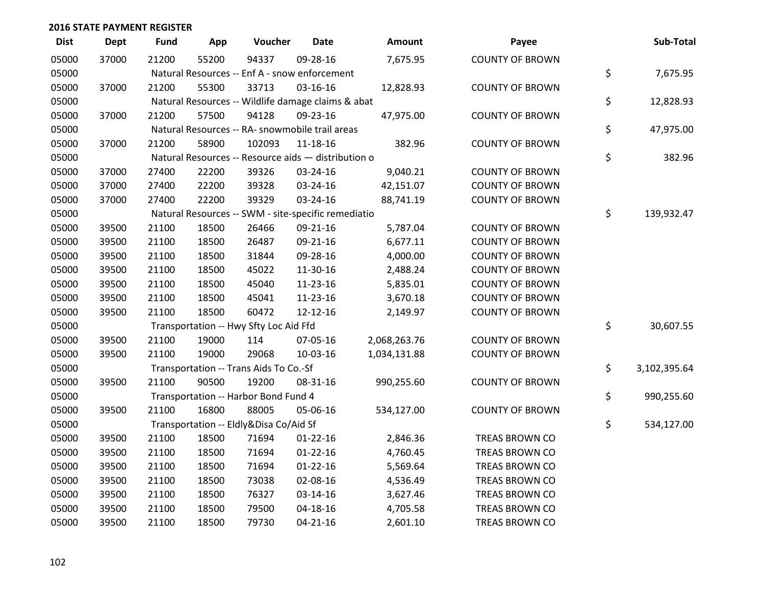| <b>Dist</b> | <b>Dept</b> | <b>Fund</b> | App   | Voucher                                             | <b>Date</b>    | Amount       | Payee                  | Sub-Total          |
|-------------|-------------|-------------|-------|-----------------------------------------------------|----------------|--------------|------------------------|--------------------|
| 05000       | 37000       | 21200       | 55200 | 94337                                               | 09-28-16       | 7,675.95     | <b>COUNTY OF BROWN</b> |                    |
| 05000       |             |             |       | Natural Resources -- Enf A - snow enforcement       |                |              |                        | \$<br>7,675.95     |
| 05000       | 37000       | 21200       | 55300 | 33713                                               | 03-16-16       | 12,828.93    | <b>COUNTY OF BROWN</b> |                    |
| 05000       |             |             |       | Natural Resources -- Wildlife damage claims & abat  |                |              |                        | \$<br>12,828.93    |
| 05000       | 37000       | 21200       | 57500 | 94128                                               | 09-23-16       | 47,975.00    | <b>COUNTY OF BROWN</b> |                    |
| 05000       |             |             |       | Natural Resources -- RA- snowmobile trail areas     |                |              |                        | \$<br>47,975.00    |
| 05000       | 37000       | 21200       | 58900 | 102093                                              | 11-18-16       | 382.96       | <b>COUNTY OF BROWN</b> |                    |
| 05000       |             |             |       | Natural Resources -- Resource aids - distribution o |                |              |                        | \$<br>382.96       |
| 05000       | 37000       | 27400       | 22200 | 39326                                               | 03-24-16       | 9,040.21     | <b>COUNTY OF BROWN</b> |                    |
| 05000       | 37000       | 27400       | 22200 | 39328                                               | 03-24-16       | 42,151.07    | <b>COUNTY OF BROWN</b> |                    |
| 05000       | 37000       | 27400       | 22200 | 39329                                               | 03-24-16       | 88,741.19    | <b>COUNTY OF BROWN</b> |                    |
| 05000       |             |             |       | Natural Resources -- SWM - site-specific remediatio |                |              |                        | \$<br>139,932.47   |
| 05000       | 39500       | 21100       | 18500 | 26466                                               | 09-21-16       | 5,787.04     | <b>COUNTY OF BROWN</b> |                    |
| 05000       | 39500       | 21100       | 18500 | 26487                                               | 09-21-16       | 6,677.11     | <b>COUNTY OF BROWN</b> |                    |
| 05000       | 39500       | 21100       | 18500 | 31844                                               | 09-28-16       | 4,000.00     | <b>COUNTY OF BROWN</b> |                    |
| 05000       | 39500       | 21100       | 18500 | 45022                                               | 11-30-16       | 2,488.24     | <b>COUNTY OF BROWN</b> |                    |
| 05000       | 39500       | 21100       | 18500 | 45040                                               | 11-23-16       | 5,835.01     | <b>COUNTY OF BROWN</b> |                    |
| 05000       | 39500       | 21100       | 18500 | 45041                                               | 11-23-16       | 3,670.18     | <b>COUNTY OF BROWN</b> |                    |
| 05000       | 39500       | 21100       | 18500 | 60472                                               | 12-12-16       | 2,149.97     | <b>COUNTY OF BROWN</b> |                    |
| 05000       |             |             |       | Transportation -- Hwy Sfty Loc Aid Ffd              |                |              |                        | \$<br>30,607.55    |
| 05000       | 39500       | 21100       | 19000 | 114                                                 | 07-05-16       | 2,068,263.76 | <b>COUNTY OF BROWN</b> |                    |
| 05000       | 39500       | 21100       | 19000 | 29068                                               | 10-03-16       | 1,034,131.88 | <b>COUNTY OF BROWN</b> |                    |
| 05000       |             |             |       | Transportation -- Trans Aids To Co.-Sf              |                |              |                        | \$<br>3,102,395.64 |
| 05000       | 39500       | 21100       | 90500 | 19200                                               | 08-31-16       | 990,255.60   | <b>COUNTY OF BROWN</b> |                    |
| 05000       |             |             |       | Transportation -- Harbor Bond Fund 4                |                |              |                        | \$<br>990,255.60   |
| 05000       | 39500       | 21100       | 16800 | 88005                                               | 05-06-16       | 534,127.00   | <b>COUNTY OF BROWN</b> |                    |
| 05000       |             |             |       | Transportation -- Eldly&Disa Co/Aid Sf              |                |              |                        | \$<br>534,127.00   |
| 05000       | 39500       | 21100       | 18500 | 71694                                               | $01 - 22 - 16$ | 2,846.36     | TREAS BROWN CO         |                    |
| 05000       | 39500       | 21100       | 18500 | 71694                                               | $01-22-16$     | 4,760.45     | TREAS BROWN CO         |                    |
| 05000       | 39500       | 21100       | 18500 | 71694                                               | $01-22-16$     | 5,569.64     | TREAS BROWN CO         |                    |
| 05000       | 39500       | 21100       | 18500 | 73038                                               | 02-08-16       | 4,536.49     | TREAS BROWN CO         |                    |
| 05000       | 39500       | 21100       | 18500 | 76327                                               | 03-14-16       | 3,627.46     | TREAS BROWN CO         |                    |
| 05000       | 39500       | 21100       | 18500 | 79500                                               | 04-18-16       | 4,705.58     | <b>TREAS BROWN CO</b>  |                    |
| 05000       | 39500       | 21100       | 18500 | 79730                                               | $04 - 21 - 16$ | 2,601.10     | TREAS BROWN CO         |                    |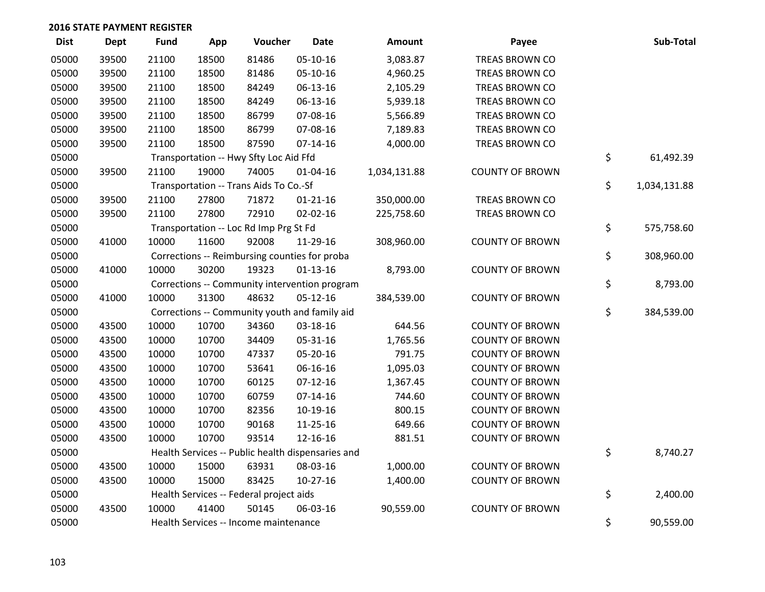| <b>Dist</b> | Dept  | <b>Fund</b> | App   | Voucher                                           | <b>Date</b>    | Amount       | Payee                  | Sub-Total          |
|-------------|-------|-------------|-------|---------------------------------------------------|----------------|--------------|------------------------|--------------------|
| 05000       | 39500 | 21100       | 18500 | 81486                                             | 05-10-16       | 3,083.87     | <b>TREAS BROWN CO</b>  |                    |
| 05000       | 39500 | 21100       | 18500 | 81486                                             | 05-10-16       | 4,960.25     | TREAS BROWN CO         |                    |
| 05000       | 39500 | 21100       | 18500 | 84249                                             | 06-13-16       | 2,105.29     | TREAS BROWN CO         |                    |
| 05000       | 39500 | 21100       | 18500 | 84249                                             | 06-13-16       | 5,939.18     | TREAS BROWN CO         |                    |
| 05000       | 39500 | 21100       | 18500 | 86799                                             | 07-08-16       | 5,566.89     | TREAS BROWN CO         |                    |
| 05000       | 39500 | 21100       | 18500 | 86799                                             | 07-08-16       | 7,189.83     | TREAS BROWN CO         |                    |
| 05000       | 39500 | 21100       | 18500 | 87590                                             | $07 - 14 - 16$ | 4,000.00     | TREAS BROWN CO         |                    |
| 05000       |       |             |       | Transportation -- Hwy Sfty Loc Aid Ffd            |                |              |                        | \$<br>61,492.39    |
| 05000       | 39500 | 21100       | 19000 | 74005                                             | $01 - 04 - 16$ | 1,034,131.88 | <b>COUNTY OF BROWN</b> |                    |
| 05000       |       |             |       | Transportation -- Trans Aids To Co.-Sf            |                |              |                        | \$<br>1,034,131.88 |
| 05000       | 39500 | 21100       | 27800 | 71872                                             | $01 - 21 - 16$ | 350,000.00   | TREAS BROWN CO         |                    |
| 05000       | 39500 | 21100       | 27800 | 72910                                             | $02 - 02 - 16$ | 225,758.60   | TREAS BROWN CO         |                    |
| 05000       |       |             |       | Transportation -- Loc Rd Imp Prg St Fd            |                |              |                        | \$<br>575,758.60   |
| 05000       | 41000 | 10000       | 11600 | 92008                                             | 11-29-16       | 308,960.00   | <b>COUNTY OF BROWN</b> |                    |
| 05000       |       |             |       | Corrections -- Reimbursing counties for proba     |                |              |                        | \$<br>308,960.00   |
| 05000       | 41000 | 10000       | 30200 | 19323                                             | $01 - 13 - 16$ | 8,793.00     | <b>COUNTY OF BROWN</b> |                    |
| 05000       |       |             |       | Corrections -- Community intervention program     |                |              |                        | \$<br>8,793.00     |
| 05000       | 41000 | 10000       | 31300 | 48632                                             | $05-12-16$     | 384,539.00   | <b>COUNTY OF BROWN</b> |                    |
| 05000       |       |             |       | Corrections -- Community youth and family aid     |                |              |                        | \$<br>384,539.00   |
| 05000       | 43500 | 10000       | 10700 | 34360                                             | 03-18-16       | 644.56       | <b>COUNTY OF BROWN</b> |                    |
| 05000       | 43500 | 10000       | 10700 | 34409                                             | 05-31-16       | 1,765.56     | <b>COUNTY OF BROWN</b> |                    |
| 05000       | 43500 | 10000       | 10700 | 47337                                             | 05-20-16       | 791.75       | <b>COUNTY OF BROWN</b> |                    |
| 05000       | 43500 | 10000       | 10700 | 53641                                             | 06-16-16       | 1,095.03     | <b>COUNTY OF BROWN</b> |                    |
| 05000       | 43500 | 10000       | 10700 | 60125                                             | $07-12-16$     | 1,367.45     | <b>COUNTY OF BROWN</b> |                    |
| 05000       | 43500 | 10000       | 10700 | 60759                                             | $07 - 14 - 16$ | 744.60       | <b>COUNTY OF BROWN</b> |                    |
| 05000       | 43500 | 10000       | 10700 | 82356                                             | 10-19-16       | 800.15       | <b>COUNTY OF BROWN</b> |                    |
| 05000       | 43500 | 10000       | 10700 | 90168                                             | 11-25-16       | 649.66       | <b>COUNTY OF BROWN</b> |                    |
| 05000       | 43500 | 10000       | 10700 | 93514                                             | 12-16-16       | 881.51       | <b>COUNTY OF BROWN</b> |                    |
| 05000       |       |             |       | Health Services -- Public health dispensaries and |                |              |                        | \$<br>8,740.27     |
| 05000       | 43500 | 10000       | 15000 | 63931                                             | 08-03-16       | 1,000.00     | <b>COUNTY OF BROWN</b> |                    |
| 05000       | 43500 | 10000       | 15000 | 83425                                             | $10-27-16$     | 1,400.00     | <b>COUNTY OF BROWN</b> |                    |
| 05000       |       |             |       | Health Services -- Federal project aids           |                |              |                        | \$<br>2,400.00     |
| 05000       | 43500 | 10000       | 41400 | 50145                                             | 06-03-16       | 90,559.00    | <b>COUNTY OF BROWN</b> |                    |
| 05000       |       |             |       | Health Services -- Income maintenance             |                |              |                        | \$<br>90,559.00    |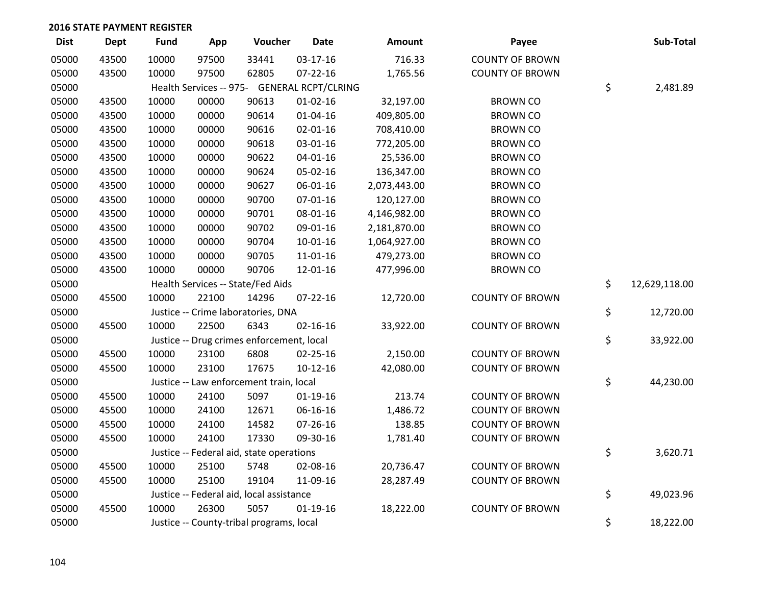| <b>Dist</b> | Dept  | <b>Fund</b> | App   | Voucher                                     | Date           | Amount       | Payee                  | Sub-Total           |
|-------------|-------|-------------|-------|---------------------------------------------|----------------|--------------|------------------------|---------------------|
| 05000       | 43500 | 10000       | 97500 | 33441                                       | 03-17-16       | 716.33       | <b>COUNTY OF BROWN</b> |                     |
| 05000       | 43500 | 10000       | 97500 | 62805                                       | $07 - 22 - 16$ | 1,765.56     | <b>COUNTY OF BROWN</b> |                     |
| 05000       |       |             |       | Health Services -- 975- GENERAL RCPT/CLRING |                |              |                        | \$<br>2,481.89      |
| 05000       | 43500 | 10000       | 00000 | 90613                                       | $01 - 02 - 16$ | 32,197.00    | <b>BROWN CO</b>        |                     |
| 05000       | 43500 | 10000       | 00000 | 90614                                       | $01 - 04 - 16$ | 409,805.00   | <b>BROWN CO</b>        |                     |
| 05000       | 43500 | 10000       | 00000 | 90616                                       | $02 - 01 - 16$ | 708,410.00   | <b>BROWN CO</b>        |                     |
| 05000       | 43500 | 10000       | 00000 | 90618                                       | 03-01-16       | 772,205.00   | <b>BROWN CO</b>        |                     |
| 05000       | 43500 | 10000       | 00000 | 90622                                       | $04 - 01 - 16$ | 25,536.00    | <b>BROWN CO</b>        |                     |
| 05000       | 43500 | 10000       | 00000 | 90624                                       | 05-02-16       | 136,347.00   | <b>BROWN CO</b>        |                     |
| 05000       | 43500 | 10000       | 00000 | 90627                                       | 06-01-16       | 2,073,443.00 | <b>BROWN CO</b>        |                     |
| 05000       | 43500 | 10000       | 00000 | 90700                                       | $07 - 01 - 16$ | 120,127.00   | <b>BROWN CO</b>        |                     |
| 05000       | 43500 | 10000       | 00000 | 90701                                       | 08-01-16       | 4,146,982.00 | <b>BROWN CO</b>        |                     |
| 05000       | 43500 | 10000       | 00000 | 90702                                       | 09-01-16       | 2,181,870.00 | <b>BROWN CO</b>        |                     |
| 05000       | 43500 | 10000       | 00000 | 90704                                       | $10-01-16$     | 1,064,927.00 | <b>BROWN CO</b>        |                     |
| 05000       | 43500 | 10000       | 00000 | 90705                                       | $11 - 01 - 16$ | 479,273.00   | <b>BROWN CO</b>        |                     |
| 05000       | 43500 | 10000       | 00000 | 90706                                       | 12-01-16       | 477,996.00   | <b>BROWN CO</b>        |                     |
| 05000       |       |             |       | Health Services -- State/Fed Aids           |                |              |                        | \$<br>12,629,118.00 |
| 05000       | 45500 | 10000       | 22100 | 14296                                       | $07 - 22 - 16$ | 12,720.00    | <b>COUNTY OF BROWN</b> |                     |
| 05000       |       |             |       | Justice -- Crime laboratories, DNA          |                |              |                        | \$<br>12,720.00     |
| 05000       | 45500 | 10000       | 22500 | 6343                                        | $02 - 16 - 16$ | 33,922.00    | <b>COUNTY OF BROWN</b> |                     |
| 05000       |       |             |       | Justice -- Drug crimes enforcement, local   |                |              |                        | \$<br>33,922.00     |
| 05000       | 45500 | 10000       | 23100 | 6808                                        | $02 - 25 - 16$ | 2,150.00     | <b>COUNTY OF BROWN</b> |                     |
| 05000       | 45500 | 10000       | 23100 | 17675                                       | $10-12-16$     | 42,080.00    | <b>COUNTY OF BROWN</b> |                     |
| 05000       |       |             |       | Justice -- Law enforcement train, local     |                |              |                        | \$<br>44,230.00     |
| 05000       | 45500 | 10000       | 24100 | 5097                                        | $01-19-16$     | 213.74       | <b>COUNTY OF BROWN</b> |                     |
| 05000       | 45500 | 10000       | 24100 | 12671                                       | 06-16-16       | 1,486.72     | <b>COUNTY OF BROWN</b> |                     |
| 05000       | 45500 | 10000       | 24100 | 14582                                       | 07-26-16       | 138.85       | <b>COUNTY OF BROWN</b> |                     |
| 05000       | 45500 | 10000       | 24100 | 17330                                       | 09-30-16       | 1,781.40     | <b>COUNTY OF BROWN</b> |                     |
| 05000       |       |             |       | Justice -- Federal aid, state operations    |                |              |                        | \$<br>3,620.71      |
| 05000       | 45500 | 10000       | 25100 | 5748                                        | 02-08-16       | 20,736.47    | <b>COUNTY OF BROWN</b> |                     |
| 05000       | 45500 | 10000       | 25100 | 19104                                       | 11-09-16       | 28,287.49    | <b>COUNTY OF BROWN</b> |                     |
| 05000       |       |             |       | Justice -- Federal aid, local assistance    |                |              |                        | \$<br>49,023.96     |
| 05000       | 45500 | 10000       | 26300 | 5057                                        | $01-19-16$     | 18,222.00    | <b>COUNTY OF BROWN</b> |                     |
| 05000       |       |             |       | Justice -- County-tribal programs, local    |                |              |                        | \$<br>18,222.00     |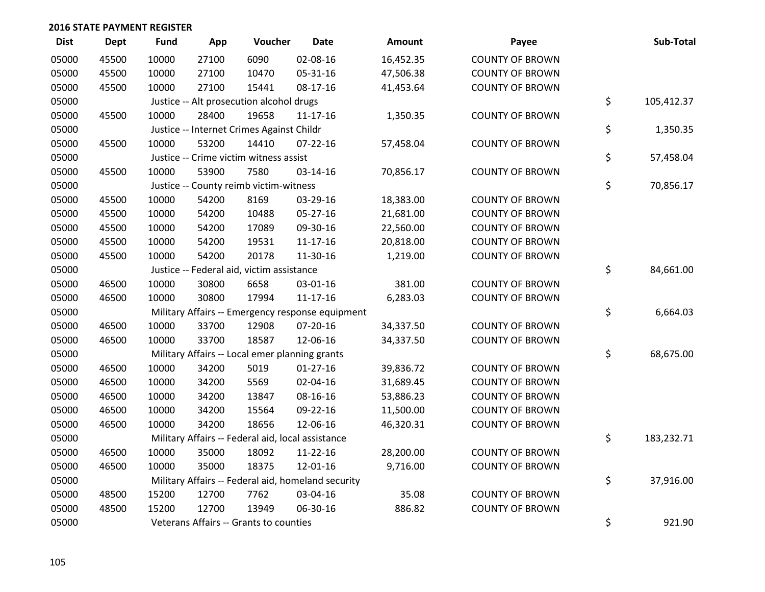| <b>Dist</b> | <b>Dept</b> | <b>Fund</b> | App   | Voucher                                           | <b>Date</b>                                        | Amount    | Payee                  | Sub-Total        |
|-------------|-------------|-------------|-------|---------------------------------------------------|----------------------------------------------------|-----------|------------------------|------------------|
| 05000       | 45500       | 10000       | 27100 | 6090                                              | 02-08-16                                           | 16,452.35 | <b>COUNTY OF BROWN</b> |                  |
| 05000       | 45500       | 10000       | 27100 | 10470                                             | 05-31-16                                           | 47,506.38 | <b>COUNTY OF BROWN</b> |                  |
| 05000       | 45500       | 10000       | 27100 | 15441                                             | 08-17-16                                           | 41,453.64 | <b>COUNTY OF BROWN</b> |                  |
| 05000       |             |             |       | Justice -- Alt prosecution alcohol drugs          |                                                    |           |                        | \$<br>105,412.37 |
| 05000       | 45500       | 10000       | 28400 | 19658                                             | 11-17-16                                           | 1,350.35  | <b>COUNTY OF BROWN</b> |                  |
| 05000       |             |             |       | Justice -- Internet Crimes Against Childr         |                                                    |           |                        | \$<br>1,350.35   |
| 05000       | 45500       | 10000       | 53200 | 14410                                             | $07 - 22 - 16$                                     | 57,458.04 | <b>COUNTY OF BROWN</b> |                  |
| 05000       |             |             |       | Justice -- Crime victim witness assist            |                                                    |           |                        | \$<br>57,458.04  |
| 05000       | 45500       | 10000       | 53900 | 7580                                              | 03-14-16                                           | 70,856.17 | <b>COUNTY OF BROWN</b> |                  |
| 05000       |             |             |       | Justice -- County reimb victim-witness            |                                                    |           |                        | \$<br>70,856.17  |
| 05000       | 45500       | 10000       | 54200 | 8169                                              | 03-29-16                                           | 18,383.00 | <b>COUNTY OF BROWN</b> |                  |
| 05000       | 45500       | 10000       | 54200 | 10488                                             | 05-27-16                                           | 21,681.00 | <b>COUNTY OF BROWN</b> |                  |
| 05000       | 45500       | 10000       | 54200 | 17089                                             | 09-30-16                                           | 22,560.00 | <b>COUNTY OF BROWN</b> |                  |
| 05000       | 45500       | 10000       | 54200 | 19531                                             | $11 - 17 - 16$                                     | 20,818.00 | <b>COUNTY OF BROWN</b> |                  |
| 05000       | 45500       | 10000       | 54200 | 20178                                             | 11-30-16                                           | 1,219.00  | <b>COUNTY OF BROWN</b> |                  |
| 05000       |             |             |       | Justice -- Federal aid, victim assistance         |                                                    |           |                        | \$<br>84,661.00  |
| 05000       | 46500       | 10000       | 30800 | 6658                                              | 03-01-16                                           | 381.00    | <b>COUNTY OF BROWN</b> |                  |
| 05000       | 46500       | 10000       | 30800 | 17994                                             | $11 - 17 - 16$                                     | 6,283.03  | <b>COUNTY OF BROWN</b> |                  |
| 05000       |             |             |       |                                                   | Military Affairs -- Emergency response equipment   |           |                        | \$<br>6,664.03   |
| 05000       | 46500       | 10000       | 33700 | 12908                                             | 07-20-16                                           | 34,337.50 | <b>COUNTY OF BROWN</b> |                  |
| 05000       | 46500       | 10000       | 33700 | 18587                                             | 12-06-16                                           | 34,337.50 | <b>COUNTY OF BROWN</b> |                  |
| 05000       |             |             |       | Military Affairs -- Local emer planning grants    |                                                    |           |                        | \$<br>68,675.00  |
| 05000       | 46500       | 10000       | 34200 | 5019                                              | $01-27-16$                                         | 39,836.72 | <b>COUNTY OF BROWN</b> |                  |
| 05000       | 46500       | 10000       | 34200 | 5569                                              | 02-04-16                                           | 31,689.45 | <b>COUNTY OF BROWN</b> |                  |
| 05000       | 46500       | 10000       | 34200 | 13847                                             | 08-16-16                                           | 53,886.23 | <b>COUNTY OF BROWN</b> |                  |
| 05000       | 46500       | 10000       | 34200 | 15564                                             | 09-22-16                                           | 11,500.00 | <b>COUNTY OF BROWN</b> |                  |
| 05000       | 46500       | 10000       | 34200 | 18656                                             | 12-06-16                                           | 46,320.31 | <b>COUNTY OF BROWN</b> |                  |
| 05000       |             |             |       | Military Affairs -- Federal aid, local assistance |                                                    |           |                        | \$<br>183,232.71 |
| 05000       | 46500       | 10000       | 35000 | 18092                                             | 11-22-16                                           | 28,200.00 | <b>COUNTY OF BROWN</b> |                  |
| 05000       | 46500       | 10000       | 35000 | 18375                                             | 12-01-16                                           | 9,716.00  | <b>COUNTY OF BROWN</b> |                  |
| 05000       |             |             |       |                                                   | Military Affairs -- Federal aid, homeland security |           |                        | \$<br>37,916.00  |
| 05000       | 48500       | 15200       | 12700 | 7762                                              | 03-04-16                                           | 35.08     | <b>COUNTY OF BROWN</b> |                  |
| 05000       | 48500       | 15200       | 12700 | 13949                                             | 06-30-16                                           | 886.82    | <b>COUNTY OF BROWN</b> |                  |
| 05000       |             |             |       | Veterans Affairs -- Grants to counties            |                                                    |           |                        | \$<br>921.90     |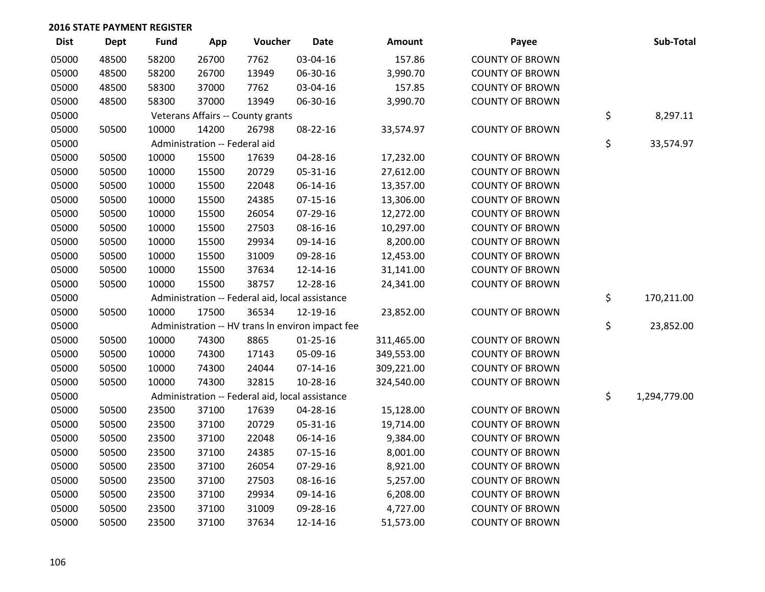| <b>Dist</b> | Dept  | <b>Fund</b> | App                           | Voucher                                          | <b>Date</b>    | Amount     | Payee                  | Sub-Total          |
|-------------|-------|-------------|-------------------------------|--------------------------------------------------|----------------|------------|------------------------|--------------------|
| 05000       | 48500 | 58200       | 26700                         | 7762                                             | 03-04-16       | 157.86     | <b>COUNTY OF BROWN</b> |                    |
| 05000       | 48500 | 58200       | 26700                         | 13949                                            | 06-30-16       | 3,990.70   | <b>COUNTY OF BROWN</b> |                    |
| 05000       | 48500 | 58300       | 37000                         | 7762                                             | 03-04-16       | 157.85     | <b>COUNTY OF BROWN</b> |                    |
| 05000       | 48500 | 58300       | 37000                         | 13949                                            | 06-30-16       | 3,990.70   | <b>COUNTY OF BROWN</b> |                    |
| 05000       |       |             |                               | Veterans Affairs -- County grants                |                |            |                        | \$<br>8,297.11     |
| 05000       | 50500 | 10000       | 14200                         | 26798                                            | 08-22-16       | 33,574.97  | <b>COUNTY OF BROWN</b> |                    |
| 05000       |       |             | Administration -- Federal aid |                                                  |                |            |                        | \$<br>33,574.97    |
| 05000       | 50500 | 10000       | 15500                         | 17639                                            | 04-28-16       | 17,232.00  | <b>COUNTY OF BROWN</b> |                    |
| 05000       | 50500 | 10000       | 15500                         | 20729                                            | 05-31-16       | 27,612.00  | <b>COUNTY OF BROWN</b> |                    |
| 05000       | 50500 | 10000       | 15500                         | 22048                                            | 06-14-16       | 13,357.00  | <b>COUNTY OF BROWN</b> |                    |
| 05000       | 50500 | 10000       | 15500                         | 24385                                            | $07 - 15 - 16$ | 13,306.00  | <b>COUNTY OF BROWN</b> |                    |
| 05000       | 50500 | 10000       | 15500                         | 26054                                            | 07-29-16       | 12,272.00  | <b>COUNTY OF BROWN</b> |                    |
| 05000       | 50500 | 10000       | 15500                         | 27503                                            | 08-16-16       | 10,297.00  | <b>COUNTY OF BROWN</b> |                    |
| 05000       | 50500 | 10000       | 15500                         | 29934                                            | 09-14-16       | 8,200.00   | <b>COUNTY OF BROWN</b> |                    |
| 05000       | 50500 | 10000       | 15500                         | 31009                                            | 09-28-16       | 12,453.00  | <b>COUNTY OF BROWN</b> |                    |
| 05000       | 50500 | 10000       | 15500                         | 37634                                            | 12-14-16       | 31,141.00  | <b>COUNTY OF BROWN</b> |                    |
| 05000       | 50500 | 10000       | 15500                         | 38757                                            | 12-28-16       | 24,341.00  | <b>COUNTY OF BROWN</b> |                    |
| 05000       |       |             |                               | Administration -- Federal aid, local assistance  |                |            |                        | \$<br>170,211.00   |
| 05000       | 50500 | 10000       | 17500                         | 36534                                            | 12-19-16       | 23,852.00  | <b>COUNTY OF BROWN</b> |                    |
| 05000       |       |             |                               | Administration -- HV trans In environ impact fee |                |            |                        | \$<br>23,852.00    |
| 05000       | 50500 | 10000       | 74300                         | 8865                                             | $01 - 25 - 16$ | 311,465.00 | <b>COUNTY OF BROWN</b> |                    |
| 05000       | 50500 | 10000       | 74300                         | 17143                                            | 05-09-16       | 349,553.00 | <b>COUNTY OF BROWN</b> |                    |
| 05000       | 50500 | 10000       | 74300                         | 24044                                            | $07-14-16$     | 309,221.00 | <b>COUNTY OF BROWN</b> |                    |
| 05000       | 50500 | 10000       | 74300                         | 32815                                            | 10-28-16       | 324,540.00 | <b>COUNTY OF BROWN</b> |                    |
| 05000       |       |             |                               | Administration -- Federal aid, local assistance  |                |            |                        | \$<br>1,294,779.00 |
| 05000       | 50500 | 23500       | 37100                         | 17639                                            | 04-28-16       | 15,128.00  | <b>COUNTY OF BROWN</b> |                    |
| 05000       | 50500 | 23500       | 37100                         | 20729                                            | 05-31-16       | 19,714.00  | <b>COUNTY OF BROWN</b> |                    |
| 05000       | 50500 | 23500       | 37100                         | 22048                                            | 06-14-16       | 9,384.00   | <b>COUNTY OF BROWN</b> |                    |
| 05000       | 50500 | 23500       | 37100                         | 24385                                            | $07 - 15 - 16$ | 8,001.00   | <b>COUNTY OF BROWN</b> |                    |
| 05000       | 50500 | 23500       | 37100                         | 26054                                            | 07-29-16       | 8,921.00   | <b>COUNTY OF BROWN</b> |                    |
| 05000       | 50500 | 23500       | 37100                         | 27503                                            | 08-16-16       | 5,257.00   | <b>COUNTY OF BROWN</b> |                    |
| 05000       | 50500 | 23500       | 37100                         | 29934                                            | 09-14-16       | 6,208.00   | <b>COUNTY OF BROWN</b> |                    |
| 05000       | 50500 | 23500       | 37100                         | 31009                                            | 09-28-16       | 4,727.00   | <b>COUNTY OF BROWN</b> |                    |
| 05000       | 50500 | 23500       | 37100                         | 37634                                            | 12-14-16       | 51,573.00  | <b>COUNTY OF BROWN</b> |                    |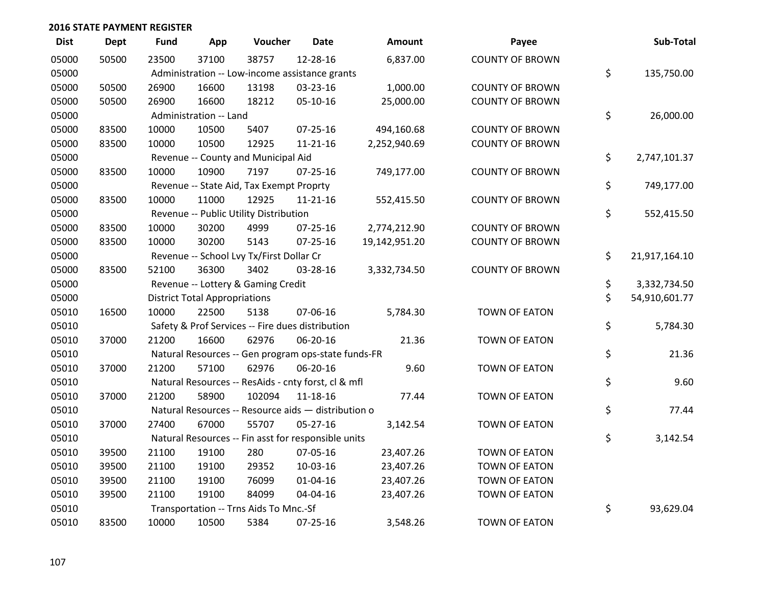| <b>Dist</b> | <b>Dept</b> | <b>Fund</b> | App                                  | Voucher                                             | <b>Date</b>    | <b>Amount</b> | Payee                  | Sub-Total           |
|-------------|-------------|-------------|--------------------------------------|-----------------------------------------------------|----------------|---------------|------------------------|---------------------|
| 05000       | 50500       | 23500       | 37100                                | 38757                                               | 12-28-16       | 6,837.00      | <b>COUNTY OF BROWN</b> |                     |
| 05000       |             |             |                                      | Administration -- Low-income assistance grants      |                |               |                        | \$<br>135,750.00    |
| 05000       | 50500       | 26900       | 16600                                | 13198                                               | 03-23-16       | 1,000.00      | <b>COUNTY OF BROWN</b> |                     |
| 05000       | 50500       | 26900       | 16600                                | 18212                                               | 05-10-16       | 25,000.00     | <b>COUNTY OF BROWN</b> |                     |
| 05000       |             |             | Administration -- Land               |                                                     |                |               |                        | \$<br>26,000.00     |
| 05000       | 83500       | 10000       | 10500                                | 5407                                                | 07-25-16       | 494,160.68    | <b>COUNTY OF BROWN</b> |                     |
| 05000       | 83500       | 10000       | 10500                                | 12925                                               | $11 - 21 - 16$ | 2,252,940.69  | <b>COUNTY OF BROWN</b> |                     |
| 05000       |             |             |                                      | Revenue -- County and Municipal Aid                 |                |               |                        | \$<br>2,747,101.37  |
| 05000       | 83500       | 10000       | 10900                                | 7197                                                | $07 - 25 - 16$ | 749,177.00    | <b>COUNTY OF BROWN</b> |                     |
| 05000       |             |             |                                      | Revenue -- State Aid, Tax Exempt Proprty            |                |               |                        | \$<br>749,177.00    |
| 05000       | 83500       | 10000       | 11000                                | 12925                                               | $11 - 21 - 16$ | 552,415.50    | <b>COUNTY OF BROWN</b> |                     |
| 05000       |             |             |                                      | Revenue -- Public Utility Distribution              |                |               |                        | \$<br>552,415.50    |
| 05000       | 83500       | 10000       | 30200                                | 4999                                                | $07 - 25 - 16$ | 2,774,212.90  | <b>COUNTY OF BROWN</b> |                     |
| 05000       | 83500       | 10000       | 30200                                | 5143                                                | $07 - 25 - 16$ | 19,142,951.20 | <b>COUNTY OF BROWN</b> |                     |
| 05000       |             |             |                                      | Revenue -- School Lvy Tx/First Dollar Cr            |                |               |                        | \$<br>21,917,164.10 |
| 05000       | 83500       | 52100       | 36300                                | 3402                                                | 03-28-16       | 3,332,734.50  | <b>COUNTY OF BROWN</b> |                     |
| 05000       |             |             |                                      | Revenue -- Lottery & Gaming Credit                  |                |               |                        | \$<br>3,332,734.50  |
| 05000       |             |             | <b>District Total Appropriations</b> |                                                     |                |               |                        | \$<br>54,910,601.77 |
| 05010       | 16500       | 10000       | 22500                                | 5138                                                | 07-06-16       | 5,784.30      | <b>TOWN OF EATON</b>   |                     |
| 05010       |             |             |                                      | Safety & Prof Services -- Fire dues distribution    |                |               |                        | \$<br>5,784.30      |
| 05010       | 37000       | 21200       | 16600                                | 62976                                               | 06-20-16       | 21.36         | <b>TOWN OF EATON</b>   |                     |
| 05010       |             |             |                                      | Natural Resources -- Gen program ops-state funds-FR |                |               |                        | \$<br>21.36         |
| 05010       | 37000       | 21200       | 57100                                | 62976                                               | 06-20-16       | 9.60          | <b>TOWN OF EATON</b>   |                     |
| 05010       |             |             |                                      | Natural Resources -- ResAids - cnty forst, cl & mfl |                |               |                        | \$<br>9.60          |
| 05010       | 37000       | 21200       | 58900                                | 102094                                              | 11-18-16       | 77.44         | <b>TOWN OF EATON</b>   |                     |
| 05010       |             |             |                                      | Natural Resources -- Resource aids - distribution o |                |               |                        | \$<br>77.44         |
| 05010       | 37000       | 27400       | 67000                                | 55707                                               | $05-27-16$     | 3,142.54      | TOWN OF EATON          |                     |
| 05010       |             |             |                                      | Natural Resources -- Fin asst for responsible units |                |               |                        | \$<br>3,142.54      |
| 05010       | 39500       | 21100       | 19100                                | 280                                                 | 07-05-16       | 23,407.26     | <b>TOWN OF EATON</b>   |                     |
| 05010       | 39500       | 21100       | 19100                                | 29352                                               | 10-03-16       | 23,407.26     | <b>TOWN OF EATON</b>   |                     |
| 05010       | 39500       | 21100       | 19100                                | 76099                                               | 01-04-16       | 23,407.26     | TOWN OF EATON          |                     |
| 05010       | 39500       | 21100       | 19100                                | 84099                                               | 04-04-16       | 23,407.26     | TOWN OF EATON          |                     |
| 05010       |             |             |                                      | Transportation -- Trns Aids To Mnc.-Sf              |                |               |                        | \$<br>93,629.04     |
| 05010       | 83500       | 10000       | 10500                                | 5384                                                | $07 - 25 - 16$ | 3,548.26      | <b>TOWN OF EATON</b>   |                     |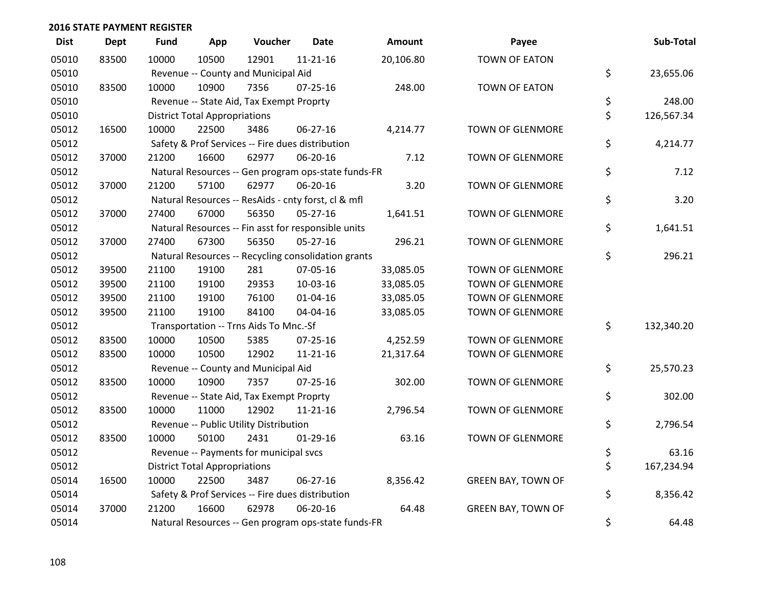| <b>Dist</b> | <b>Dept</b> | <b>Fund</b> | App                                  | Voucher                                          | <b>Date</b>                                         | <b>Amount</b> | Payee                     | Sub-Total        |
|-------------|-------------|-------------|--------------------------------------|--------------------------------------------------|-----------------------------------------------------|---------------|---------------------------|------------------|
| 05010       | 83500       | 10000       | 10500                                | 12901                                            | $11 - 21 - 16$                                      | 20,106.80     | <b>TOWN OF EATON</b>      |                  |
| 05010       |             |             |                                      | Revenue -- County and Municipal Aid              |                                                     |               |                           | \$<br>23,655.06  |
| 05010       | 83500       | 10000       | 10900                                | 7356                                             | $07 - 25 - 16$                                      | 248.00        | <b>TOWN OF EATON</b>      |                  |
| 05010       |             |             |                                      | Revenue -- State Aid, Tax Exempt Proprty         |                                                     |               |                           | \$<br>248.00     |
| 05010       |             |             | <b>District Total Appropriations</b> |                                                  |                                                     |               |                           | \$<br>126,567.34 |
| 05012       | 16500       | 10000       | 22500                                | 3486                                             | 06-27-16                                            | 4,214.77      | TOWN OF GLENMORE          |                  |
| 05012       |             |             |                                      | Safety & Prof Services -- Fire dues distribution |                                                     |               |                           | \$<br>4,214.77   |
| 05012       | 37000       | 21200       | 16600                                | 62977                                            | 06-20-16                                            | 7.12          | <b>TOWN OF GLENMORE</b>   |                  |
| 05012       |             |             |                                      |                                                  | Natural Resources -- Gen program ops-state funds-FR |               |                           | \$<br>7.12       |
| 05012       | 37000       | 21200       | 57100                                | 62977                                            | 06-20-16                                            | 3.20          | <b>TOWN OF GLENMORE</b>   |                  |
| 05012       |             |             |                                      |                                                  | Natural Resources -- ResAids - cnty forst, cl & mfl |               |                           | \$<br>3.20       |
| 05012       | 37000       | 27400       | 67000                                | 56350                                            | $05 - 27 - 16$                                      | 1,641.51      | TOWN OF GLENMORE          |                  |
| 05012       |             |             |                                      |                                                  | Natural Resources -- Fin asst for responsible units |               |                           | \$<br>1,641.51   |
| 05012       | 37000       | 27400       | 67300                                | 56350                                            | 05-27-16                                            | 296.21        | <b>TOWN OF GLENMORE</b>   |                  |
| 05012       |             |             |                                      |                                                  | Natural Resources -- Recycling consolidation grants |               |                           | \$<br>296.21     |
| 05012       | 39500       | 21100       | 19100                                | 281                                              | 07-05-16                                            | 33,085.05     | <b>TOWN OF GLENMORE</b>   |                  |
| 05012       | 39500       | 21100       | 19100                                | 29353                                            | 10-03-16                                            | 33,085.05     | <b>TOWN OF GLENMORE</b>   |                  |
| 05012       | 39500       | 21100       | 19100                                | 76100                                            | $01 - 04 - 16$                                      | 33,085.05     | <b>TOWN OF GLENMORE</b>   |                  |
| 05012       | 39500       | 21100       | 19100                                | 84100                                            | 04-04-16                                            | 33,085.05     | <b>TOWN OF GLENMORE</b>   |                  |
| 05012       |             |             |                                      | Transportation -- Trns Aids To Mnc.-Sf           |                                                     |               |                           | \$<br>132,340.20 |
| 05012       | 83500       | 10000       | 10500                                | 5385                                             | $07 - 25 - 16$                                      | 4,252.59      | <b>TOWN OF GLENMORE</b>   |                  |
| 05012       | 83500       | 10000       | 10500                                | 12902                                            | $11 - 21 - 16$                                      | 21,317.64     | <b>TOWN OF GLENMORE</b>   |                  |
| 05012       |             |             |                                      | Revenue -- County and Municipal Aid              |                                                     |               |                           | \$<br>25,570.23  |
| 05012       | 83500       | 10000       | 10900                                | 7357                                             | $07 - 25 - 16$                                      | 302.00        | <b>TOWN OF GLENMORE</b>   |                  |
| 05012       |             |             |                                      | Revenue -- State Aid, Tax Exempt Proprty         |                                                     |               |                           | \$<br>302.00     |
| 05012       | 83500       | 10000       | 11000                                | 12902                                            | $11 - 21 - 16$                                      | 2,796.54      | <b>TOWN OF GLENMORE</b>   |                  |
| 05012       |             |             |                                      | Revenue -- Public Utility Distribution           |                                                     |               |                           | \$<br>2,796.54   |
| 05012       | 83500       | 10000       | 50100                                | 2431                                             | $01-29-16$                                          | 63.16         | <b>TOWN OF GLENMORE</b>   |                  |
| 05012       |             |             |                                      | Revenue -- Payments for municipal svcs           |                                                     |               |                           | \$<br>63.16      |
| 05012       |             |             | <b>District Total Appropriations</b> |                                                  |                                                     |               |                           | \$<br>167,234.94 |
| 05014       | 16500       | 10000       | 22500                                | 3487                                             | 06-27-16                                            | 8,356.42      | <b>GREEN BAY, TOWN OF</b> |                  |
| 05014       |             |             |                                      | Safety & Prof Services -- Fire dues distribution |                                                     |               |                           | \$<br>8,356.42   |
| 05014       | 37000       | 21200       | 16600                                | 62978                                            | 06-20-16                                            | 64.48         | <b>GREEN BAY, TOWN OF</b> |                  |
| 05014       |             |             |                                      |                                                  | Natural Resources -- Gen program ops-state funds-FR |               |                           | \$<br>64.48      |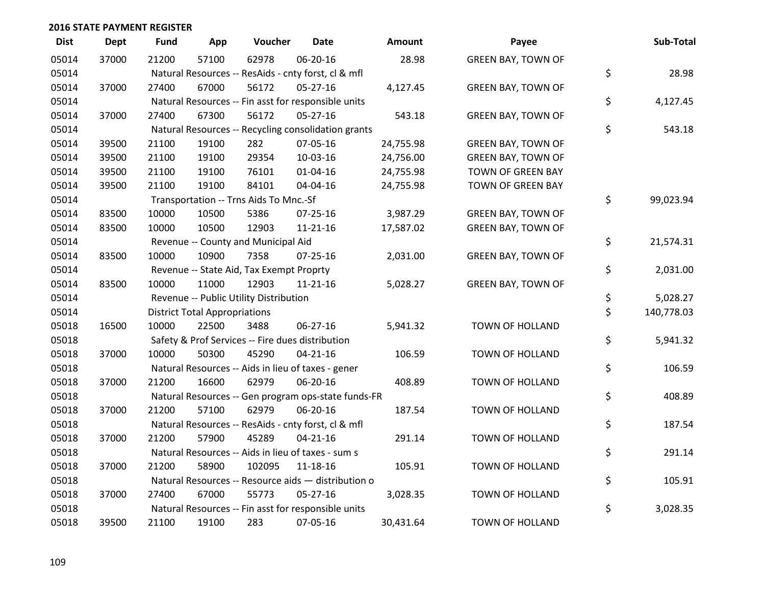| <b>Dist</b> | <b>Dept</b> | <b>Fund</b> | App                                  | Voucher                                             | Date           | <b>Amount</b> | Payee                     | Sub-Total        |
|-------------|-------------|-------------|--------------------------------------|-----------------------------------------------------|----------------|---------------|---------------------------|------------------|
| 05014       | 37000       | 21200       | 57100                                | 62978                                               | 06-20-16       | 28.98         | <b>GREEN BAY, TOWN OF</b> |                  |
| 05014       |             |             |                                      | Natural Resources -- ResAids - cnty forst, cl & mfl |                |               |                           | \$<br>28.98      |
| 05014       | 37000       | 27400       | 67000                                | 56172                                               | $05 - 27 - 16$ | 4,127.45      | <b>GREEN BAY, TOWN OF</b> |                  |
| 05014       |             |             |                                      | Natural Resources -- Fin asst for responsible units |                |               |                           | \$<br>4,127.45   |
| 05014       | 37000       | 27400       | 67300                                | 56172                                               | $05 - 27 - 16$ | 543.18        | <b>GREEN BAY, TOWN OF</b> |                  |
| 05014       |             |             |                                      | Natural Resources -- Recycling consolidation grants |                |               |                           | \$<br>543.18     |
| 05014       | 39500       | 21100       | 19100                                | 282                                                 | 07-05-16       | 24,755.98     | <b>GREEN BAY, TOWN OF</b> |                  |
| 05014       | 39500       | 21100       | 19100                                | 29354                                               | 10-03-16       | 24,756.00     | <b>GREEN BAY, TOWN OF</b> |                  |
| 05014       | 39500       | 21100       | 19100                                | 76101                                               | $01 - 04 - 16$ | 24,755.98     | TOWN OF GREEN BAY         |                  |
| 05014       | 39500       | 21100       | 19100                                | 84101                                               | 04-04-16       | 24,755.98     | TOWN OF GREEN BAY         |                  |
| 05014       |             |             |                                      | Transportation -- Trns Aids To Mnc.-Sf              |                |               |                           | \$<br>99,023.94  |
| 05014       | 83500       | 10000       | 10500                                | 5386                                                | $07 - 25 - 16$ | 3,987.29      | <b>GREEN BAY, TOWN OF</b> |                  |
| 05014       | 83500       | 10000       | 10500                                | 12903                                               | $11 - 21 - 16$ | 17,587.02     | <b>GREEN BAY, TOWN OF</b> |                  |
| 05014       |             |             |                                      | Revenue -- County and Municipal Aid                 |                |               |                           | \$<br>21,574.31  |
| 05014       | 83500       | 10000       | 10900                                | 7358                                                | $07 - 25 - 16$ | 2,031.00      | <b>GREEN BAY, TOWN OF</b> |                  |
| 05014       |             |             |                                      | Revenue -- State Aid, Tax Exempt Proprty            |                |               |                           | \$<br>2,031.00   |
| 05014       | 83500       | 10000       | 11000                                | 12903                                               | $11 - 21 - 16$ | 5,028.27      | <b>GREEN BAY, TOWN OF</b> |                  |
| 05014       |             |             |                                      | Revenue -- Public Utility Distribution              |                |               |                           | \$<br>5,028.27   |
| 05014       |             |             | <b>District Total Appropriations</b> |                                                     |                |               |                           | \$<br>140,778.03 |
| 05018       | 16500       | 10000       | 22500                                | 3488                                                | 06-27-16       | 5,941.32      | TOWN OF HOLLAND           |                  |
| 05018       |             |             |                                      | Safety & Prof Services -- Fire dues distribution    |                |               |                           | \$<br>5,941.32   |
| 05018       | 37000       | 10000       | 50300                                | 45290                                               | $04 - 21 - 16$ | 106.59        | <b>TOWN OF HOLLAND</b>    |                  |
| 05018       |             |             |                                      | Natural Resources -- Aids in lieu of taxes - gener  |                |               |                           | \$<br>106.59     |
| 05018       | 37000       | 21200       | 16600                                | 62979                                               | 06-20-16       | 408.89        | TOWN OF HOLLAND           |                  |
| 05018       |             |             |                                      | Natural Resources -- Gen program ops-state funds-FR |                |               |                           | \$<br>408.89     |
| 05018       | 37000       | 21200       | 57100                                | 62979                                               | 06-20-16       | 187.54        | TOWN OF HOLLAND           |                  |
| 05018       |             |             |                                      | Natural Resources -- ResAids - cnty forst, cl & mfl |                |               |                           | \$<br>187.54     |
| 05018       | 37000       | 21200       | 57900                                | 45289                                               | $04 - 21 - 16$ | 291.14        | TOWN OF HOLLAND           |                  |
| 05018       |             |             |                                      | Natural Resources -- Aids in lieu of taxes - sum s  |                |               |                           | \$<br>291.14     |
| 05018       | 37000       | 21200       | 58900                                | 102095                                              | $11 - 18 - 16$ | 105.91        | TOWN OF HOLLAND           |                  |
| 05018       |             |             |                                      | Natural Resources -- Resource aids - distribution o |                |               |                           | \$<br>105.91     |
| 05018       | 37000       | 27400       | 67000                                | 55773                                               | $05 - 27 - 16$ | 3,028.35      | TOWN OF HOLLAND           |                  |
| 05018       |             |             |                                      | Natural Resources -- Fin asst for responsible units |                |               |                           | \$<br>3,028.35   |
| 05018       | 39500       | 21100       | 19100                                | 283                                                 | 07-05-16       | 30,431.64     | TOWN OF HOLLAND           |                  |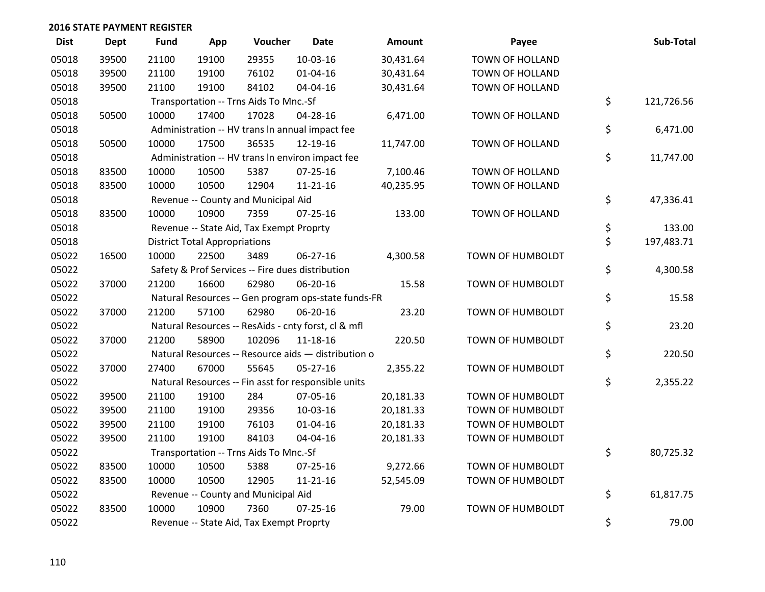| <b>Dist</b> | Dept  | <b>Fund</b> | App                                  | Voucher                                             | <b>Date</b>    | <b>Amount</b> | Payee                   | Sub-Total        |
|-------------|-------|-------------|--------------------------------------|-----------------------------------------------------|----------------|---------------|-------------------------|------------------|
| 05018       | 39500 | 21100       | 19100                                | 29355                                               | 10-03-16       | 30,431.64     | <b>TOWN OF HOLLAND</b>  |                  |
| 05018       | 39500 | 21100       | 19100                                | 76102                                               | 01-04-16       | 30,431.64     | TOWN OF HOLLAND         |                  |
| 05018       | 39500 | 21100       | 19100                                | 84102                                               | 04-04-16       | 30,431.64     | TOWN OF HOLLAND         |                  |
| 05018       |       |             |                                      | Transportation -- Trns Aids To Mnc.-Sf              |                |               |                         | \$<br>121,726.56 |
| 05018       | 50500 | 10000       | 17400                                | 17028                                               | 04-28-16       | 6,471.00      | <b>TOWN OF HOLLAND</b>  |                  |
| 05018       |       |             |                                      | Administration -- HV trans In annual impact fee     |                |               |                         | \$<br>6,471.00   |
| 05018       | 50500 | 10000       | 17500                                | 36535                                               | 12-19-16       | 11,747.00     | TOWN OF HOLLAND         |                  |
| 05018       |       |             |                                      | Administration -- HV trans In environ impact fee    |                |               |                         | \$<br>11,747.00  |
| 05018       | 83500 | 10000       | 10500                                | 5387                                                | $07 - 25 - 16$ | 7,100.46      | TOWN OF HOLLAND         |                  |
| 05018       | 83500 | 10000       | 10500                                | 12904                                               | $11 - 21 - 16$ | 40,235.95     | TOWN OF HOLLAND         |                  |
| 05018       |       |             |                                      | Revenue -- County and Municipal Aid                 |                |               |                         | \$<br>47,336.41  |
| 05018       | 83500 | 10000       | 10900                                | 7359                                                | $07 - 25 - 16$ | 133.00        | <b>TOWN OF HOLLAND</b>  |                  |
| 05018       |       |             |                                      | Revenue -- State Aid, Tax Exempt Proprty            |                |               |                         | \$<br>133.00     |
| 05018       |       |             | <b>District Total Appropriations</b> |                                                     |                |               |                         | \$<br>197,483.71 |
| 05022       | 16500 | 10000       | 22500                                | 3489                                                | 06-27-16       | 4,300.58      | TOWN OF HUMBOLDT        |                  |
| 05022       |       |             |                                      | Safety & Prof Services -- Fire dues distribution    |                |               |                         | \$<br>4,300.58   |
| 05022       | 37000 | 21200       | 16600                                | 62980                                               | 06-20-16       | 15.58         | TOWN OF HUMBOLDT        |                  |
| 05022       |       |             |                                      | Natural Resources -- Gen program ops-state funds-FR |                |               |                         | \$<br>15.58      |
| 05022       | 37000 | 21200       | 57100                                | 62980                                               | 06-20-16       | 23.20         | TOWN OF HUMBOLDT        |                  |
| 05022       |       |             |                                      | Natural Resources -- ResAids - cnty forst, cl & mfl |                |               |                         | \$<br>23.20      |
| 05022       | 37000 | 21200       | 58900                                | 102096                                              | $11 - 18 - 16$ | 220.50        | TOWN OF HUMBOLDT        |                  |
| 05022       |       |             |                                      | Natural Resources -- Resource aids - distribution o |                |               |                         | \$<br>220.50     |
| 05022       | 37000 | 27400       | 67000                                | 55645                                               | 05-27-16       | 2,355.22      | TOWN OF HUMBOLDT        |                  |
| 05022       |       |             |                                      | Natural Resources -- Fin asst for responsible units |                |               |                         | \$<br>2,355.22   |
| 05022       | 39500 | 21100       | 19100                                | 284                                                 | 07-05-16       | 20,181.33     | TOWN OF HUMBOLDT        |                  |
| 05022       | 39500 | 21100       | 19100                                | 29356                                               | 10-03-16       | 20,181.33     | TOWN OF HUMBOLDT        |                  |
| 05022       | 39500 | 21100       | 19100                                | 76103                                               | 01-04-16       | 20,181.33     | TOWN OF HUMBOLDT        |                  |
| 05022       | 39500 | 21100       | 19100                                | 84103                                               | 04-04-16       | 20,181.33     | TOWN OF HUMBOLDT        |                  |
| 05022       |       |             |                                      | Transportation -- Trns Aids To Mnc.-Sf              |                |               |                         | \$<br>80,725.32  |
| 05022       | 83500 | 10000       | 10500                                | 5388                                                | $07 - 25 - 16$ | 9,272.66      | TOWN OF HUMBOLDT        |                  |
| 05022       | 83500 | 10000       | 10500                                | 12905                                               | $11 - 21 - 16$ | 52,545.09     | TOWN OF HUMBOLDT        |                  |
| 05022       |       |             |                                      | Revenue -- County and Municipal Aid                 |                |               |                         | \$<br>61,817.75  |
| 05022       | 83500 | 10000       | 10900                                | 7360                                                | $07 - 25 - 16$ | 79.00         | <b>TOWN OF HUMBOLDT</b> |                  |
| 05022       |       |             |                                      | Revenue -- State Aid, Tax Exempt Proprty            |                |               |                         | \$<br>79.00      |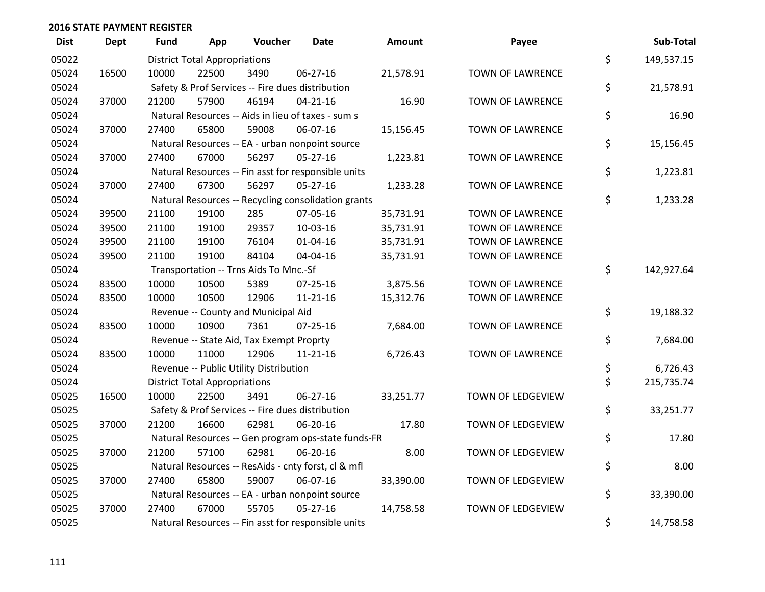| <b>Dist</b> | Dept  | <b>Fund</b> | App                                  | Voucher                                             | Date           | <b>Amount</b> | Payee                   | Sub-Total        |
|-------------|-------|-------------|--------------------------------------|-----------------------------------------------------|----------------|---------------|-------------------------|------------------|
| 05022       |       |             | <b>District Total Appropriations</b> |                                                     |                |               |                         | \$<br>149,537.15 |
| 05024       | 16500 | 10000       | 22500                                | 3490                                                | 06-27-16       | 21,578.91     | TOWN OF LAWRENCE        |                  |
| 05024       |       |             |                                      | Safety & Prof Services -- Fire dues distribution    |                |               |                         | \$<br>21,578.91  |
| 05024       | 37000 | 21200       | 57900                                | 46194                                               | $04 - 21 - 16$ | 16.90         | <b>TOWN OF LAWRENCE</b> |                  |
| 05024       |       |             |                                      | Natural Resources -- Aids in lieu of taxes - sum s  |                |               |                         | \$<br>16.90      |
| 05024       | 37000 | 27400       | 65800                                | 59008                                               | 06-07-16       | 15,156.45     | <b>TOWN OF LAWRENCE</b> |                  |
| 05024       |       |             |                                      | Natural Resources -- EA - urban nonpoint source     |                |               |                         | \$<br>15,156.45  |
| 05024       | 37000 | 27400       | 67000                                | 56297                                               | $05 - 27 - 16$ | 1,223.81      | TOWN OF LAWRENCE        |                  |
| 05024       |       |             |                                      | Natural Resources -- Fin asst for responsible units |                |               |                         | \$<br>1,223.81   |
| 05024       | 37000 | 27400       | 67300                                | 56297                                               | 05-27-16       | 1,233.28      | TOWN OF LAWRENCE        |                  |
| 05024       |       |             |                                      | Natural Resources -- Recycling consolidation grants |                |               |                         | \$<br>1,233.28   |
| 05024       | 39500 | 21100       | 19100                                | 285                                                 | 07-05-16       | 35,731.91     | <b>TOWN OF LAWRENCE</b> |                  |
| 05024       | 39500 | 21100       | 19100                                | 29357                                               | 10-03-16       | 35,731.91     | TOWN OF LAWRENCE        |                  |
| 05024       | 39500 | 21100       | 19100                                | 76104                                               | $01 - 04 - 16$ | 35,731.91     | <b>TOWN OF LAWRENCE</b> |                  |
| 05024       | 39500 | 21100       | 19100                                | 84104                                               | 04-04-16       | 35,731.91     | TOWN OF LAWRENCE        |                  |
| 05024       |       |             |                                      | Transportation -- Trns Aids To Mnc.-Sf              |                |               |                         | \$<br>142,927.64 |
| 05024       | 83500 | 10000       | 10500                                | 5389                                                | $07 - 25 - 16$ | 3,875.56      | TOWN OF LAWRENCE        |                  |
| 05024       | 83500 | 10000       | 10500                                | 12906                                               | $11 - 21 - 16$ | 15,312.76     | TOWN OF LAWRENCE        |                  |
| 05024       |       |             |                                      | Revenue -- County and Municipal Aid                 |                |               |                         | \$<br>19,188.32  |
| 05024       | 83500 | 10000       | 10900                                | 7361                                                | $07 - 25 - 16$ | 7,684.00      | TOWN OF LAWRENCE        |                  |
| 05024       |       |             |                                      | Revenue -- State Aid, Tax Exempt Proprty            |                |               |                         | \$<br>7,684.00   |
| 05024       | 83500 | 10000       | 11000                                | 12906                                               | $11 - 21 - 16$ | 6,726.43      | <b>TOWN OF LAWRENCE</b> |                  |
| 05024       |       |             |                                      | Revenue -- Public Utility Distribution              |                |               |                         | \$<br>6,726.43   |
| 05024       |       |             | <b>District Total Appropriations</b> |                                                     |                |               |                         | \$<br>215,735.74 |
| 05025       | 16500 | 10000       | 22500                                | 3491                                                | 06-27-16       | 33,251.77     | TOWN OF LEDGEVIEW       |                  |
| 05025       |       |             |                                      | Safety & Prof Services -- Fire dues distribution    |                |               |                         | \$<br>33,251.77  |
| 05025       | 37000 | 21200       | 16600                                | 62981                                               | 06-20-16       | 17.80         | TOWN OF LEDGEVIEW       |                  |
| 05025       |       |             |                                      | Natural Resources -- Gen program ops-state funds-FR |                |               |                         | \$<br>17.80      |
| 05025       | 37000 | 21200       | 57100                                | 62981                                               | 06-20-16       | 8.00          | TOWN OF LEDGEVIEW       |                  |
| 05025       |       |             |                                      | Natural Resources -- ResAids - cnty forst, cl & mfl |                |               |                         | \$<br>8.00       |
| 05025       | 37000 | 27400       | 65800                                | 59007                                               | 06-07-16       | 33,390.00     | TOWN OF LEDGEVIEW       |                  |
| 05025       |       |             |                                      | Natural Resources -- EA - urban nonpoint source     |                |               |                         | \$<br>33,390.00  |
| 05025       | 37000 | 27400       | 67000                                | 55705                                               | $05 - 27 - 16$ | 14,758.58     | TOWN OF LEDGEVIEW       |                  |
| 05025       |       |             |                                      | Natural Resources -- Fin asst for responsible units |                |               |                         | \$<br>14,758.58  |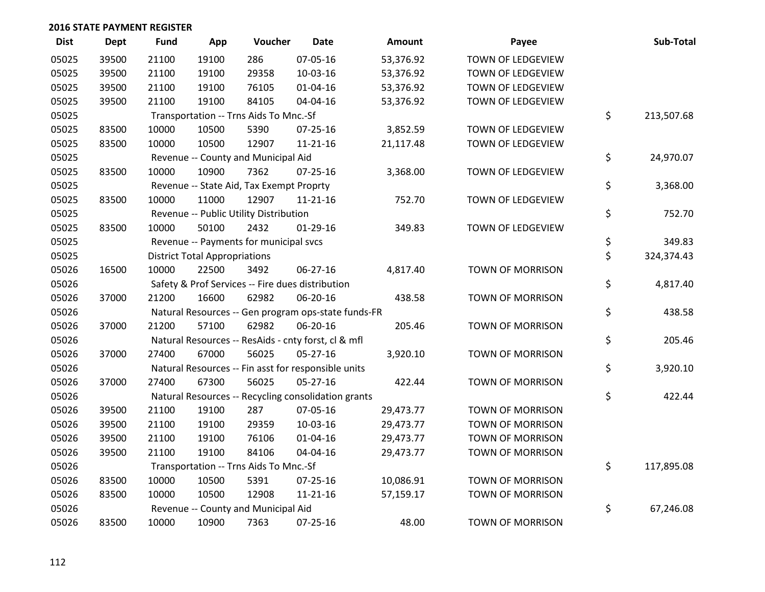| <b>Dist</b> | <b>Dept</b> | <b>Fund</b> | App                                  | Voucher                                             | Date           | <b>Amount</b> | Payee                   | Sub-Total        |
|-------------|-------------|-------------|--------------------------------------|-----------------------------------------------------|----------------|---------------|-------------------------|------------------|
| 05025       | 39500       | 21100       | 19100                                | 286                                                 | 07-05-16       | 53,376.92     | TOWN OF LEDGEVIEW       |                  |
| 05025       | 39500       | 21100       | 19100                                | 29358                                               | 10-03-16       | 53,376.92     | TOWN OF LEDGEVIEW       |                  |
| 05025       | 39500       | 21100       | 19100                                | 76105                                               | $01 - 04 - 16$ | 53,376.92     | TOWN OF LEDGEVIEW       |                  |
| 05025       | 39500       | 21100       | 19100                                | 84105                                               | 04-04-16       | 53,376.92     | TOWN OF LEDGEVIEW       |                  |
| 05025       |             |             |                                      | Transportation -- Trns Aids To Mnc.-Sf              |                |               |                         | \$<br>213,507.68 |
| 05025       | 83500       | 10000       | 10500                                | 5390                                                | $07 - 25 - 16$ | 3,852.59      | TOWN OF LEDGEVIEW       |                  |
| 05025       | 83500       | 10000       | 10500                                | 12907                                               | $11 - 21 - 16$ | 21,117.48     | TOWN OF LEDGEVIEW       |                  |
| 05025       |             |             |                                      | Revenue -- County and Municipal Aid                 |                |               |                         | \$<br>24,970.07  |
| 05025       | 83500       | 10000       | 10900                                | 7362                                                | $07 - 25 - 16$ | 3,368.00      | TOWN OF LEDGEVIEW       |                  |
| 05025       |             |             |                                      | Revenue -- State Aid, Tax Exempt Proprty            |                |               |                         | \$<br>3,368.00   |
| 05025       | 83500       | 10000       | 11000                                | 12907                                               | $11 - 21 - 16$ | 752.70        | TOWN OF LEDGEVIEW       |                  |
| 05025       |             |             |                                      | Revenue -- Public Utility Distribution              |                |               |                         | \$<br>752.70     |
| 05025       | 83500       | 10000       | 50100                                | 2432                                                | $01-29-16$     | 349.83        | TOWN OF LEDGEVIEW       |                  |
| 05025       |             |             |                                      | Revenue -- Payments for municipal svcs              |                |               |                         | \$<br>349.83     |
| 05025       |             |             | <b>District Total Appropriations</b> |                                                     |                |               |                         | \$<br>324,374.43 |
| 05026       | 16500       | 10000       | 22500                                | 3492                                                | 06-27-16       | 4,817.40      | <b>TOWN OF MORRISON</b> |                  |
| 05026       |             |             |                                      | Safety & Prof Services -- Fire dues distribution    |                |               |                         | \$<br>4,817.40   |
| 05026       | 37000       | 21200       | 16600                                | 62982                                               | 06-20-16       | 438.58        | <b>TOWN OF MORRISON</b> |                  |
| 05026       |             |             |                                      | Natural Resources -- Gen program ops-state funds-FR |                |               |                         | \$<br>438.58     |
| 05026       | 37000       | 21200       | 57100                                | 62982                                               | 06-20-16       | 205.46        | TOWN OF MORRISON        |                  |
| 05026       |             |             |                                      | Natural Resources -- ResAids - cnty forst, cl & mfl |                |               |                         | \$<br>205.46     |
| 05026       | 37000       | 27400       | 67000                                | 56025                                               | $05-27-16$     | 3,920.10      | TOWN OF MORRISON        |                  |
| 05026       |             |             |                                      | Natural Resources -- Fin asst for responsible units |                |               |                         | \$<br>3,920.10   |
| 05026       | 37000       | 27400       | 67300                                | 56025                                               | $05-27-16$     | 422.44        | TOWN OF MORRISON        |                  |
| 05026       |             |             |                                      | Natural Resources -- Recycling consolidation grants |                |               |                         | \$<br>422.44     |
| 05026       | 39500       | 21100       | 19100                                | 287                                                 | 07-05-16       | 29,473.77     | TOWN OF MORRISON        |                  |
| 05026       | 39500       | 21100       | 19100                                | 29359                                               | 10-03-16       | 29,473.77     | <b>TOWN OF MORRISON</b> |                  |
| 05026       | 39500       | 21100       | 19100                                | 76106                                               | $01 - 04 - 16$ | 29,473.77     | <b>TOWN OF MORRISON</b> |                  |
| 05026       | 39500       | 21100       | 19100                                | 84106                                               | 04-04-16       | 29,473.77     | TOWN OF MORRISON        |                  |
| 05026       |             |             |                                      | Transportation -- Trns Aids To Mnc.-Sf              |                |               |                         | \$<br>117,895.08 |
| 05026       | 83500       | 10000       | 10500                                | 5391                                                | 07-25-16       | 10,086.91     | TOWN OF MORRISON        |                  |
| 05026       | 83500       | 10000       | 10500                                | 12908                                               | $11 - 21 - 16$ | 57,159.17     | <b>TOWN OF MORRISON</b> |                  |
| 05026       |             |             |                                      | Revenue -- County and Municipal Aid                 |                |               |                         | \$<br>67,246.08  |
| 05026       | 83500       | 10000       | 10900                                | 7363                                                | $07 - 25 - 16$ | 48.00         | <b>TOWN OF MORRISON</b> |                  |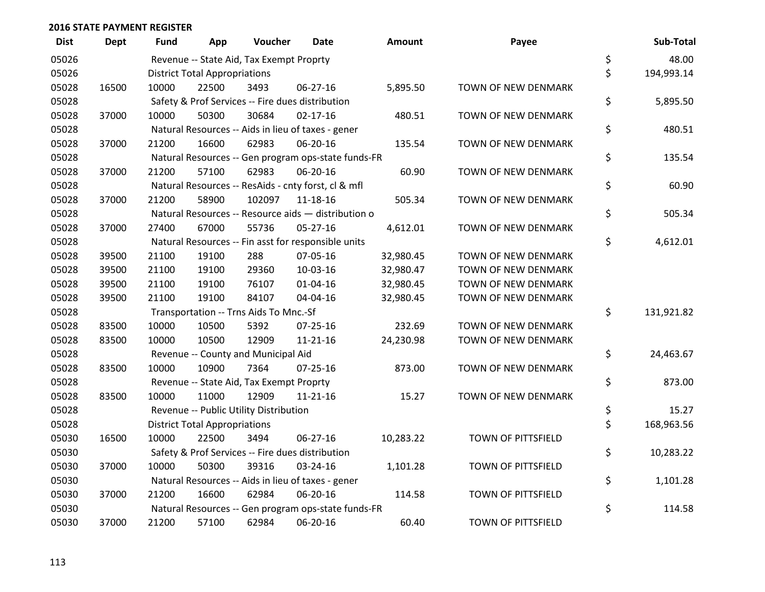| <b>Dist</b> | <b>Dept</b> | <b>Fund</b> | App                                  | Voucher                                             | <b>Date</b>    | Amount    | Payee                     | Sub-Total        |
|-------------|-------------|-------------|--------------------------------------|-----------------------------------------------------|----------------|-----------|---------------------------|------------------|
| 05026       |             |             |                                      | Revenue -- State Aid, Tax Exempt Proprty            |                |           |                           | \$<br>48.00      |
| 05026       |             |             | <b>District Total Appropriations</b> |                                                     |                |           |                           | \$<br>194,993.14 |
| 05028       | 16500       | 10000       | 22500                                | 3493                                                | 06-27-16       | 5,895.50  | TOWN OF NEW DENMARK       |                  |
| 05028       |             |             |                                      | Safety & Prof Services -- Fire dues distribution    |                |           |                           | \$<br>5,895.50   |
| 05028       | 37000       | 10000       | 50300                                | 30684                                               | $02 - 17 - 16$ | 480.51    | TOWN OF NEW DENMARK       |                  |
| 05028       |             |             |                                      | Natural Resources -- Aids in lieu of taxes - gener  |                |           |                           | \$<br>480.51     |
| 05028       | 37000       | 21200       | 16600                                | 62983                                               | 06-20-16       | 135.54    | TOWN OF NEW DENMARK       |                  |
| 05028       |             |             |                                      | Natural Resources -- Gen program ops-state funds-FR |                |           |                           | \$<br>135.54     |
| 05028       | 37000       | 21200       | 57100                                | 62983                                               | 06-20-16       | 60.90     | TOWN OF NEW DENMARK       |                  |
| 05028       |             |             |                                      | Natural Resources -- ResAids - cnty forst, cl & mfl |                |           |                           | \$<br>60.90      |
| 05028       | 37000       | 21200       | 58900                                | 102097                                              | 11-18-16       | 505.34    | TOWN OF NEW DENMARK       |                  |
| 05028       |             |             |                                      | Natural Resources -- Resource aids - distribution o |                |           |                           | \$<br>505.34     |
| 05028       | 37000       | 27400       | 67000                                | 55736                                               | $05 - 27 - 16$ | 4,612.01  | TOWN OF NEW DENMARK       |                  |
| 05028       |             |             |                                      | Natural Resources -- Fin asst for responsible units |                |           |                           | \$<br>4,612.01   |
| 05028       | 39500       | 21100       | 19100                                | 288                                                 | 07-05-16       | 32,980.45 | TOWN OF NEW DENMARK       |                  |
| 05028       | 39500       | 21100       | 19100                                | 29360                                               | 10-03-16       | 32,980.47 | TOWN OF NEW DENMARK       |                  |
| 05028       | 39500       | 21100       | 19100                                | 76107                                               | $01 - 04 - 16$ | 32,980.45 | TOWN OF NEW DENMARK       |                  |
| 05028       | 39500       | 21100       | 19100                                | 84107                                               | 04-04-16       | 32,980.45 | TOWN OF NEW DENMARK       |                  |
| 05028       |             |             |                                      | Transportation -- Trns Aids To Mnc.-Sf              |                |           |                           | \$<br>131,921.82 |
| 05028       | 83500       | 10000       | 10500                                | 5392                                                | 07-25-16       | 232.69    | TOWN OF NEW DENMARK       |                  |
| 05028       | 83500       | 10000       | 10500                                | 12909                                               | $11 - 21 - 16$ | 24,230.98 | TOWN OF NEW DENMARK       |                  |
| 05028       |             |             |                                      | Revenue -- County and Municipal Aid                 |                |           |                           | \$<br>24,463.67  |
| 05028       | 83500       | 10000       | 10900                                | 7364                                                | $07 - 25 - 16$ | 873.00    | TOWN OF NEW DENMARK       |                  |
| 05028       |             |             |                                      | Revenue -- State Aid, Tax Exempt Proprty            |                |           |                           | \$<br>873.00     |
| 05028       | 83500       | 10000       | 11000                                | 12909                                               | 11-21-16       | 15.27     | TOWN OF NEW DENMARK       |                  |
| 05028       |             |             |                                      | Revenue -- Public Utility Distribution              |                |           |                           | \$<br>15.27      |
| 05028       |             |             | <b>District Total Appropriations</b> |                                                     |                |           |                           | \$<br>168,963.56 |
| 05030       | 16500       | 10000       | 22500                                | 3494                                                | $06 - 27 - 16$ | 10,283.22 | TOWN OF PITTSFIELD        |                  |
| 05030       |             |             |                                      | Safety & Prof Services -- Fire dues distribution    |                |           |                           | \$<br>10,283.22  |
| 05030       | 37000       | 10000       | 50300                                | 39316                                               | 03-24-16       | 1,101.28  | <b>TOWN OF PITTSFIELD</b> |                  |
| 05030       |             |             |                                      | Natural Resources -- Aids in lieu of taxes - gener  |                |           |                           | \$<br>1,101.28   |
| 05030       | 37000       | 21200       | 16600                                | 62984                                               | 06-20-16       | 114.58    | <b>TOWN OF PITTSFIELD</b> |                  |
| 05030       |             |             |                                      | Natural Resources -- Gen program ops-state funds-FR |                |           |                           | \$<br>114.58     |
| 05030       | 37000       | 21200       | 57100                                | 62984                                               | 06-20-16       | 60.40     | TOWN OF PITTSFIELD        |                  |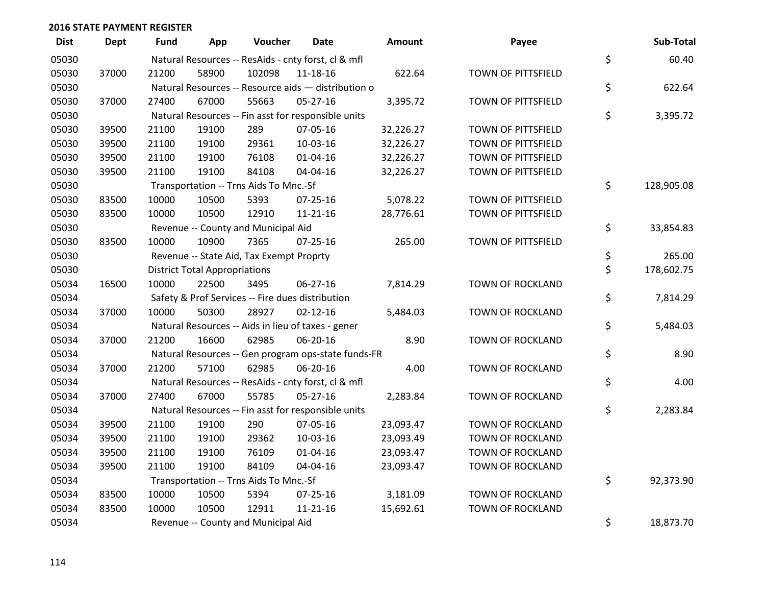| <b>Dist</b> | <b>Dept</b> | <b>Fund</b> | App                                  | Voucher                                             | <b>Date</b>    | Amount    | Payee                     | Sub-Total        |
|-------------|-------------|-------------|--------------------------------------|-----------------------------------------------------|----------------|-----------|---------------------------|------------------|
| 05030       |             |             |                                      | Natural Resources -- ResAids - cnty forst, cl & mfl |                |           |                           | \$<br>60.40      |
| 05030       | 37000       | 21200       | 58900                                | 102098                                              | 11-18-16       | 622.64    | <b>TOWN OF PITTSFIELD</b> |                  |
| 05030       |             |             |                                      | Natural Resources -- Resource aids - distribution o |                |           |                           | \$<br>622.64     |
| 05030       | 37000       | 27400       | 67000                                | 55663                                               | 05-27-16       | 3,395.72  | TOWN OF PITTSFIELD        |                  |
| 05030       |             |             |                                      | Natural Resources -- Fin asst for responsible units |                |           |                           | \$<br>3,395.72   |
| 05030       | 39500       | 21100       | 19100                                | 289                                                 | 07-05-16       | 32,226.27 | TOWN OF PITTSFIELD        |                  |
| 05030       | 39500       | 21100       | 19100                                | 29361                                               | 10-03-16       | 32,226.27 | TOWN OF PITTSFIELD        |                  |
| 05030       | 39500       | 21100       | 19100                                | 76108                                               | $01 - 04 - 16$ | 32,226.27 | TOWN OF PITTSFIELD        |                  |
| 05030       | 39500       | 21100       | 19100                                | 84108                                               | 04-04-16       | 32,226.27 | <b>TOWN OF PITTSFIELD</b> |                  |
| 05030       |             |             |                                      | Transportation -- Trns Aids To Mnc.-Sf              |                |           |                           | \$<br>128,905.08 |
| 05030       | 83500       | 10000       | 10500                                | 5393                                                | 07-25-16       | 5,078.22  | TOWN OF PITTSFIELD        |                  |
| 05030       | 83500       | 10000       | 10500                                | 12910                                               | $11 - 21 - 16$ | 28,776.61 | <b>TOWN OF PITTSFIELD</b> |                  |
| 05030       |             |             |                                      | Revenue -- County and Municipal Aid                 |                |           |                           | \$<br>33,854.83  |
| 05030       | 83500       | 10000       | 10900                                | 7365                                                | $07 - 25 - 16$ | 265.00    | TOWN OF PITTSFIELD        |                  |
| 05030       |             |             |                                      | Revenue -- State Aid, Tax Exempt Proprty            |                |           |                           | \$<br>265.00     |
| 05030       |             |             | <b>District Total Appropriations</b> |                                                     |                |           |                           | \$<br>178,602.75 |
| 05034       | 16500       | 10000       | 22500                                | 3495                                                | 06-27-16       | 7,814.29  | <b>TOWN OF ROCKLAND</b>   |                  |
| 05034       |             |             |                                      | Safety & Prof Services -- Fire dues distribution    |                |           |                           | \$<br>7,814.29   |
| 05034       | 37000       | 10000       | 50300                                | 28927                                               | $02 - 12 - 16$ | 5,484.03  | TOWN OF ROCKLAND          |                  |
| 05034       |             |             |                                      | Natural Resources -- Aids in lieu of taxes - gener  |                |           |                           | \$<br>5,484.03   |
| 05034       | 37000       | 21200       | 16600                                | 62985                                               | 06-20-16       | 8.90      | TOWN OF ROCKLAND          |                  |
| 05034       |             |             |                                      | Natural Resources -- Gen program ops-state funds-FR |                |           |                           | \$<br>8.90       |
| 05034       | 37000       | 21200       | 57100                                | 62985                                               | 06-20-16       | 4.00      | TOWN OF ROCKLAND          |                  |
| 05034       |             |             |                                      | Natural Resources -- ResAids - cnty forst, cl & mfl |                |           |                           | \$<br>4.00       |
| 05034       | 37000       | 27400       | 67000                                | 55785                                               | 05-27-16       | 2,283.84  | TOWN OF ROCKLAND          |                  |
| 05034       |             |             |                                      | Natural Resources -- Fin asst for responsible units |                |           |                           | \$<br>2,283.84   |
| 05034       | 39500       | 21100       | 19100                                | 290                                                 | 07-05-16       | 23,093.47 | TOWN OF ROCKLAND          |                  |
| 05034       | 39500       | 21100       | 19100                                | 29362                                               | 10-03-16       | 23,093.49 | TOWN OF ROCKLAND          |                  |
| 05034       | 39500       | 21100       | 19100                                | 76109                                               | $01 - 04 - 16$ | 23,093.47 | TOWN OF ROCKLAND          |                  |
| 05034       | 39500       | 21100       | 19100                                | 84109                                               | 04-04-16       | 23,093.47 | <b>TOWN OF ROCKLAND</b>   |                  |
| 05034       |             |             |                                      | Transportation -- Trns Aids To Mnc.-Sf              |                |           |                           | \$<br>92,373.90  |
| 05034       | 83500       | 10000       | 10500                                | 5394                                                | 07-25-16       | 3,181.09  | TOWN OF ROCKLAND          |                  |
| 05034       | 83500       | 10000       | 10500                                | 12911                                               | $11 - 21 - 16$ | 15,692.61 | <b>TOWN OF ROCKLAND</b>   |                  |
| 05034       |             |             |                                      | Revenue -- County and Municipal Aid                 |                |           |                           | \$<br>18,873.70  |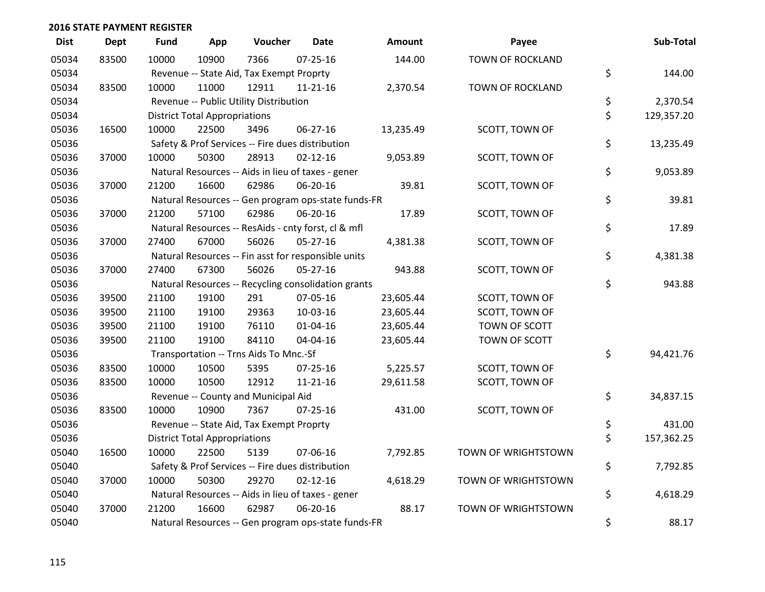| <b>Dist</b> | <b>Dept</b> | <b>Fund</b> | App                                  | Voucher                                          | <b>Date</b>                                         | Amount    | Payee                   | Sub-Total        |
|-------------|-------------|-------------|--------------------------------------|--------------------------------------------------|-----------------------------------------------------|-----------|-------------------------|------------------|
| 05034       | 83500       | 10000       | 10900                                | 7366                                             | $07 - 25 - 16$                                      | 144.00    | <b>TOWN OF ROCKLAND</b> |                  |
| 05034       |             |             |                                      | Revenue -- State Aid, Tax Exempt Proprty         |                                                     |           |                         | \$<br>144.00     |
| 05034       | 83500       | 10000       | 11000                                | 12911                                            | 11-21-16                                            | 2,370.54  | TOWN OF ROCKLAND        |                  |
| 05034       |             |             |                                      | Revenue -- Public Utility Distribution           |                                                     |           |                         | \$<br>2,370.54   |
| 05034       |             |             | <b>District Total Appropriations</b> |                                                  |                                                     |           |                         | \$<br>129,357.20 |
| 05036       | 16500       | 10000       | 22500                                | 3496                                             | 06-27-16                                            | 13,235.49 | SCOTT, TOWN OF          |                  |
| 05036       |             |             |                                      | Safety & Prof Services -- Fire dues distribution |                                                     |           |                         | \$<br>13,235.49  |
| 05036       | 37000       | 10000       | 50300                                | 28913                                            | $02 - 12 - 16$                                      | 9,053.89  | SCOTT, TOWN OF          |                  |
| 05036       |             |             |                                      |                                                  | Natural Resources -- Aids in lieu of taxes - gener  |           |                         | \$<br>9,053.89   |
| 05036       | 37000       | 21200       | 16600                                | 62986                                            | 06-20-16                                            | 39.81     | SCOTT, TOWN OF          |                  |
| 05036       |             |             |                                      |                                                  | Natural Resources -- Gen program ops-state funds-FR |           |                         | \$<br>39.81      |
| 05036       | 37000       | 21200       | 57100                                | 62986                                            | 06-20-16                                            | 17.89     | SCOTT, TOWN OF          |                  |
| 05036       |             |             |                                      |                                                  | Natural Resources -- ResAids - cnty forst, cl & mfl |           |                         | \$<br>17.89      |
| 05036       | 37000       | 27400       | 67000                                | 56026                                            | 05-27-16                                            | 4,381.38  | SCOTT, TOWN OF          |                  |
| 05036       |             |             |                                      |                                                  | Natural Resources -- Fin asst for responsible units |           |                         | \$<br>4,381.38   |
| 05036       | 37000       | 27400       | 67300                                | 56026                                            | 05-27-16                                            | 943.88    | SCOTT, TOWN OF          |                  |
| 05036       |             |             |                                      |                                                  | Natural Resources -- Recycling consolidation grants |           |                         | \$<br>943.88     |
| 05036       | 39500       | 21100       | 19100                                | 291                                              | 07-05-16                                            | 23,605.44 | SCOTT, TOWN OF          |                  |
| 05036       | 39500       | 21100       | 19100                                | 29363                                            | 10-03-16                                            | 23,605.44 | SCOTT, TOWN OF          |                  |
| 05036       | 39500       | 21100       | 19100                                | 76110                                            | $01 - 04 - 16$                                      | 23,605.44 | TOWN OF SCOTT           |                  |
| 05036       | 39500       | 21100       | 19100                                | 84110                                            | 04-04-16                                            | 23,605.44 | TOWN OF SCOTT           |                  |
| 05036       |             |             |                                      | Transportation -- Trns Aids To Mnc.-Sf           |                                                     |           |                         | \$<br>94,421.76  |
| 05036       | 83500       | 10000       | 10500                                | 5395                                             | 07-25-16                                            | 5,225.57  | SCOTT, TOWN OF          |                  |
| 05036       | 83500       | 10000       | 10500                                | 12912                                            | $11 - 21 - 16$                                      | 29,611.58 | SCOTT, TOWN OF          |                  |
| 05036       |             |             |                                      | Revenue -- County and Municipal Aid              |                                                     |           |                         | \$<br>34,837.15  |
| 05036       | 83500       | 10000       | 10900                                | 7367                                             | $07 - 25 - 16$                                      | 431.00    | SCOTT, TOWN OF          |                  |
| 05036       |             |             |                                      | Revenue -- State Aid, Tax Exempt Proprty         |                                                     |           |                         | \$<br>431.00     |
| 05036       |             |             | <b>District Total Appropriations</b> |                                                  |                                                     |           |                         | \$<br>157,362.25 |
| 05040       | 16500       | 10000       | 22500                                | 5139                                             | 07-06-16                                            | 7,792.85  | TOWN OF WRIGHTSTOWN     |                  |
| 05040       |             |             |                                      | Safety & Prof Services -- Fire dues distribution |                                                     |           |                         | \$<br>7,792.85   |
| 05040       | 37000       | 10000       | 50300                                | 29270                                            | $02 - 12 - 16$                                      | 4,618.29  | TOWN OF WRIGHTSTOWN     |                  |
| 05040       |             |             |                                      |                                                  | Natural Resources -- Aids in lieu of taxes - gener  |           |                         | \$<br>4,618.29   |
| 05040       | 37000       | 21200       | 16600                                | 62987                                            | 06-20-16                                            | 88.17     | TOWN OF WRIGHTSTOWN     |                  |
| 05040       |             |             |                                      |                                                  | Natural Resources -- Gen program ops-state funds-FR |           |                         | \$<br>88.17      |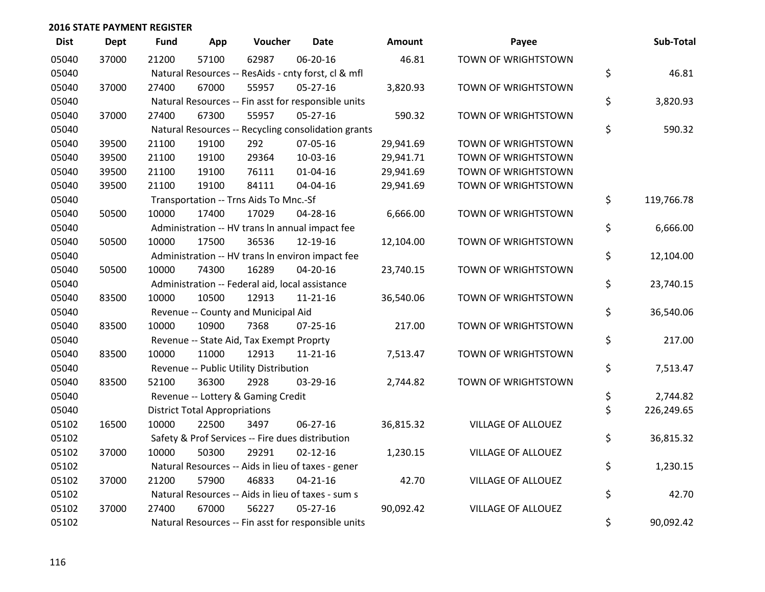| <b>Dist</b> | <b>Dept</b> | <b>Fund</b> | App                                  | Voucher                                         | <b>Date</b>                                         | Amount    | Payee                     | Sub-Total        |
|-------------|-------------|-------------|--------------------------------------|-------------------------------------------------|-----------------------------------------------------|-----------|---------------------------|------------------|
| 05040       | 37000       | 21200       | 57100                                | 62987                                           | 06-20-16                                            | 46.81     | TOWN OF WRIGHTSTOWN       |                  |
| 05040       |             |             |                                      |                                                 | Natural Resources -- ResAids - cnty forst, cl & mfl |           |                           | \$<br>46.81      |
| 05040       | 37000       | 27400       | 67000                                | 55957                                           | $05 - 27 - 16$                                      | 3,820.93  | TOWN OF WRIGHTSTOWN       |                  |
| 05040       |             |             |                                      |                                                 | Natural Resources -- Fin asst for responsible units |           |                           | \$<br>3,820.93   |
| 05040       | 37000       | 27400       | 67300                                | 55957                                           | $05 - 27 - 16$                                      | 590.32    | TOWN OF WRIGHTSTOWN       |                  |
| 05040       |             |             |                                      |                                                 | Natural Resources -- Recycling consolidation grants |           |                           | \$<br>590.32     |
| 05040       | 39500       | 21100       | 19100                                | 292                                             | 07-05-16                                            | 29,941.69 | TOWN OF WRIGHTSTOWN       |                  |
| 05040       | 39500       | 21100       | 19100                                | 29364                                           | 10-03-16                                            | 29,941.71 | TOWN OF WRIGHTSTOWN       |                  |
| 05040       | 39500       | 21100       | 19100                                | 76111                                           | 01-04-16                                            | 29,941.69 | TOWN OF WRIGHTSTOWN       |                  |
| 05040       | 39500       | 21100       | 19100                                | 84111                                           | 04-04-16                                            | 29,941.69 | TOWN OF WRIGHTSTOWN       |                  |
| 05040       |             |             |                                      | Transportation -- Trns Aids To Mnc.-Sf          |                                                     |           |                           | \$<br>119,766.78 |
| 05040       | 50500       | 10000       | 17400                                | 17029                                           | 04-28-16                                            | 6,666.00  | TOWN OF WRIGHTSTOWN       |                  |
| 05040       |             |             |                                      |                                                 | Administration -- HV trans In annual impact fee     |           |                           | \$<br>6,666.00   |
| 05040       | 50500       | 10000       | 17500                                | 36536                                           | 12-19-16                                            | 12,104.00 | TOWN OF WRIGHTSTOWN       |                  |
| 05040       |             |             |                                      |                                                 | Administration -- HV trans In environ impact fee    |           |                           | \$<br>12,104.00  |
| 05040       | 50500       | 10000       | 74300                                | 16289                                           | $04 - 20 - 16$                                      | 23,740.15 | TOWN OF WRIGHTSTOWN       |                  |
| 05040       |             |             |                                      | Administration -- Federal aid, local assistance |                                                     |           |                           | \$<br>23,740.15  |
| 05040       | 83500       | 10000       | 10500                                | 12913                                           | $11 - 21 - 16$                                      | 36,540.06 | TOWN OF WRIGHTSTOWN       |                  |
| 05040       |             |             |                                      | Revenue -- County and Municipal Aid             |                                                     |           |                           | \$<br>36,540.06  |
| 05040       | 83500       | 10000       | 10900                                | 7368                                            | $07 - 25 - 16$                                      | 217.00    | TOWN OF WRIGHTSTOWN       |                  |
| 05040       |             |             |                                      | Revenue -- State Aid, Tax Exempt Proprty        |                                                     |           |                           | \$<br>217.00     |
| 05040       | 83500       | 10000       | 11000                                | 12913                                           | $11 - 21 - 16$                                      | 7,513.47  | TOWN OF WRIGHTSTOWN       |                  |
| 05040       |             |             |                                      | Revenue -- Public Utility Distribution          |                                                     |           |                           | \$<br>7,513.47   |
| 05040       | 83500       | 52100       | 36300                                | 2928                                            | 03-29-16                                            | 2,744.82  | TOWN OF WRIGHTSTOWN       |                  |
| 05040       |             |             |                                      | Revenue -- Lottery & Gaming Credit              |                                                     |           |                           | \$<br>2,744.82   |
| 05040       |             |             | <b>District Total Appropriations</b> |                                                 |                                                     |           |                           | \$<br>226,249.65 |
| 05102       | 16500       | 10000       | 22500                                | 3497                                            | $06 - 27 - 16$                                      | 36,815.32 | VILLAGE OF ALLOUEZ        |                  |
| 05102       |             |             |                                      |                                                 | Safety & Prof Services -- Fire dues distribution    |           |                           | \$<br>36,815.32  |
| 05102       | 37000       | 10000       | 50300                                | 29291                                           | $02 - 12 - 16$                                      | 1,230.15  | VILLAGE OF ALLOUEZ        |                  |
| 05102       |             |             |                                      |                                                 | Natural Resources -- Aids in lieu of taxes - gener  |           |                           | \$<br>1,230.15   |
| 05102       | 37000       | 21200       | 57900                                | 46833                                           | $04 - 21 - 16$                                      | 42.70     | <b>VILLAGE OF ALLOUEZ</b> |                  |
| 05102       |             |             |                                      |                                                 | Natural Resources -- Aids in lieu of taxes - sum s  |           |                           | \$<br>42.70      |
| 05102       | 37000       | 27400       | 67000                                | 56227                                           | $05 - 27 - 16$                                      | 90,092.42 | <b>VILLAGE OF ALLOUEZ</b> |                  |
| 05102       |             |             |                                      |                                                 | Natural Resources -- Fin asst for responsible units |           |                           | \$<br>90,092.42  |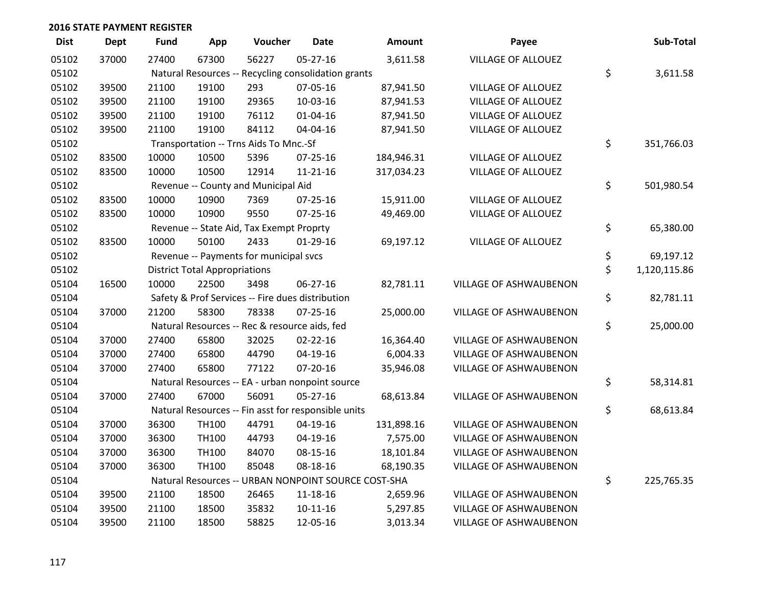| <b>Dist</b> | <b>Dept</b> | <b>Fund</b> | App                                  | Voucher                                       | <b>Date</b>                                         | <b>Amount</b> | Payee                         | Sub-Total          |
|-------------|-------------|-------------|--------------------------------------|-----------------------------------------------|-----------------------------------------------------|---------------|-------------------------------|--------------------|
| 05102       | 37000       | 27400       | 67300                                | 56227                                         | $05 - 27 - 16$                                      | 3,611.58      | <b>VILLAGE OF ALLOUEZ</b>     |                    |
| 05102       |             |             |                                      |                                               | Natural Resources -- Recycling consolidation grants |               |                               | \$<br>3,611.58     |
| 05102       | 39500       | 21100       | 19100                                | 293                                           | 07-05-16                                            | 87,941.50     | VILLAGE OF ALLOUEZ            |                    |
| 05102       | 39500       | 21100       | 19100                                | 29365                                         | 10-03-16                                            | 87,941.53     | <b>VILLAGE OF ALLOUEZ</b>     |                    |
| 05102       | 39500       | 21100       | 19100                                | 76112                                         | $01 - 04 - 16$                                      | 87,941.50     | <b>VILLAGE OF ALLOUEZ</b>     |                    |
| 05102       | 39500       | 21100       | 19100                                | 84112                                         | 04-04-16                                            | 87,941.50     | VILLAGE OF ALLOUEZ            |                    |
| 05102       |             |             |                                      | Transportation -- Trns Aids To Mnc.-Sf        |                                                     |               |                               | \$<br>351,766.03   |
| 05102       | 83500       | 10000       | 10500                                | 5396                                          | $07 - 25 - 16$                                      | 184,946.31    | <b>VILLAGE OF ALLOUEZ</b>     |                    |
| 05102       | 83500       | 10000       | 10500                                | 12914                                         | 11-21-16                                            | 317,034.23    | <b>VILLAGE OF ALLOUEZ</b>     |                    |
| 05102       |             |             |                                      | Revenue -- County and Municipal Aid           |                                                     |               |                               | \$<br>501,980.54   |
| 05102       | 83500       | 10000       | 10900                                | 7369                                          | $07 - 25 - 16$                                      | 15,911.00     | <b>VILLAGE OF ALLOUEZ</b>     |                    |
| 05102       | 83500       | 10000       | 10900                                | 9550                                          | $07 - 25 - 16$                                      | 49,469.00     | <b>VILLAGE OF ALLOUEZ</b>     |                    |
| 05102       |             |             |                                      | Revenue -- State Aid, Tax Exempt Proprty      |                                                     |               |                               | \$<br>65,380.00    |
| 05102       | 83500       | 10000       | 50100                                | 2433                                          | $01-29-16$                                          | 69,197.12     | <b>VILLAGE OF ALLOUEZ</b>     |                    |
| 05102       |             |             |                                      | Revenue -- Payments for municipal svcs        |                                                     |               |                               | \$<br>69,197.12    |
| 05102       |             |             | <b>District Total Appropriations</b> |                                               |                                                     |               |                               | \$<br>1,120,115.86 |
| 05104       | 16500       | 10000       | 22500                                | 3498                                          | 06-27-16                                            | 82,781.11     | VILLAGE OF ASHWAUBENON        |                    |
| 05104       |             |             |                                      |                                               | Safety & Prof Services -- Fire dues distribution    |               |                               | \$<br>82,781.11    |
| 05104       | 37000       | 21200       | 58300                                | 78338                                         | $07 - 25 - 16$                                      | 25,000.00     | VILLAGE OF ASHWAUBENON        |                    |
| 05104       |             |             |                                      | Natural Resources -- Rec & resource aids, fed |                                                     |               |                               | \$<br>25,000.00    |
| 05104       | 37000       | 27400       | 65800                                | 32025                                         | $02 - 22 - 16$                                      | 16,364.40     | VILLAGE OF ASHWAUBENON        |                    |
| 05104       | 37000       | 27400       | 65800                                | 44790                                         | $04-19-16$                                          | 6,004.33      | <b>VILLAGE OF ASHWAUBENON</b> |                    |
| 05104       | 37000       | 27400       | 65800                                | 77122                                         | $07 - 20 - 16$                                      | 35,946.08     | VILLAGE OF ASHWAUBENON        |                    |
| 05104       |             |             |                                      |                                               | Natural Resources -- EA - urban nonpoint source     |               |                               | \$<br>58,314.81    |
| 05104       | 37000       | 27400       | 67000                                | 56091                                         | 05-27-16                                            | 68,613.84     | VILLAGE OF ASHWAUBENON        |                    |
| 05104       |             |             |                                      |                                               | Natural Resources -- Fin asst for responsible units |               |                               | \$<br>68,613.84    |
| 05104       | 37000       | 36300       | TH100                                | 44791                                         | 04-19-16                                            | 131,898.16    | <b>VILLAGE OF ASHWAUBENON</b> |                    |
| 05104       | 37000       | 36300       | TH100                                | 44793                                         | 04-19-16                                            | 7,575.00      | <b>VILLAGE OF ASHWAUBENON</b> |                    |
| 05104       | 37000       | 36300       | TH100                                | 84070                                         | 08-15-16                                            | 18,101.84     | <b>VILLAGE OF ASHWAUBENON</b> |                    |
| 05104       | 37000       | 36300       | <b>TH100</b>                         | 85048                                         | 08-18-16                                            | 68,190.35     | VILLAGE OF ASHWAUBENON        |                    |
| 05104       |             |             |                                      |                                               | Natural Resources -- URBAN NONPOINT SOURCE COST-SHA |               |                               | \$<br>225,765.35   |
| 05104       | 39500       | 21100       | 18500                                | 26465                                         | 11-18-16                                            | 2,659.96      | <b>VILLAGE OF ASHWAUBENON</b> |                    |
| 05104       | 39500       | 21100       | 18500                                | 35832                                         | $10-11-16$                                          | 5,297.85      | VILLAGE OF ASHWAUBENON        |                    |
| 05104       | 39500       | 21100       | 18500                                | 58825                                         | 12-05-16                                            | 3,013.34      | <b>VILLAGE OF ASHWAUBENON</b> |                    |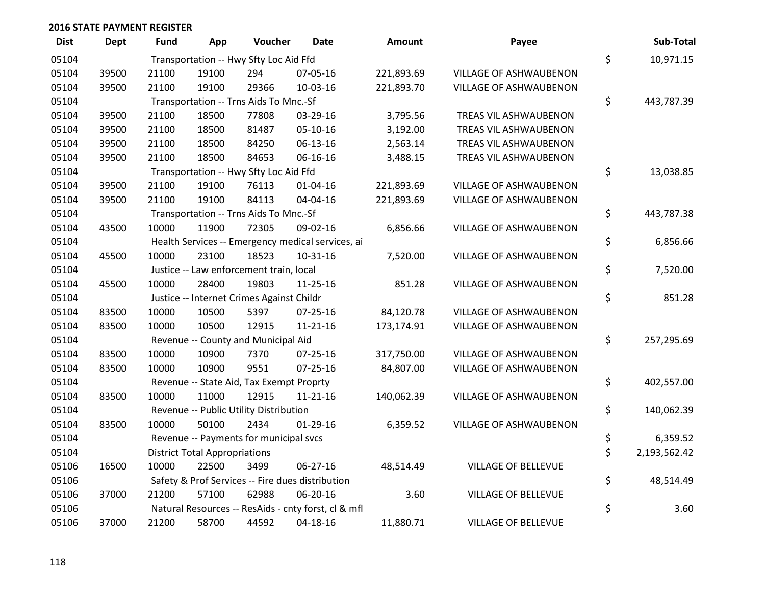| <b>Dist</b> | <b>Dept</b> | <b>Fund</b> | App                                  | Voucher                                   | <b>Date</b>                                         | Amount     | Payee                         | Sub-Total          |
|-------------|-------------|-------------|--------------------------------------|-------------------------------------------|-----------------------------------------------------|------------|-------------------------------|--------------------|
| 05104       |             |             |                                      | Transportation -- Hwy Sfty Loc Aid Ffd    |                                                     |            |                               | \$<br>10,971.15    |
| 05104       | 39500       | 21100       | 19100                                | 294                                       | 07-05-16                                            | 221,893.69 | <b>VILLAGE OF ASHWAUBENON</b> |                    |
| 05104       | 39500       | 21100       | 19100                                | 29366                                     | 10-03-16                                            | 221,893.70 | VILLAGE OF ASHWAUBENON        |                    |
| 05104       |             |             |                                      | Transportation -- Trns Aids To Mnc.-Sf    |                                                     |            |                               | \$<br>443,787.39   |
| 05104       | 39500       | 21100       | 18500                                | 77808                                     | 03-29-16                                            | 3,795.56   | TREAS VIL ASHWAUBENON         |                    |
| 05104       | 39500       | 21100       | 18500                                | 81487                                     | 05-10-16                                            | 3,192.00   | TREAS VIL ASHWAUBENON         |                    |
| 05104       | 39500       | 21100       | 18500                                | 84250                                     | 06-13-16                                            | 2,563.14   | TREAS VIL ASHWAUBENON         |                    |
| 05104       | 39500       | 21100       | 18500                                | 84653                                     | 06-16-16                                            | 3,488.15   | TREAS VIL ASHWAUBENON         |                    |
| 05104       |             |             |                                      | Transportation -- Hwy Sfty Loc Aid Ffd    |                                                     |            |                               | \$<br>13,038.85    |
| 05104       | 39500       | 21100       | 19100                                | 76113                                     | $01 - 04 - 16$                                      | 221,893.69 | VILLAGE OF ASHWAUBENON        |                    |
| 05104       | 39500       | 21100       | 19100                                | 84113                                     | 04-04-16                                            | 221,893.69 | VILLAGE OF ASHWAUBENON        |                    |
| 05104       |             |             |                                      | Transportation -- Trns Aids To Mnc.-Sf    |                                                     |            |                               | \$<br>443,787.38   |
| 05104       | 43500       | 10000       | 11900                                | 72305                                     | 09-02-16                                            | 6,856.66   | <b>VILLAGE OF ASHWAUBENON</b> |                    |
| 05104       |             |             |                                      |                                           | Health Services -- Emergency medical services, ai   |            |                               | \$<br>6,856.66     |
| 05104       | 45500       | 10000       | 23100                                | 18523                                     | $10 - 31 - 16$                                      | 7,520.00   | VILLAGE OF ASHWAUBENON        |                    |
| 05104       |             |             |                                      | Justice -- Law enforcement train, local   |                                                     |            |                               | \$<br>7,520.00     |
| 05104       | 45500       | 10000       | 28400                                | 19803                                     | 11-25-16                                            | 851.28     | <b>VILLAGE OF ASHWAUBENON</b> |                    |
| 05104       |             |             |                                      | Justice -- Internet Crimes Against Childr |                                                     |            |                               | \$<br>851.28       |
| 05104       | 83500       | 10000       | 10500                                | 5397                                      | 07-25-16                                            | 84,120.78  | VILLAGE OF ASHWAUBENON        |                    |
| 05104       | 83500       | 10000       | 10500                                | 12915                                     | $11 - 21 - 16$                                      | 173,174.91 | <b>VILLAGE OF ASHWAUBENON</b> |                    |
| 05104       |             |             |                                      | Revenue -- County and Municipal Aid       |                                                     |            |                               | \$<br>257,295.69   |
| 05104       | 83500       | 10000       | 10900                                | 7370                                      | 07-25-16                                            | 317,750.00 | VILLAGE OF ASHWAUBENON        |                    |
| 05104       | 83500       | 10000       | 10900                                | 9551                                      | 07-25-16                                            | 84,807.00  | VILLAGE OF ASHWAUBENON        |                    |
| 05104       |             |             |                                      | Revenue -- State Aid, Tax Exempt Proprty  |                                                     |            |                               | \$<br>402,557.00   |
| 05104       | 83500       | 10000       | 11000                                | 12915                                     | $11 - 21 - 16$                                      | 140,062.39 | VILLAGE OF ASHWAUBENON        |                    |
| 05104       |             |             |                                      | Revenue -- Public Utility Distribution    |                                                     |            |                               | \$<br>140,062.39   |
| 05104       | 83500       | 10000       | 50100                                | 2434                                      | $01-29-16$                                          | 6,359.52   | VILLAGE OF ASHWAUBENON        |                    |
| 05104       |             |             |                                      | Revenue -- Payments for municipal svcs    |                                                     |            |                               | \$<br>6,359.52     |
| 05104       |             |             | <b>District Total Appropriations</b> |                                           |                                                     |            |                               | \$<br>2,193,562.42 |
| 05106       | 16500       | 10000       | 22500                                | 3499                                      | $06 - 27 - 16$                                      | 48,514.49  | VILLAGE OF BELLEVUE           |                    |
| 05106       |             |             |                                      |                                           | Safety & Prof Services -- Fire dues distribution    |            |                               | \$<br>48,514.49    |
| 05106       | 37000       | 21200       | 57100                                | 62988                                     | 06-20-16                                            | 3.60       | <b>VILLAGE OF BELLEVUE</b>    |                    |
| 05106       |             |             |                                      |                                           | Natural Resources -- ResAids - cnty forst, cl & mfl |            |                               | \$<br>3.60         |
| 05106       | 37000       | 21200       | 58700                                | 44592                                     | 04-18-16                                            | 11,880.71  | <b>VILLAGE OF BELLEVUE</b>    |                    |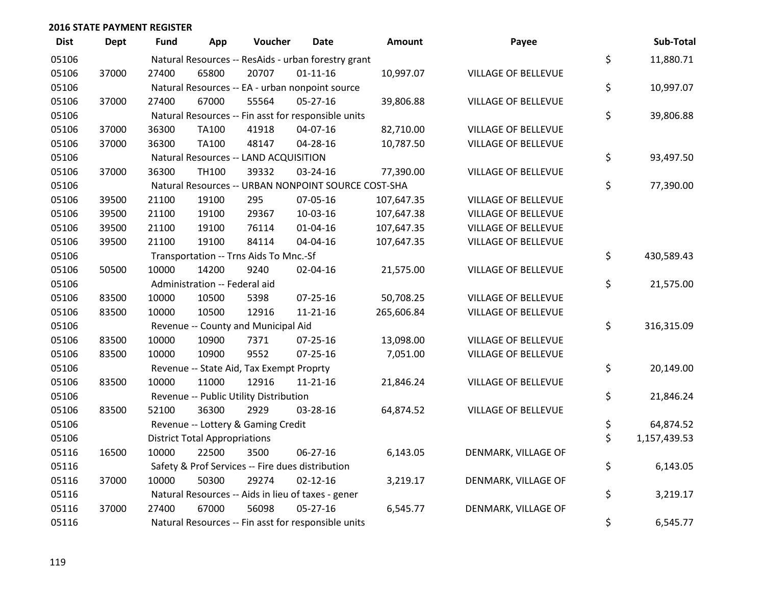| <b>Dist</b> | Dept  | Fund  | App                                  | Voucher                                             | <b>Date</b>    | Amount     | Payee                      | Sub-Total          |
|-------------|-------|-------|--------------------------------------|-----------------------------------------------------|----------------|------------|----------------------------|--------------------|
| 05106       |       |       |                                      | Natural Resources -- ResAids - urban forestry grant |                |            |                            | \$<br>11,880.71    |
| 05106       | 37000 | 27400 | 65800                                | 20707                                               | $01 - 11 - 16$ | 10,997.07  | VILLAGE OF BELLEVUE        |                    |
| 05106       |       |       |                                      | Natural Resources -- EA - urban nonpoint source     |                |            |                            | \$<br>10,997.07    |
| 05106       | 37000 | 27400 | 67000                                | 55564                                               | $05 - 27 - 16$ | 39,806.88  | <b>VILLAGE OF BELLEVUE</b> |                    |
| 05106       |       |       |                                      | Natural Resources -- Fin asst for responsible units |                |            |                            | \$<br>39,806.88    |
| 05106       | 37000 | 36300 | <b>TA100</b>                         | 41918                                               | 04-07-16       | 82,710.00  | <b>VILLAGE OF BELLEVUE</b> |                    |
| 05106       | 37000 | 36300 | <b>TA100</b>                         | 48147                                               | 04-28-16       | 10,787.50  | <b>VILLAGE OF BELLEVUE</b> |                    |
| 05106       |       |       |                                      | Natural Resources -- LAND ACQUISITION               |                |            |                            | \$<br>93,497.50    |
| 05106       | 37000 | 36300 | TH100                                | 39332                                               | 03-24-16       | 77,390.00  | <b>VILLAGE OF BELLEVUE</b> |                    |
| 05106       |       |       |                                      | Natural Resources -- URBAN NONPOINT SOURCE COST-SHA |                |            |                            | \$<br>77,390.00    |
| 05106       | 39500 | 21100 | 19100                                | 295                                                 | 07-05-16       | 107,647.35 | VILLAGE OF BELLEVUE        |                    |
| 05106       | 39500 | 21100 | 19100                                | 29367                                               | 10-03-16       | 107,647.38 | <b>VILLAGE OF BELLEVUE</b> |                    |
| 05106       | 39500 | 21100 | 19100                                | 76114                                               | $01 - 04 - 16$ | 107,647.35 | <b>VILLAGE OF BELLEVUE</b> |                    |
| 05106       | 39500 | 21100 | 19100                                | 84114                                               | 04-04-16       | 107,647.35 | VILLAGE OF BELLEVUE        |                    |
| 05106       |       |       |                                      | Transportation -- Trns Aids To Mnc.-Sf              |                |            |                            | \$<br>430,589.43   |
| 05106       | 50500 | 10000 | 14200                                | 9240                                                | 02-04-16       | 21,575.00  | VILLAGE OF BELLEVUE        |                    |
| 05106       |       |       | Administration -- Federal aid        |                                                     |                |            |                            | \$<br>21,575.00    |
| 05106       | 83500 | 10000 | 10500                                | 5398                                                | $07 - 25 - 16$ | 50,708.25  | VILLAGE OF BELLEVUE        |                    |
| 05106       | 83500 | 10000 | 10500                                | 12916                                               | $11 - 21 - 16$ | 265,606.84 | <b>VILLAGE OF BELLEVUE</b> |                    |
| 05106       |       |       |                                      | Revenue -- County and Municipal Aid                 |                |            |                            | \$<br>316,315.09   |
| 05106       | 83500 | 10000 | 10900                                | 7371                                                | $07 - 25 - 16$ | 13,098.00  | <b>VILLAGE OF BELLEVUE</b> |                    |
| 05106       | 83500 | 10000 | 10900                                | 9552                                                | $07 - 25 - 16$ | 7,051.00   | <b>VILLAGE OF BELLEVUE</b> |                    |
| 05106       |       |       |                                      | Revenue -- State Aid, Tax Exempt Proprty            |                |            |                            | \$<br>20,149.00    |
| 05106       | 83500 | 10000 | 11000                                | 12916                                               | $11 - 21 - 16$ | 21,846.24  | VILLAGE OF BELLEVUE        |                    |
| 05106       |       |       |                                      | Revenue -- Public Utility Distribution              |                |            |                            | \$<br>21,846.24    |
| 05106       | 83500 | 52100 | 36300                                | 2929                                                | 03-28-16       | 64,874.52  | VILLAGE OF BELLEVUE        |                    |
| 05106       |       |       |                                      | Revenue -- Lottery & Gaming Credit                  |                |            |                            | \$<br>64,874.52    |
| 05106       |       |       | <b>District Total Appropriations</b> |                                                     |                |            |                            | \$<br>1,157,439.53 |
| 05116       | 16500 | 10000 | 22500                                | 3500                                                | 06-27-16       | 6,143.05   | DENMARK, VILLAGE OF        |                    |
| 05116       |       |       |                                      | Safety & Prof Services -- Fire dues distribution    |                |            |                            | \$<br>6,143.05     |
| 05116       | 37000 | 10000 | 50300                                | 29274                                               | $02 - 12 - 16$ | 3,219.17   | DENMARK, VILLAGE OF        |                    |
| 05116       |       |       |                                      | Natural Resources -- Aids in lieu of taxes - gener  |                |            |                            | \$<br>3,219.17     |
| 05116       | 37000 | 27400 | 67000                                | 56098                                               | $05 - 27 - 16$ | 6,545.77   | DENMARK, VILLAGE OF        |                    |
| 05116       |       |       |                                      | Natural Resources -- Fin asst for responsible units |                |            |                            | \$<br>6,545.77     |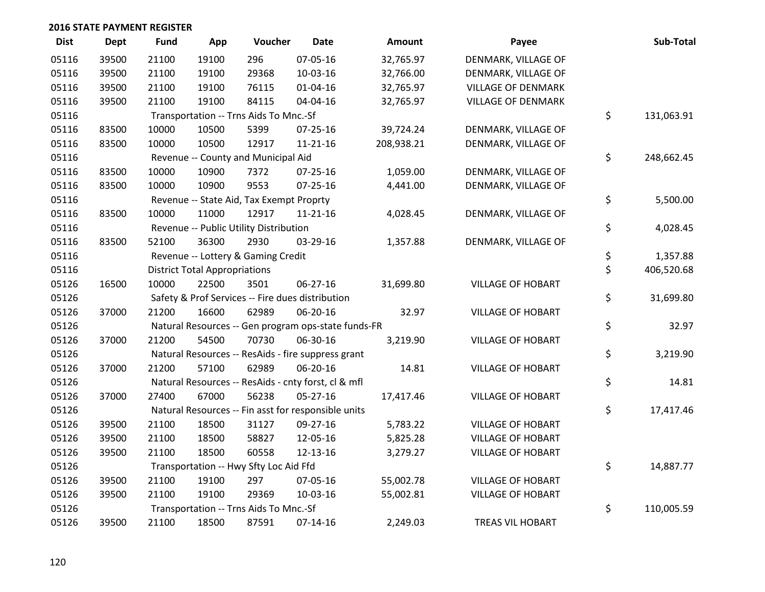| <b>Dist</b> | <b>Dept</b> | <b>Fund</b> | App                                  | Voucher                                          | <b>Date</b>                                         | <b>Amount</b> | Payee                     | Sub-Total        |
|-------------|-------------|-------------|--------------------------------------|--------------------------------------------------|-----------------------------------------------------|---------------|---------------------------|------------------|
| 05116       | 39500       | 21100       | 19100                                | 296                                              | 07-05-16                                            | 32,765.97     | DENMARK, VILLAGE OF       |                  |
| 05116       | 39500       | 21100       | 19100                                | 29368                                            | 10-03-16                                            | 32,766.00     | DENMARK, VILLAGE OF       |                  |
| 05116       | 39500       | 21100       | 19100                                | 76115                                            | $01 - 04 - 16$                                      | 32,765.97     | <b>VILLAGE OF DENMARK</b> |                  |
| 05116       | 39500       | 21100       | 19100                                | 84115                                            | 04-04-16                                            | 32,765.97     | <b>VILLAGE OF DENMARK</b> |                  |
| 05116       |             |             |                                      | Transportation -- Trns Aids To Mnc.-Sf           |                                                     |               |                           | \$<br>131,063.91 |
| 05116       | 83500       | 10000       | 10500                                | 5399                                             | 07-25-16                                            | 39,724.24     | DENMARK, VILLAGE OF       |                  |
| 05116       | 83500       | 10000       | 10500                                | 12917                                            | $11 - 21 - 16$                                      | 208,938.21    | DENMARK, VILLAGE OF       |                  |
| 05116       |             |             |                                      | Revenue -- County and Municipal Aid              |                                                     |               |                           | \$<br>248,662.45 |
| 05116       | 83500       | 10000       | 10900                                | 7372                                             | $07 - 25 - 16$                                      | 1,059.00      | DENMARK, VILLAGE OF       |                  |
| 05116       | 83500       | 10000       | 10900                                | 9553                                             | 07-25-16                                            | 4,441.00      | DENMARK, VILLAGE OF       |                  |
| 05116       |             |             |                                      | Revenue -- State Aid, Tax Exempt Proprty         |                                                     |               |                           | \$<br>5,500.00   |
| 05116       | 83500       | 10000       | 11000                                | 12917                                            | $11 - 21 - 16$                                      | 4,028.45      | DENMARK, VILLAGE OF       |                  |
| 05116       |             |             |                                      | Revenue -- Public Utility Distribution           |                                                     |               |                           | \$<br>4,028.45   |
| 05116       | 83500       | 52100       | 36300                                | 2930                                             | 03-29-16                                            | 1,357.88      | DENMARK, VILLAGE OF       |                  |
| 05116       |             |             |                                      | Revenue -- Lottery & Gaming Credit               |                                                     |               |                           | \$<br>1,357.88   |
| 05116       |             |             | <b>District Total Appropriations</b> |                                                  |                                                     |               |                           | \$<br>406,520.68 |
| 05126       | 16500       | 10000       | 22500                                | 3501                                             | 06-27-16                                            | 31,699.80     | <b>VILLAGE OF HOBART</b>  |                  |
| 05126       |             |             |                                      | Safety & Prof Services -- Fire dues distribution |                                                     |               |                           | \$<br>31,699.80  |
| 05126       | 37000       | 21200       | 16600                                | 62989                                            | 06-20-16                                            | 32.97         | <b>VILLAGE OF HOBART</b>  |                  |
| 05126       |             |             |                                      |                                                  | Natural Resources -- Gen program ops-state funds-FR |               |                           | \$<br>32.97      |
| 05126       | 37000       | 21200       | 54500                                | 70730                                            | 06-30-16                                            | 3,219.90      | <b>VILLAGE OF HOBART</b>  |                  |
| 05126       |             |             |                                      |                                                  | Natural Resources -- ResAids - fire suppress grant  |               |                           | \$<br>3,219.90   |
| 05126       | 37000       | 21200       | 57100                                | 62989                                            | 06-20-16                                            | 14.81         | <b>VILLAGE OF HOBART</b>  |                  |
| 05126       |             |             |                                      |                                                  | Natural Resources -- ResAids - cnty forst, cl & mfl |               |                           | \$<br>14.81      |
| 05126       | 37000       | 27400       | 67000                                | 56238                                            | 05-27-16                                            | 17,417.46     | <b>VILLAGE OF HOBART</b>  |                  |
| 05126       |             |             |                                      |                                                  | Natural Resources -- Fin asst for responsible units |               |                           | \$<br>17,417.46  |
| 05126       | 39500       | 21100       | 18500                                | 31127                                            | 09-27-16                                            | 5,783.22      | <b>VILLAGE OF HOBART</b>  |                  |
| 05126       | 39500       | 21100       | 18500                                | 58827                                            | 12-05-16                                            | 5,825.28      | <b>VILLAGE OF HOBART</b>  |                  |
| 05126       | 39500       | 21100       | 18500                                | 60558                                            | 12-13-16                                            | 3,279.27      | <b>VILLAGE OF HOBART</b>  |                  |
| 05126       |             |             |                                      | Transportation -- Hwy Sfty Loc Aid Ffd           |                                                     |               |                           | \$<br>14,887.77  |
| 05126       | 39500       | 21100       | 19100                                | 297                                              | 07-05-16                                            | 55,002.78     | <b>VILLAGE OF HOBART</b>  |                  |
| 05126       | 39500       | 21100       | 19100                                | 29369                                            | 10-03-16                                            | 55,002.81     | <b>VILLAGE OF HOBART</b>  |                  |
| 05126       |             |             |                                      | Transportation -- Trns Aids To Mnc.-Sf           |                                                     |               |                           | \$<br>110,005.59 |
| 05126       | 39500       | 21100       | 18500                                | 87591                                            | $07-14-16$                                          | 2,249.03      | <b>TREAS VIL HOBART</b>   |                  |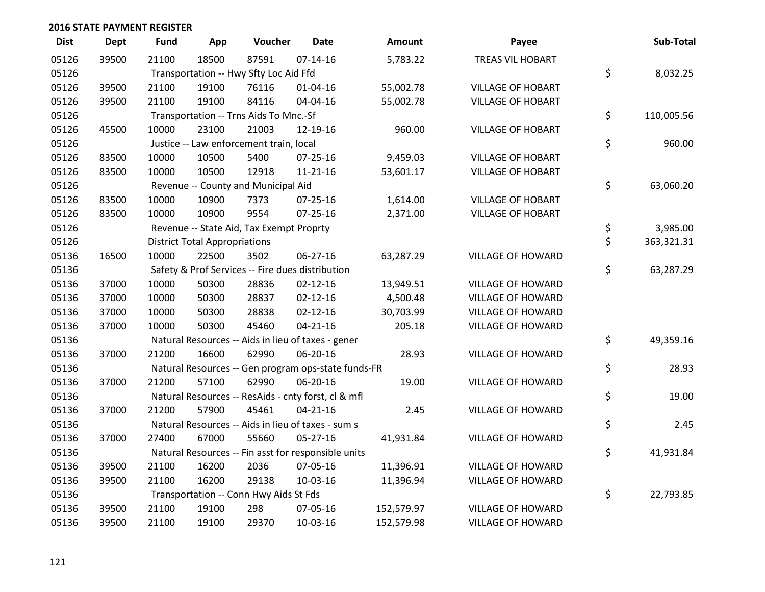| <b>Dist</b> | <b>Dept</b> | <b>Fund</b> | App                                  | Voucher                                  | <b>Date</b>                                         | <b>Amount</b> | Payee                    | Sub-Total        |
|-------------|-------------|-------------|--------------------------------------|------------------------------------------|-----------------------------------------------------|---------------|--------------------------|------------------|
| 05126       | 39500       | 21100       | 18500                                | 87591                                    | $07 - 14 - 16$                                      | 5,783.22      | <b>TREAS VIL HOBART</b>  |                  |
| 05126       |             |             |                                      | Transportation -- Hwy Sfty Loc Aid Ffd   |                                                     |               |                          | \$<br>8,032.25   |
| 05126       | 39500       | 21100       | 19100                                | 76116                                    | 01-04-16                                            | 55,002.78     | <b>VILLAGE OF HOBART</b> |                  |
| 05126       | 39500       | 21100       | 19100                                | 84116                                    | 04-04-16                                            | 55,002.78     | <b>VILLAGE OF HOBART</b> |                  |
| 05126       |             |             |                                      | Transportation -- Trns Aids To Mnc.-Sf   |                                                     |               |                          | \$<br>110,005.56 |
| 05126       | 45500       | 10000       | 23100                                | 21003                                    | 12-19-16                                            | 960.00        | <b>VILLAGE OF HOBART</b> |                  |
| 05126       |             |             |                                      | Justice -- Law enforcement train, local  |                                                     |               |                          | \$<br>960.00     |
| 05126       | 83500       | 10000       | 10500                                | 5400                                     | $07 - 25 - 16$                                      | 9,459.03      | <b>VILLAGE OF HOBART</b> |                  |
| 05126       | 83500       | 10000       | 10500                                | 12918                                    | 11-21-16                                            | 53,601.17     | <b>VILLAGE OF HOBART</b> |                  |
| 05126       |             |             |                                      | Revenue -- County and Municipal Aid      |                                                     |               |                          | \$<br>63,060.20  |
| 05126       | 83500       | 10000       | 10900                                | 7373                                     | 07-25-16                                            | 1,614.00      | <b>VILLAGE OF HOBART</b> |                  |
| 05126       | 83500       | 10000       | 10900                                | 9554                                     | $07 - 25 - 16$                                      | 2,371.00      | <b>VILLAGE OF HOBART</b> |                  |
| 05126       |             |             |                                      | Revenue -- State Aid, Tax Exempt Proprty |                                                     |               |                          | \$<br>3,985.00   |
| 05126       |             |             | <b>District Total Appropriations</b> |                                          |                                                     |               |                          | \$<br>363,321.31 |
| 05136       | 16500       | 10000       | 22500                                | 3502                                     | $06 - 27 - 16$                                      | 63,287.29     | <b>VILLAGE OF HOWARD</b> |                  |
| 05136       |             |             |                                      |                                          | Safety & Prof Services -- Fire dues distribution    |               |                          | \$<br>63,287.29  |
| 05136       | 37000       | 10000       | 50300                                | 28836                                    | $02 - 12 - 16$                                      | 13,949.51     | <b>VILLAGE OF HOWARD</b> |                  |
| 05136       | 37000       | 10000       | 50300                                | 28837                                    | $02 - 12 - 16$                                      | 4,500.48      | <b>VILLAGE OF HOWARD</b> |                  |
| 05136       | 37000       | 10000       | 50300                                | 28838                                    | $02 - 12 - 16$                                      | 30,703.99     | <b>VILLAGE OF HOWARD</b> |                  |
| 05136       | 37000       | 10000       | 50300                                | 45460                                    | $04 - 21 - 16$                                      | 205.18        | <b>VILLAGE OF HOWARD</b> |                  |
| 05136       |             |             |                                      |                                          | Natural Resources -- Aids in lieu of taxes - gener  |               |                          | \$<br>49,359.16  |
| 05136       | 37000       | 21200       | 16600                                | 62990                                    | 06-20-16                                            | 28.93         | VILLAGE OF HOWARD        |                  |
| 05136       |             |             |                                      |                                          | Natural Resources -- Gen program ops-state funds-FR |               |                          | \$<br>28.93      |
| 05136       | 37000       | 21200       | 57100                                | 62990                                    | 06-20-16                                            | 19.00         | VILLAGE OF HOWARD        |                  |
| 05136       |             |             |                                      |                                          | Natural Resources -- ResAids - cnty forst, cl & mfl |               |                          | \$<br>19.00      |
| 05136       | 37000       | 21200       | 57900                                | 45461                                    | $04 - 21 - 16$                                      | 2.45          | VILLAGE OF HOWARD        |                  |
| 05136       |             |             |                                      |                                          | Natural Resources -- Aids in lieu of taxes - sum s  |               |                          | \$<br>2.45       |
| 05136       | 37000       | 27400       | 67000                                | 55660                                    | $05 - 27 - 16$                                      | 41,931.84     | VILLAGE OF HOWARD        |                  |
| 05136       |             |             |                                      |                                          | Natural Resources -- Fin asst for responsible units |               |                          | \$<br>41,931.84  |
| 05136       | 39500       | 21100       | 16200                                | 2036                                     | 07-05-16                                            | 11,396.91     | <b>VILLAGE OF HOWARD</b> |                  |
| 05136       | 39500       | 21100       | 16200                                | 29138                                    | 10-03-16                                            | 11,396.94     | VILLAGE OF HOWARD        |                  |
| 05136       |             |             |                                      | Transportation -- Conn Hwy Aids St Fds   |                                                     |               |                          | \$<br>22,793.85  |
| 05136       | 39500       | 21100       | 19100                                | 298                                      | 07-05-16                                            | 152,579.97    | <b>VILLAGE OF HOWARD</b> |                  |
| 05136       | 39500       | 21100       | 19100                                | 29370                                    | 10-03-16                                            | 152,579.98    | <b>VILLAGE OF HOWARD</b> |                  |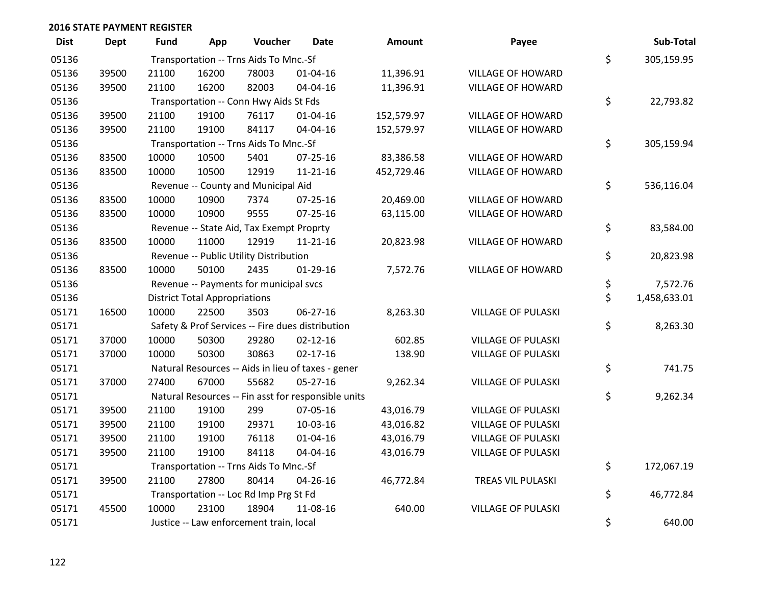| <b>Dist</b> | <b>Dept</b> | <b>Fund</b> | App                                  | Voucher                                  | <b>Date</b>                                         | Amount     | Payee                     | Sub-Total          |
|-------------|-------------|-------------|--------------------------------------|------------------------------------------|-----------------------------------------------------|------------|---------------------------|--------------------|
| 05136       |             |             |                                      | Transportation -- Trns Aids To Mnc.-Sf   |                                                     |            |                           | \$<br>305,159.95   |
| 05136       | 39500       | 21100       | 16200                                | 78003                                    | 01-04-16                                            | 11,396.91  | <b>VILLAGE OF HOWARD</b>  |                    |
| 05136       | 39500       | 21100       | 16200                                | 82003                                    | 04-04-16                                            | 11,396.91  | <b>VILLAGE OF HOWARD</b>  |                    |
| 05136       |             |             |                                      | Transportation -- Conn Hwy Aids St Fds   |                                                     |            |                           | \$<br>22,793.82    |
| 05136       | 39500       | 21100       | 19100                                | 76117                                    | $01 - 04 - 16$                                      | 152,579.97 | <b>VILLAGE OF HOWARD</b>  |                    |
| 05136       | 39500       | 21100       | 19100                                | 84117                                    | 04-04-16                                            | 152,579.97 | <b>VILLAGE OF HOWARD</b>  |                    |
| 05136       |             |             |                                      | Transportation -- Trns Aids To Mnc.-Sf   |                                                     |            |                           | \$<br>305,159.94   |
| 05136       | 83500       | 10000       | 10500                                | 5401                                     | $07 - 25 - 16$                                      | 83,386.58  | <b>VILLAGE OF HOWARD</b>  |                    |
| 05136       | 83500       | 10000       | 10500                                | 12919                                    | $11 - 21 - 16$                                      | 452,729.46 | <b>VILLAGE OF HOWARD</b>  |                    |
| 05136       |             |             |                                      | Revenue -- County and Municipal Aid      |                                                     |            |                           | \$<br>536,116.04   |
| 05136       | 83500       | 10000       | 10900                                | 7374                                     | 07-25-16                                            | 20,469.00  | <b>VILLAGE OF HOWARD</b>  |                    |
| 05136       | 83500       | 10000       | 10900                                | 9555                                     | 07-25-16                                            | 63,115.00  | <b>VILLAGE OF HOWARD</b>  |                    |
| 05136       |             |             |                                      | Revenue -- State Aid, Tax Exempt Proprty |                                                     |            |                           | \$<br>83,584.00    |
| 05136       | 83500       | 10000       | 11000                                | 12919                                    | $11 - 21 - 16$                                      | 20,823.98  | <b>VILLAGE OF HOWARD</b>  |                    |
| 05136       |             |             |                                      | Revenue -- Public Utility Distribution   |                                                     |            |                           | \$<br>20,823.98    |
| 05136       | 83500       | 10000       | 50100                                | 2435                                     | $01-29-16$                                          | 7,572.76   | <b>VILLAGE OF HOWARD</b>  |                    |
| 05136       |             |             |                                      | Revenue -- Payments for municipal svcs   |                                                     |            |                           | \$<br>7,572.76     |
| 05136       |             |             | <b>District Total Appropriations</b> |                                          |                                                     |            |                           | \$<br>1,458,633.01 |
| 05171       | 16500       | 10000       | 22500                                | 3503                                     | 06-27-16                                            | 8,263.30   | <b>VILLAGE OF PULASKI</b> |                    |
| 05171       |             |             |                                      |                                          | Safety & Prof Services -- Fire dues distribution    |            |                           | \$<br>8,263.30     |
| 05171       | 37000       | 10000       | 50300                                | 29280                                    | $02 - 12 - 16$                                      | 602.85     | <b>VILLAGE OF PULASKI</b> |                    |
| 05171       | 37000       | 10000       | 50300                                | 30863                                    | $02 - 17 - 16$                                      | 138.90     | <b>VILLAGE OF PULASKI</b> |                    |
| 05171       |             |             |                                      |                                          | Natural Resources -- Aids in lieu of taxes - gener  |            |                           | \$<br>741.75       |
| 05171       | 37000       | 27400       | 67000                                | 55682                                    | $05 - 27 - 16$                                      | 9,262.34   | <b>VILLAGE OF PULASKI</b> |                    |
| 05171       |             |             |                                      |                                          | Natural Resources -- Fin asst for responsible units |            |                           | \$<br>9,262.34     |
| 05171       | 39500       | 21100       | 19100                                | 299                                      | 07-05-16                                            | 43,016.79  | <b>VILLAGE OF PULASKI</b> |                    |
| 05171       | 39500       | 21100       | 19100                                | 29371                                    | 10-03-16                                            | 43,016.82  | <b>VILLAGE OF PULASKI</b> |                    |
| 05171       | 39500       | 21100       | 19100                                | 76118                                    | $01 - 04 - 16$                                      | 43,016.79  | <b>VILLAGE OF PULASKI</b> |                    |
| 05171       | 39500       | 21100       | 19100                                | 84118                                    | 04-04-16                                            | 43,016.79  | <b>VILLAGE OF PULASKI</b> |                    |
| 05171       |             |             |                                      | Transportation -- Trns Aids To Mnc.-Sf   |                                                     |            |                           | \$<br>172,067.19   |
| 05171       | 39500       | 21100       | 27800                                | 80414                                    | 04-26-16                                            | 46,772.84  | TREAS VIL PULASKI         |                    |
| 05171       |             |             |                                      | Transportation -- Loc Rd Imp Prg St Fd   |                                                     |            |                           | \$<br>46,772.84    |
| 05171       | 45500       | 10000       | 23100                                | 18904                                    | 11-08-16                                            | 640.00     | <b>VILLAGE OF PULASKI</b> |                    |
| 05171       |             |             |                                      | Justice -- Law enforcement train, local  |                                                     |            |                           | \$<br>640.00       |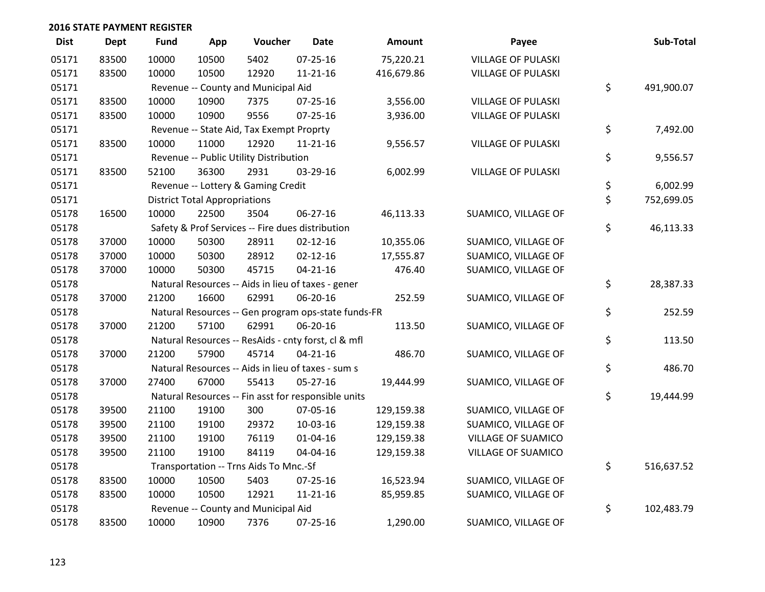| <b>Dist</b> | <b>Dept</b> | <b>Fund</b> | App                                  | Voucher                                             | <b>Date</b>    | Amount     | Payee                     | Sub-Total        |
|-------------|-------------|-------------|--------------------------------------|-----------------------------------------------------|----------------|------------|---------------------------|------------------|
| 05171       | 83500       | 10000       | 10500                                | 5402                                                | 07-25-16       | 75,220.21  | <b>VILLAGE OF PULASKI</b> |                  |
| 05171       | 83500       | 10000       | 10500                                | 12920                                               | $11 - 21 - 16$ | 416,679.86 | <b>VILLAGE OF PULASKI</b> |                  |
| 05171       |             |             |                                      | Revenue -- County and Municipal Aid                 |                |            |                           | \$<br>491,900.07 |
| 05171       | 83500       | 10000       | 10900                                | 7375                                                | 07-25-16       | 3,556.00   | <b>VILLAGE OF PULASKI</b> |                  |
| 05171       | 83500       | 10000       | 10900                                | 9556                                                | $07 - 25 - 16$ | 3,936.00   | <b>VILLAGE OF PULASKI</b> |                  |
| 05171       |             |             |                                      | Revenue -- State Aid, Tax Exempt Proprty            |                |            |                           | \$<br>7,492.00   |
| 05171       | 83500       | 10000       | 11000                                | 12920                                               | $11 - 21 - 16$ | 9,556.57   | <b>VILLAGE OF PULASKI</b> |                  |
| 05171       |             |             |                                      | Revenue -- Public Utility Distribution              |                |            |                           | \$<br>9,556.57   |
| 05171       | 83500       | 52100       | 36300                                | 2931                                                | 03-29-16       | 6,002.99   | <b>VILLAGE OF PULASKI</b> |                  |
| 05171       |             |             |                                      | Revenue -- Lottery & Gaming Credit                  |                |            |                           | \$<br>6,002.99   |
| 05171       |             |             | <b>District Total Appropriations</b> |                                                     |                |            |                           | \$<br>752,699.05 |
| 05178       | 16500       | 10000       | 22500                                | 3504                                                | 06-27-16       | 46,113.33  | SUAMICO, VILLAGE OF       |                  |
| 05178       |             |             |                                      | Safety & Prof Services -- Fire dues distribution    |                |            |                           | \$<br>46,113.33  |
| 05178       | 37000       | 10000       | 50300                                | 28911                                               | $02 - 12 - 16$ | 10,355.06  | SUAMICO, VILLAGE OF       |                  |
| 05178       | 37000       | 10000       | 50300                                | 28912                                               | $02 - 12 - 16$ | 17,555.87  | SUAMICO, VILLAGE OF       |                  |
| 05178       | 37000       | 10000       | 50300                                | 45715                                               | $04 - 21 - 16$ | 476.40     | SUAMICO, VILLAGE OF       |                  |
| 05178       |             |             |                                      | Natural Resources -- Aids in lieu of taxes - gener  |                |            |                           | \$<br>28,387.33  |
| 05178       | 37000       | 21200       | 16600                                | 62991                                               | 06-20-16       | 252.59     | SUAMICO, VILLAGE OF       |                  |
| 05178       |             |             |                                      | Natural Resources -- Gen program ops-state funds-FR |                |            |                           | \$<br>252.59     |
| 05178       | 37000       | 21200       | 57100                                | 62991                                               | 06-20-16       | 113.50     | SUAMICO, VILLAGE OF       |                  |
| 05178       |             |             |                                      | Natural Resources -- ResAids - cnty forst, cl & mfl |                |            |                           | \$<br>113.50     |
| 05178       | 37000       | 21200       | 57900                                | 45714                                               | $04 - 21 - 16$ | 486.70     | SUAMICO, VILLAGE OF       |                  |
| 05178       |             |             |                                      | Natural Resources -- Aids in lieu of taxes - sum s  |                |            |                           | \$<br>486.70     |
| 05178       | 37000       | 27400       | 67000                                | 55413                                               | $05 - 27 - 16$ | 19,444.99  | SUAMICO, VILLAGE OF       |                  |
| 05178       |             |             |                                      | Natural Resources -- Fin asst for responsible units |                |            |                           | \$<br>19,444.99  |
| 05178       | 39500       | 21100       | 19100                                | 300                                                 | 07-05-16       | 129,159.38 | SUAMICO, VILLAGE OF       |                  |
| 05178       | 39500       | 21100       | 19100                                | 29372                                               | 10-03-16       | 129,159.38 | SUAMICO, VILLAGE OF       |                  |
| 05178       | 39500       | 21100       | 19100                                | 76119                                               | $01 - 04 - 16$ | 129,159.38 | VILLAGE OF SUAMICO        |                  |
| 05178       | 39500       | 21100       | 19100                                | 84119                                               | 04-04-16       | 129,159.38 | VILLAGE OF SUAMICO        |                  |
| 05178       |             |             |                                      | Transportation -- Trns Aids To Mnc.-Sf              |                |            |                           | \$<br>516,637.52 |
| 05178       | 83500       | 10000       | 10500                                | 5403                                                | 07-25-16       | 16,523.94  | SUAMICO, VILLAGE OF       |                  |
| 05178       | 83500       | 10000       | 10500                                | 12921                                               | 11-21-16       | 85,959.85  | SUAMICO, VILLAGE OF       |                  |
| 05178       |             |             |                                      | Revenue -- County and Municipal Aid                 |                |            |                           | \$<br>102,483.79 |
| 05178       | 83500       | 10000       | 10900                                | 7376                                                | 07-25-16       | 1,290.00   | SUAMICO, VILLAGE OF       |                  |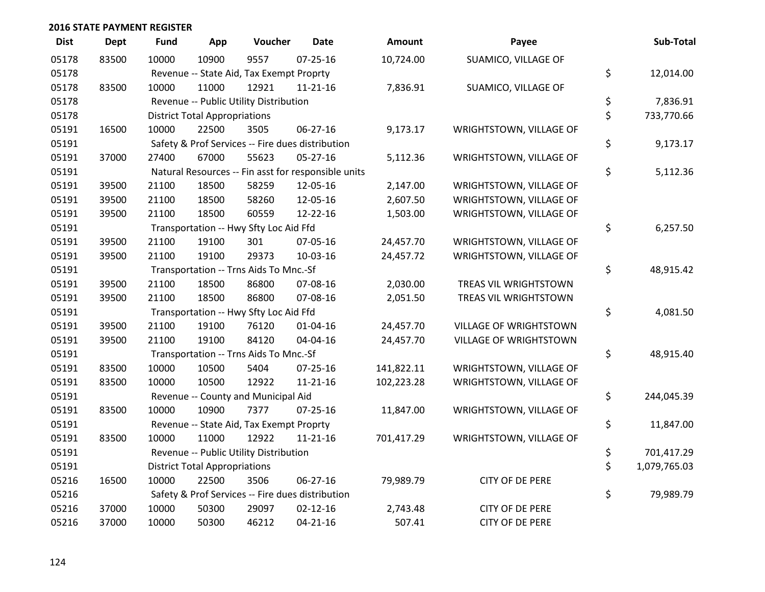| <b>Dist</b> | <b>Dept</b> | Fund  | App                                  | Voucher                                  | <b>Date</b>                                         | Amount     | Payee                   | Sub-Total          |
|-------------|-------------|-------|--------------------------------------|------------------------------------------|-----------------------------------------------------|------------|-------------------------|--------------------|
| 05178       | 83500       | 10000 | 10900                                | 9557                                     | $07 - 25 - 16$                                      | 10,724.00  | SUAMICO, VILLAGE OF     |                    |
| 05178       |             |       |                                      | Revenue -- State Aid, Tax Exempt Proprty |                                                     |            |                         | \$<br>12,014.00    |
| 05178       | 83500       | 10000 | 11000                                | 12921                                    | $11 - 21 - 16$                                      | 7,836.91   | SUAMICO, VILLAGE OF     |                    |
| 05178       |             |       |                                      | Revenue -- Public Utility Distribution   |                                                     |            |                         | \$<br>7,836.91     |
| 05178       |             |       | <b>District Total Appropriations</b> |                                          |                                                     |            |                         | \$<br>733,770.66   |
| 05191       | 16500       | 10000 | 22500                                | 3505                                     | 06-27-16                                            | 9,173.17   | WRIGHTSTOWN, VILLAGE OF |                    |
| 05191       |             |       |                                      |                                          | Safety & Prof Services -- Fire dues distribution    |            |                         | \$<br>9,173.17     |
| 05191       | 37000       | 27400 | 67000                                | 55623                                    | $05 - 27 - 16$                                      | 5,112.36   | WRIGHTSTOWN, VILLAGE OF |                    |
| 05191       |             |       |                                      |                                          | Natural Resources -- Fin asst for responsible units |            |                         | \$<br>5,112.36     |
| 05191       | 39500       | 21100 | 18500                                | 58259                                    | 12-05-16                                            | 2,147.00   | WRIGHTSTOWN, VILLAGE OF |                    |
| 05191       | 39500       | 21100 | 18500                                | 58260                                    | 12-05-16                                            | 2,607.50   | WRIGHTSTOWN, VILLAGE OF |                    |
| 05191       | 39500       | 21100 | 18500                                | 60559                                    | 12-22-16                                            | 1,503.00   | WRIGHTSTOWN, VILLAGE OF |                    |
| 05191       |             |       |                                      | Transportation -- Hwy Sfty Loc Aid Ffd   |                                                     |            |                         | \$<br>6,257.50     |
| 05191       | 39500       | 21100 | 19100                                | 301                                      | 07-05-16                                            | 24,457.70  | WRIGHTSTOWN, VILLAGE OF |                    |
| 05191       | 39500       | 21100 | 19100                                | 29373                                    | 10-03-16                                            | 24,457.72  | WRIGHTSTOWN, VILLAGE OF |                    |
| 05191       |             |       |                                      | Transportation -- Trns Aids To Mnc.-Sf   |                                                     |            |                         | \$<br>48,915.42    |
| 05191       | 39500       | 21100 | 18500                                | 86800                                    | 07-08-16                                            | 2,030.00   | TREAS VIL WRIGHTSTOWN   |                    |
| 05191       | 39500       | 21100 | 18500                                | 86800                                    | 07-08-16                                            | 2,051.50   | TREAS VIL WRIGHTSTOWN   |                    |
| 05191       |             |       |                                      | Transportation -- Hwy Sfty Loc Aid Ffd   |                                                     |            |                         | \$<br>4,081.50     |
| 05191       | 39500       | 21100 | 19100                                | 76120                                    | $01 - 04 - 16$                                      | 24,457.70  | VILLAGE OF WRIGHTSTOWN  |                    |
| 05191       | 39500       | 21100 | 19100                                | 84120                                    | 04-04-16                                            | 24,457.70  | VILLAGE OF WRIGHTSTOWN  |                    |
| 05191       |             |       |                                      | Transportation -- Trns Aids To Mnc.-Sf   |                                                     |            |                         | \$<br>48,915.40    |
| 05191       | 83500       | 10000 | 10500                                | 5404                                     | $07 - 25 - 16$                                      | 141,822.11 | WRIGHTSTOWN, VILLAGE OF |                    |
| 05191       | 83500       | 10000 | 10500                                | 12922                                    | $11 - 21 - 16$                                      | 102,223.28 | WRIGHTSTOWN, VILLAGE OF |                    |
| 05191       |             |       |                                      | Revenue -- County and Municipal Aid      |                                                     |            |                         | \$<br>244,045.39   |
| 05191       | 83500       | 10000 | 10900                                | 7377                                     | $07 - 25 - 16$                                      | 11,847.00  | WRIGHTSTOWN, VILLAGE OF |                    |
| 05191       |             |       |                                      | Revenue -- State Aid, Tax Exempt Proprty |                                                     |            |                         | \$<br>11,847.00    |
| 05191       | 83500       | 10000 | 11000                                | 12922                                    | $11 - 21 - 16$                                      | 701,417.29 | WRIGHTSTOWN, VILLAGE OF |                    |
| 05191       |             |       |                                      | Revenue -- Public Utility Distribution   |                                                     |            |                         | \$<br>701,417.29   |
| 05191       |             |       | <b>District Total Appropriations</b> |                                          |                                                     |            |                         | \$<br>1,079,765.03 |
| 05216       | 16500       | 10000 | 22500                                | 3506                                     | 06-27-16                                            | 79,989.79  | CITY OF DE PERE         |                    |
| 05216       |             |       |                                      |                                          | Safety & Prof Services -- Fire dues distribution    |            |                         | \$<br>79,989.79    |
| 05216       | 37000       | 10000 | 50300                                | 29097                                    | $02 - 12 - 16$                                      | 2,743.48   | CITY OF DE PERE         |                    |
| 05216       | 37000       | 10000 | 50300                                | 46212                                    | $04 - 21 - 16$                                      | 507.41     | CITY OF DE PERE         |                    |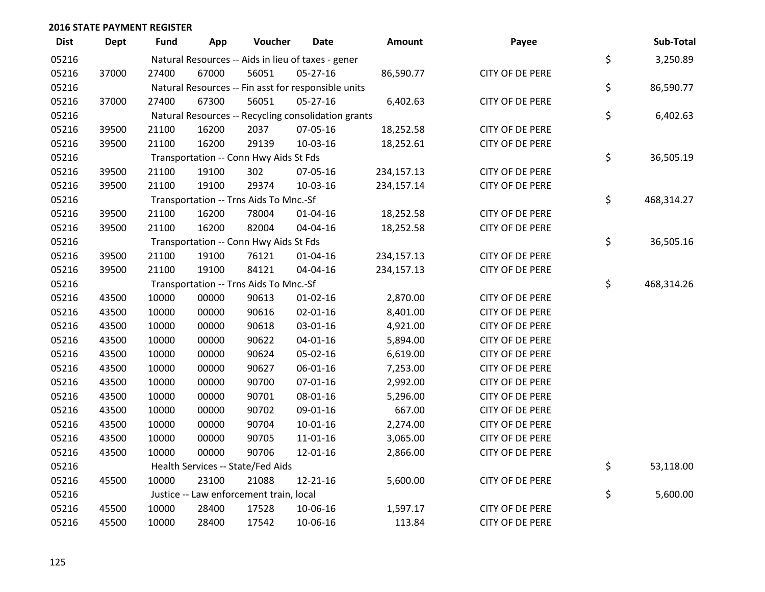| <b>Dist</b> | <b>Dept</b> | Fund  | App   | Voucher                                 | Date                                                | Amount     | Payee                  | Sub-Total        |
|-------------|-------------|-------|-------|-----------------------------------------|-----------------------------------------------------|------------|------------------------|------------------|
| 05216       |             |       |       |                                         | Natural Resources -- Aids in lieu of taxes - gener  |            |                        | \$<br>3,250.89   |
| 05216       | 37000       | 27400 | 67000 | 56051                                   | 05-27-16                                            | 86,590.77  | CITY OF DE PERE        |                  |
| 05216       |             |       |       |                                         | Natural Resources -- Fin asst for responsible units |            |                        | \$<br>86,590.77  |
| 05216       | 37000       | 27400 | 67300 | 56051                                   | $05 - 27 - 16$                                      | 6,402.63   | CITY OF DE PERE        |                  |
| 05216       |             |       |       |                                         | Natural Resources -- Recycling consolidation grants |            |                        | \$<br>6,402.63   |
| 05216       | 39500       | 21100 | 16200 | 2037                                    | 07-05-16                                            | 18,252.58  | CITY OF DE PERE        |                  |
| 05216       | 39500       | 21100 | 16200 | 29139                                   | 10-03-16                                            | 18,252.61  | CITY OF DE PERE        |                  |
| 05216       |             |       |       | Transportation -- Conn Hwy Aids St Fds  |                                                     |            |                        | \$<br>36,505.19  |
| 05216       | 39500       | 21100 | 19100 | 302                                     | 07-05-16                                            | 234,157.13 | CITY OF DE PERE        |                  |
| 05216       | 39500       | 21100 | 19100 | 29374                                   | 10-03-16                                            | 234,157.14 | CITY OF DE PERE        |                  |
| 05216       |             |       |       | Transportation -- Trns Aids To Mnc.-Sf  |                                                     |            |                        | \$<br>468,314.27 |
| 05216       | 39500       | 21100 | 16200 | 78004                                   | $01 - 04 - 16$                                      | 18,252.58  | CITY OF DE PERE        |                  |
| 05216       | 39500       | 21100 | 16200 | 82004                                   | 04-04-16                                            | 18,252.58  | CITY OF DE PERE        |                  |
| 05216       |             |       |       | Transportation -- Conn Hwy Aids St Fds  |                                                     |            |                        | \$<br>36,505.16  |
| 05216       | 39500       | 21100 | 19100 | 76121                                   | $01 - 04 - 16$                                      | 234,157.13 | CITY OF DE PERE        |                  |
| 05216       | 39500       | 21100 | 19100 | 84121                                   | 04-04-16                                            | 234,157.13 | CITY OF DE PERE        |                  |
| 05216       |             |       |       | Transportation -- Trns Aids To Mnc.-Sf  |                                                     |            |                        | \$<br>468,314.26 |
| 05216       | 43500       | 10000 | 00000 | 90613                                   | $01-02-16$                                          | 2,870.00   | CITY OF DE PERE        |                  |
| 05216       | 43500       | 10000 | 00000 | 90616                                   | 02-01-16                                            | 8,401.00   | CITY OF DE PERE        |                  |
| 05216       | 43500       | 10000 | 00000 | 90618                                   | 03-01-16                                            | 4,921.00   | <b>CITY OF DE PERE</b> |                  |
| 05216       | 43500       | 10000 | 00000 | 90622                                   | $04 - 01 - 16$                                      | 5,894.00   | CITY OF DE PERE        |                  |
| 05216       | 43500       | 10000 | 00000 | 90624                                   | 05-02-16                                            | 6,619.00   | CITY OF DE PERE        |                  |
| 05216       | 43500       | 10000 | 00000 | 90627                                   | 06-01-16                                            | 7,253.00   | CITY OF DE PERE        |                  |
| 05216       | 43500       | 10000 | 00000 | 90700                                   | $07 - 01 - 16$                                      | 2,992.00   | <b>CITY OF DE PERE</b> |                  |
| 05216       | 43500       | 10000 | 00000 | 90701                                   | 08-01-16                                            | 5,296.00   | CITY OF DE PERE        |                  |
| 05216       | 43500       | 10000 | 00000 | 90702                                   | 09-01-16                                            | 667.00     | CITY OF DE PERE        |                  |
| 05216       | 43500       | 10000 | 00000 | 90704                                   | $10 - 01 - 16$                                      | 2,274.00   | CITY OF DE PERE        |                  |
| 05216       | 43500       | 10000 | 00000 | 90705                                   | $11 - 01 - 16$                                      | 3,065.00   | <b>CITY OF DE PERE</b> |                  |
| 05216       | 43500       | 10000 | 00000 | 90706                                   | 12-01-16                                            | 2,866.00   | CITY OF DE PERE        |                  |
| 05216       |             |       |       | Health Services -- State/Fed Aids       |                                                     |            |                        | \$<br>53,118.00  |
| 05216       | 45500       | 10000 | 23100 | 21088                                   | 12-21-16                                            | 5,600.00   | CITY OF DE PERE        |                  |
| 05216       |             |       |       | Justice -- Law enforcement train, local |                                                     |            |                        | \$<br>5,600.00   |
| 05216       | 45500       | 10000 | 28400 | 17528                                   | 10-06-16                                            | 1,597.17   | CITY OF DE PERE        |                  |
| 05216       | 45500       | 10000 | 28400 | 17542                                   | 10-06-16                                            | 113.84     | <b>CITY OF DE PERE</b> |                  |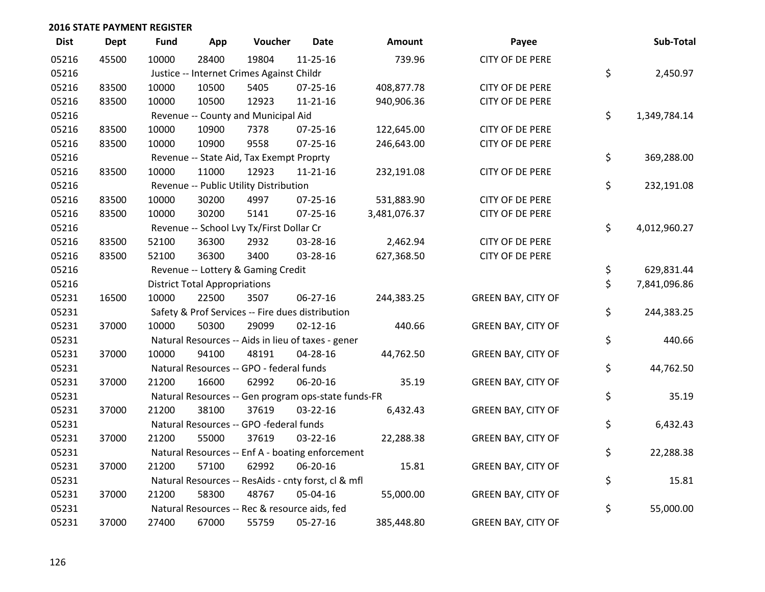| <b>Dist</b> | Dept  | <b>Fund</b>                               | App                                  | Voucher                                             | <b>Date</b>    | Amount       | Payee                     | Sub-Total          |
|-------------|-------|-------------------------------------------|--------------------------------------|-----------------------------------------------------|----------------|--------------|---------------------------|--------------------|
| 05216       | 45500 | 10000                                     | 28400                                | 19804                                               | $11 - 25 - 16$ | 739.96       | <b>CITY OF DE PERE</b>    |                    |
| 05216       |       | Justice -- Internet Crimes Against Childr | \$<br>2,450.97                       |                                                     |                |              |                           |                    |
| 05216       | 83500 | 10000                                     | 10500                                | 5405                                                | 07-25-16       | 408,877.78   | CITY OF DE PERE           |                    |
| 05216       | 83500 | 10000                                     | 10500                                | 12923                                               | $11 - 21 - 16$ | 940,906.36   | <b>CITY OF DE PERE</b>    |                    |
| 05216       |       |                                           |                                      | Revenue -- County and Municipal Aid                 |                |              |                           | \$<br>1,349,784.14 |
| 05216       | 83500 | 10000                                     | 10900                                | 7378                                                | 07-25-16       | 122,645.00   | CITY OF DE PERE           |                    |
| 05216       | 83500 | 10000                                     | 10900                                | 9558                                                | $07 - 25 - 16$ | 246,643.00   | CITY OF DE PERE           |                    |
| 05216       |       |                                           |                                      | Revenue -- State Aid, Tax Exempt Proprty            |                |              |                           | \$<br>369,288.00   |
| 05216       | 83500 | 10000                                     | 11000                                | 12923                                               | $11 - 21 - 16$ | 232,191.08   | CITY OF DE PERE           |                    |
| 05216       |       |                                           |                                      | Revenue -- Public Utility Distribution              |                |              |                           | \$<br>232,191.08   |
| 05216       | 83500 | 10000                                     | 30200                                | 4997                                                | 07-25-16       | 531,883.90   | <b>CITY OF DE PERE</b>    |                    |
| 05216       | 83500 | 10000                                     | 30200                                | 5141                                                | $07 - 25 - 16$ | 3,481,076.37 | CITY OF DE PERE           |                    |
| 05216       |       |                                           |                                      | Revenue -- School Lvy Tx/First Dollar Cr            |                |              |                           | \$<br>4,012,960.27 |
| 05216       | 83500 | 52100                                     | 36300                                | 2932                                                | 03-28-16       | 2,462.94     | CITY OF DE PERE           |                    |
| 05216       | 83500 | 52100                                     | 36300                                | 3400                                                | 03-28-16       | 627,368.50   | CITY OF DE PERE           |                    |
| 05216       |       |                                           |                                      | Revenue -- Lottery & Gaming Credit                  |                |              |                           | \$<br>629,831.44   |
| 05216       |       |                                           | <b>District Total Appropriations</b> |                                                     |                |              |                           | \$<br>7,841,096.86 |
| 05231       | 16500 | 10000                                     | 22500                                | 3507                                                | 06-27-16       | 244,383.25   | <b>GREEN BAY, CITY OF</b> |                    |
| 05231       |       |                                           |                                      | Safety & Prof Services -- Fire dues distribution    |                |              |                           | \$<br>244,383.25   |
| 05231       | 37000 | 10000                                     | 50300                                | 29099                                               | $02 - 12 - 16$ | 440.66       | <b>GREEN BAY, CITY OF</b> |                    |
| 05231       |       |                                           |                                      | Natural Resources -- Aids in lieu of taxes - gener  |                |              |                           | \$<br>440.66       |
| 05231       | 37000 | 10000                                     | 94100                                | 48191                                               | 04-28-16       | 44,762.50    | <b>GREEN BAY, CITY OF</b> |                    |
| 05231       |       |                                           |                                      | Natural Resources -- GPO - federal funds            |                |              |                           | \$<br>44,762.50    |
| 05231       | 37000 | 21200                                     | 16600                                | 62992                                               | 06-20-16       | 35.19        | <b>GREEN BAY, CITY OF</b> |                    |
| 05231       |       |                                           |                                      | Natural Resources -- Gen program ops-state funds-FR |                |              |                           | \$<br>35.19        |
| 05231       | 37000 | 21200                                     | 38100                                | 37619                                               | 03-22-16       | 6,432.43     | <b>GREEN BAY, CITY OF</b> |                    |
| 05231       |       |                                           |                                      | Natural Resources -- GPO -federal funds             |                |              |                           | \$<br>6,432.43     |
| 05231       | 37000 | 21200                                     | 55000                                | 37619                                               | 03-22-16       | 22,288.38    | <b>GREEN BAY, CITY OF</b> |                    |
| 05231       |       |                                           |                                      | Natural Resources -- Enf A - boating enforcement    |                |              |                           | \$<br>22,288.38    |
| 05231       | 37000 | 21200                                     | 57100                                | 62992                                               | 06-20-16       | 15.81        | <b>GREEN BAY, CITY OF</b> |                    |
| 05231       |       |                                           |                                      | Natural Resources -- ResAids - cnty forst, cl & mfl |                |              |                           | \$<br>15.81        |
| 05231       | 37000 | 21200                                     | 58300                                | 48767                                               | 05-04-16       | 55,000.00    | <b>GREEN BAY, CITY OF</b> |                    |
| 05231       |       |                                           |                                      | Natural Resources -- Rec & resource aids, fed       |                |              |                           | \$<br>55,000.00    |
| 05231       | 37000 | 27400                                     | 67000                                | 55759                                               | 05-27-16       | 385,448.80   | <b>GREEN BAY, CITY OF</b> |                    |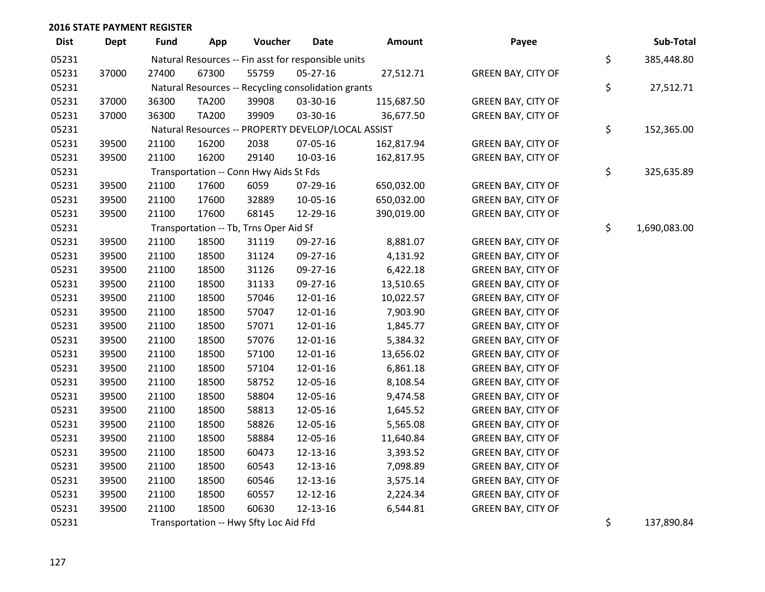| <b>Dist</b> | <b>Dept</b> | Fund  | App          | Voucher                                             | <b>Date</b> | Amount     | Payee                     | Sub-Total          |
|-------------|-------------|-------|--------------|-----------------------------------------------------|-------------|------------|---------------------------|--------------------|
| 05231       |             |       |              | Natural Resources -- Fin asst for responsible units |             |            |                           | \$<br>385,448.80   |
| 05231       | 37000       | 27400 | 67300        | 55759                                               | 05-27-16    | 27,512.71  | <b>GREEN BAY, CITY OF</b> |                    |
| 05231       |             |       |              | Natural Resources -- Recycling consolidation grants |             |            |                           | \$<br>27,512.71    |
| 05231       | 37000       | 36300 | <b>TA200</b> | 39908                                               | 03-30-16    | 115,687.50 | <b>GREEN BAY, CITY OF</b> |                    |
| 05231       | 37000       | 36300 | <b>TA200</b> | 39909                                               | 03-30-16    | 36,677.50  | <b>GREEN BAY, CITY OF</b> |                    |
| 05231       |             |       |              | Natural Resources -- PROPERTY DEVELOP/LOCAL ASSIST  |             |            |                           | \$<br>152,365.00   |
| 05231       | 39500       | 21100 | 16200        | 2038                                                | 07-05-16    | 162,817.94 | <b>GREEN BAY, CITY OF</b> |                    |
| 05231       | 39500       | 21100 | 16200        | 29140                                               | 10-03-16    | 162,817.95 | <b>GREEN BAY, CITY OF</b> |                    |
| 05231       |             |       |              | Transportation -- Conn Hwy Aids St Fds              |             |            |                           | \$<br>325,635.89   |
| 05231       | 39500       | 21100 | 17600        | 6059                                                | 07-29-16    | 650,032.00 | <b>GREEN BAY, CITY OF</b> |                    |
| 05231       | 39500       | 21100 | 17600        | 32889                                               | 10-05-16    | 650,032.00 | <b>GREEN BAY, CITY OF</b> |                    |
| 05231       | 39500       | 21100 | 17600        | 68145                                               | 12-29-16    | 390,019.00 | <b>GREEN BAY, CITY OF</b> |                    |
| 05231       |             |       |              | Transportation -- Tb, Trns Oper Aid Sf              |             |            |                           | \$<br>1,690,083.00 |
| 05231       | 39500       | 21100 | 18500        | 31119                                               | 09-27-16    | 8,881.07   | <b>GREEN BAY, CITY OF</b> |                    |
| 05231       | 39500       | 21100 | 18500        | 31124                                               | 09-27-16    | 4,131.92   | <b>GREEN BAY, CITY OF</b> |                    |
| 05231       | 39500       | 21100 | 18500        | 31126                                               | 09-27-16    | 6,422.18   | <b>GREEN BAY, CITY OF</b> |                    |
| 05231       | 39500       | 21100 | 18500        | 31133                                               | 09-27-16    | 13,510.65  | <b>GREEN BAY, CITY OF</b> |                    |
| 05231       | 39500       | 21100 | 18500        | 57046                                               | 12-01-16    | 10,022.57  | <b>GREEN BAY, CITY OF</b> |                    |
| 05231       | 39500       | 21100 | 18500        | 57047                                               | 12-01-16    | 7,903.90   | <b>GREEN BAY, CITY OF</b> |                    |
| 05231       | 39500       | 21100 | 18500        | 57071                                               | 12-01-16    | 1,845.77   | <b>GREEN BAY, CITY OF</b> |                    |
| 05231       | 39500       | 21100 | 18500        | 57076                                               | 12-01-16    | 5,384.32   | <b>GREEN BAY, CITY OF</b> |                    |
| 05231       | 39500       | 21100 | 18500        | 57100                                               | 12-01-16    | 13,656.02  | <b>GREEN BAY, CITY OF</b> |                    |
| 05231       | 39500       | 21100 | 18500        | 57104                                               | 12-01-16    | 6,861.18   | <b>GREEN BAY, CITY OF</b> |                    |
| 05231       | 39500       | 21100 | 18500        | 58752                                               | 12-05-16    | 8,108.54   | <b>GREEN BAY, CITY OF</b> |                    |
| 05231       | 39500       | 21100 | 18500        | 58804                                               | 12-05-16    | 9,474.58   | <b>GREEN BAY, CITY OF</b> |                    |
| 05231       | 39500       | 21100 | 18500        | 58813                                               | 12-05-16    | 1,645.52   | <b>GREEN BAY, CITY OF</b> |                    |
| 05231       | 39500       | 21100 | 18500        | 58826                                               | 12-05-16    | 5,565.08   | <b>GREEN BAY, CITY OF</b> |                    |
| 05231       | 39500       | 21100 | 18500        | 58884                                               | 12-05-16    | 11,640.84  | GREEN BAY, CITY OF        |                    |
| 05231       | 39500       | 21100 | 18500        | 60473                                               | 12-13-16    | 3,393.52   | <b>GREEN BAY, CITY OF</b> |                    |
| 05231       | 39500       | 21100 | 18500        | 60543                                               | 12-13-16    | 7,098.89   | <b>GREEN BAY, CITY OF</b> |                    |
| 05231       | 39500       | 21100 | 18500        | 60546                                               | 12-13-16    | 3,575.14   | <b>GREEN BAY, CITY OF</b> |                    |
| 05231       | 39500       | 21100 | 18500        | 60557                                               | 12-12-16    | 2,224.34   | <b>GREEN BAY, CITY OF</b> |                    |
| 05231       | 39500       | 21100 | 18500        | 60630                                               | 12-13-16    | 6,544.81   | <b>GREEN BAY, CITY OF</b> |                    |
| 05231       |             |       |              | Transportation -- Hwy Sfty Loc Aid Ffd              |             |            |                           | \$<br>137,890.84   |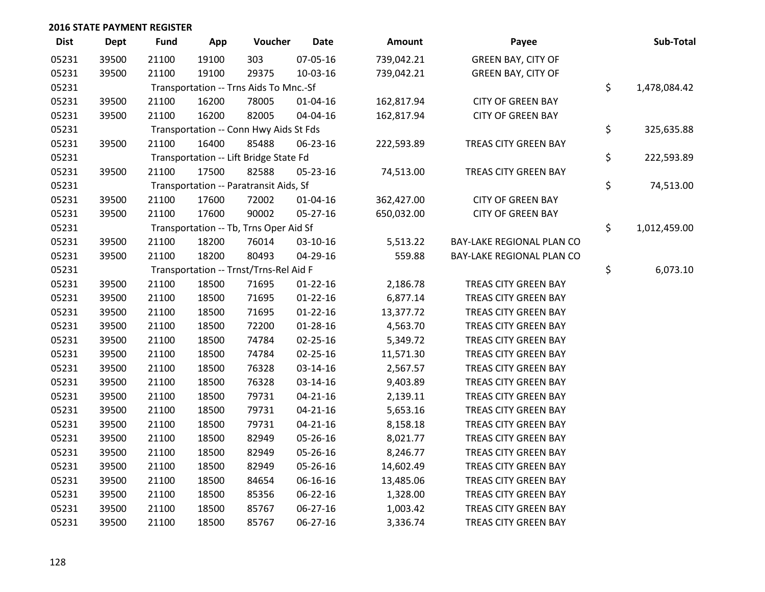| <b>Dist</b> | Dept  | <b>Fund</b> | App   | Voucher                                | <b>Date</b>    | Amount     | Payee                     | Sub-Total          |
|-------------|-------|-------------|-------|----------------------------------------|----------------|------------|---------------------------|--------------------|
| 05231       | 39500 | 21100       | 19100 | 303                                    | 07-05-16       | 739,042.21 | <b>GREEN BAY, CITY OF</b> |                    |
| 05231       | 39500 | 21100       | 19100 | 29375                                  | 10-03-16       | 739,042.21 | <b>GREEN BAY, CITY OF</b> |                    |
| 05231       |       |             |       | Transportation -- Trns Aids To Mnc.-Sf |                |            |                           | \$<br>1,478,084.42 |
| 05231       | 39500 | 21100       | 16200 | 78005                                  | $01 - 04 - 16$ | 162,817.94 | <b>CITY OF GREEN BAY</b>  |                    |
| 05231       | 39500 | 21100       | 16200 | 82005                                  | 04-04-16       | 162,817.94 | <b>CITY OF GREEN BAY</b>  |                    |
| 05231       |       |             |       | Transportation -- Conn Hwy Aids St Fds |                |            |                           | \$<br>325,635.88   |
| 05231       | 39500 | 21100       | 16400 | 85488                                  | 06-23-16       | 222,593.89 | TREAS CITY GREEN BAY      |                    |
| 05231       |       |             |       | Transportation -- Lift Bridge State Fd |                |            |                           | \$<br>222,593.89   |
| 05231       | 39500 | 21100       | 17500 | 82588                                  | 05-23-16       | 74,513.00  | TREAS CITY GREEN BAY      |                    |
| 05231       |       |             |       | Transportation -- Paratransit Aids, Sf |                |            |                           | \$<br>74,513.00    |
| 05231       | 39500 | 21100       | 17600 | 72002                                  | 01-04-16       | 362,427.00 | <b>CITY OF GREEN BAY</b>  |                    |
| 05231       | 39500 | 21100       | 17600 | 90002                                  | 05-27-16       | 650,032.00 | <b>CITY OF GREEN BAY</b>  |                    |
| 05231       |       |             |       | Transportation -- Tb, Trns Oper Aid Sf |                |            |                           | \$<br>1,012,459.00 |
| 05231       | 39500 | 21100       | 18200 | 76014                                  | 03-10-16       | 5,513.22   | BAY-LAKE REGIONAL PLAN CO |                    |
| 05231       | 39500 | 21100       | 18200 | 80493                                  | 04-29-16       | 559.88     | BAY-LAKE REGIONAL PLAN CO |                    |
| 05231       |       |             |       | Transportation -- Trnst/Trns-Rel Aid F |                |            |                           | \$<br>6,073.10     |
| 05231       | 39500 | 21100       | 18500 | 71695                                  | $01-22-16$     | 2,186.78   | TREAS CITY GREEN BAY      |                    |
| 05231       | 39500 | 21100       | 18500 | 71695                                  | $01-22-16$     | 6,877.14   | TREAS CITY GREEN BAY      |                    |
| 05231       | 39500 | 21100       | 18500 | 71695                                  | $01 - 22 - 16$ | 13,377.72  | TREAS CITY GREEN BAY      |                    |
| 05231       | 39500 | 21100       | 18500 | 72200                                  | 01-28-16       | 4,563.70   | TREAS CITY GREEN BAY      |                    |
| 05231       | 39500 | 21100       | 18500 | 74784                                  | 02-25-16       | 5,349.72   | TREAS CITY GREEN BAY      |                    |
| 05231       | 39500 | 21100       | 18500 | 74784                                  | $02 - 25 - 16$ | 11,571.30  | TREAS CITY GREEN BAY      |                    |
| 05231       | 39500 | 21100       | 18500 | 76328                                  | 03-14-16       | 2,567.57   | TREAS CITY GREEN BAY      |                    |
| 05231       | 39500 | 21100       | 18500 | 76328                                  | 03-14-16       | 9,403.89   | TREAS CITY GREEN BAY      |                    |
| 05231       | 39500 | 21100       | 18500 | 79731                                  | $04 - 21 - 16$ | 2,139.11   | TREAS CITY GREEN BAY      |                    |
| 05231       | 39500 | 21100       | 18500 | 79731                                  | $04 - 21 - 16$ | 5,653.16   | TREAS CITY GREEN BAY      |                    |
| 05231       | 39500 | 21100       | 18500 | 79731                                  | 04-21-16       | 8,158.18   | TREAS CITY GREEN BAY      |                    |
| 05231       | 39500 | 21100       | 18500 | 82949                                  | 05-26-16       | 8,021.77   | TREAS CITY GREEN BAY      |                    |
| 05231       | 39500 | 21100       | 18500 | 82949                                  | 05-26-16       | 8,246.77   | TREAS CITY GREEN BAY      |                    |
| 05231       | 39500 | 21100       | 18500 | 82949                                  | 05-26-16       | 14,602.49  | TREAS CITY GREEN BAY      |                    |
| 05231       | 39500 | 21100       | 18500 | 84654                                  | 06-16-16       | 13,485.06  | TREAS CITY GREEN BAY      |                    |
| 05231       | 39500 | 21100       | 18500 | 85356                                  | 06-22-16       | 1,328.00   | TREAS CITY GREEN BAY      |                    |
| 05231       | 39500 | 21100       | 18500 | 85767                                  | 06-27-16       | 1,003.42   | TREAS CITY GREEN BAY      |                    |
| 05231       | 39500 | 21100       | 18500 | 85767                                  | 06-27-16       | 3,336.74   | TREAS CITY GREEN BAY      |                    |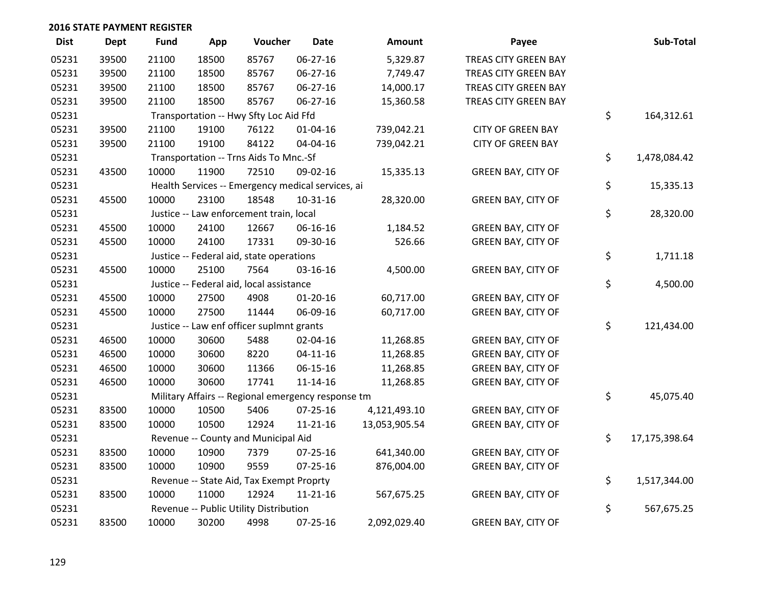| <b>Dist</b> | Dept  | <b>Fund</b> | App   | Voucher                                            | <b>Date</b>    | <b>Amount</b> | Payee                     | Sub-Total           |
|-------------|-------|-------------|-------|----------------------------------------------------|----------------|---------------|---------------------------|---------------------|
| 05231       | 39500 | 21100       | 18500 | 85767                                              | 06-27-16       | 5,329.87      | TREAS CITY GREEN BAY      |                     |
| 05231       | 39500 | 21100       | 18500 | 85767                                              | 06-27-16       | 7,749.47      | TREAS CITY GREEN BAY      |                     |
| 05231       | 39500 | 21100       | 18500 | 85767                                              | 06-27-16       | 14,000.17     | TREAS CITY GREEN BAY      |                     |
| 05231       | 39500 | 21100       | 18500 | 85767                                              | 06-27-16       | 15,360.58     | TREAS CITY GREEN BAY      |                     |
| 05231       |       |             |       | Transportation -- Hwy Sfty Loc Aid Ffd             |                |               |                           | \$<br>164,312.61    |
| 05231       | 39500 | 21100       | 19100 | 76122                                              | 01-04-16       | 739,042.21    | <b>CITY OF GREEN BAY</b>  |                     |
| 05231       | 39500 | 21100       | 19100 | 84122                                              | 04-04-16       | 739,042.21    | <b>CITY OF GREEN BAY</b>  |                     |
| 05231       |       |             |       | Transportation -- Trns Aids To Mnc.-Sf             |                |               |                           | \$<br>1,478,084.42  |
| 05231       | 43500 | 10000       | 11900 | 72510                                              | 09-02-16       | 15,335.13     | <b>GREEN BAY, CITY OF</b> |                     |
| 05231       |       |             |       | Health Services -- Emergency medical services, ai  |                |               |                           | \$<br>15,335.13     |
| 05231       | 45500 | 10000       | 23100 | 18548                                              | $10-31-16$     | 28,320.00     | <b>GREEN BAY, CITY OF</b> |                     |
| 05231       |       |             |       | Justice -- Law enforcement train, local            |                |               |                           | \$<br>28,320.00     |
| 05231       | 45500 | 10000       | 24100 | 12667                                              | 06-16-16       | 1,184.52      | <b>GREEN BAY, CITY OF</b> |                     |
| 05231       | 45500 | 10000       | 24100 | 17331                                              | 09-30-16       | 526.66        | <b>GREEN BAY, CITY OF</b> |                     |
| 05231       |       |             |       | Justice -- Federal aid, state operations           |                |               |                           | \$<br>1,711.18      |
| 05231       | 45500 | 10000       | 25100 | 7564                                               | 03-16-16       | 4,500.00      | <b>GREEN BAY, CITY OF</b> |                     |
| 05231       |       |             |       | Justice -- Federal aid, local assistance           |                |               |                           | \$<br>4,500.00      |
| 05231       | 45500 | 10000       | 27500 | 4908                                               | $01 - 20 - 16$ | 60,717.00     | <b>GREEN BAY, CITY OF</b> |                     |
| 05231       | 45500 | 10000       | 27500 | 11444                                              | 06-09-16       | 60,717.00     | <b>GREEN BAY, CITY OF</b> |                     |
| 05231       |       |             |       | Justice -- Law enf officer suplmnt grants          |                |               |                           | \$<br>121,434.00    |
| 05231       | 46500 | 10000       | 30600 | 5488                                               | 02-04-16       | 11,268.85     | <b>GREEN BAY, CITY OF</b> |                     |
| 05231       | 46500 | 10000       | 30600 | 8220                                               | $04 - 11 - 16$ | 11,268.85     | <b>GREEN BAY, CITY OF</b> |                     |
| 05231       | 46500 | 10000       | 30600 | 11366                                              | 06-15-16       | 11,268.85     | <b>GREEN BAY, CITY OF</b> |                     |
| 05231       | 46500 | 10000       | 30600 | 17741                                              | $11 - 14 - 16$ | 11,268.85     | <b>GREEN BAY, CITY OF</b> |                     |
| 05231       |       |             |       | Military Affairs -- Regional emergency response tm |                |               |                           | \$<br>45,075.40     |
| 05231       | 83500 | 10000       | 10500 | 5406                                               | 07-25-16       | 4,121,493.10  | <b>GREEN BAY, CITY OF</b> |                     |
| 05231       | 83500 | 10000       | 10500 | 12924                                              | $11 - 21 - 16$ | 13,053,905.54 | <b>GREEN BAY, CITY OF</b> |                     |
| 05231       |       |             |       | Revenue -- County and Municipal Aid                |                |               |                           | \$<br>17,175,398.64 |
| 05231       | 83500 | 10000       | 10900 | 7379                                               | 07-25-16       | 641,340.00    | <b>GREEN BAY, CITY OF</b> |                     |
| 05231       | 83500 | 10000       | 10900 | 9559                                               | 07-25-16       | 876,004.00    | <b>GREEN BAY, CITY OF</b> |                     |
| 05231       |       |             |       | Revenue -- State Aid, Tax Exempt Proprty           |                |               |                           | \$<br>1,517,344.00  |
| 05231       | 83500 | 10000       | 11000 | 12924                                              | $11 - 21 - 16$ | 567,675.25    | <b>GREEN BAY, CITY OF</b> |                     |
| 05231       |       |             |       | Revenue -- Public Utility Distribution             |                |               |                           | \$<br>567,675.25    |
| 05231       | 83500 | 10000       | 30200 | 4998                                               | 07-25-16       | 2,092,029.40  | <b>GREEN BAY, CITY OF</b> |                     |